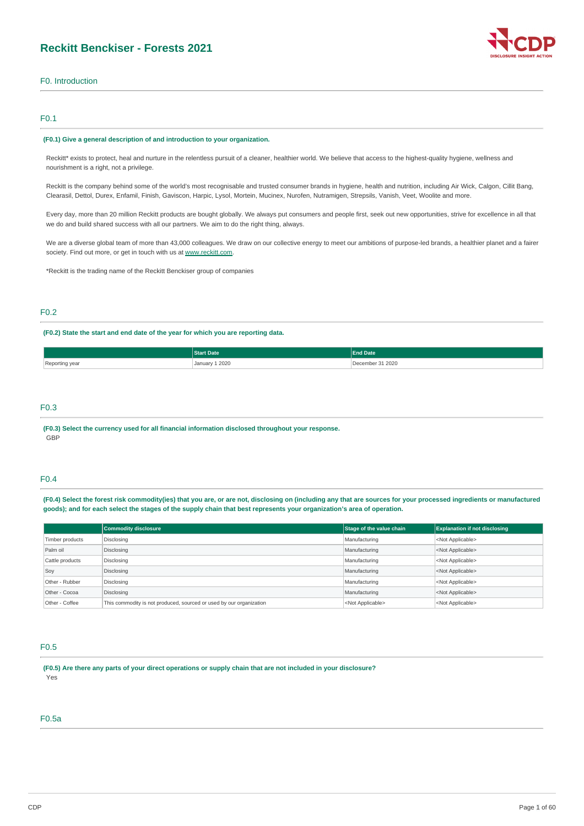

# F0. Introduction

# F0.1

#### **(F0.1) Give a general description of and introduction to your organization.**

Reckitt\* exists to protect, heal and nurture in the relentless pursuit of a cleaner, healthier world. We believe that access to the highest-quality hygiene, wellness and nourishment is a right, not a privilege.

Reckitt is the company behind some of the world's most recognisable and trusted consumer brands in hygiene, health and nutrition, including Air Wick, Calgon, Cillit Bang, Clearasil, Dettol, Durex, Enfamil, Finish, Gaviscon, Harpic, Lysol, Mortein, Mucinex, Nurofen, Nutramigen, Strepsils, Vanish, Veet, Woolite and more.

Every day, more than 20 million Reckitt products are bought globally. We always put consumers and people first, seek out new opportunities, strive for excellence in all that we do and build shared success with all our partners. We aim to do the right thing, always.

We are a diverse global team of more than 43,000 colleagues. We draw on our collective energy to meet our ambitions of purpose-led brands, a healthier planet and a fairer society. Find out more, or get in touch with us at [www.reckitt.com](http://www.reckitt.com/).

\*Reckitt is the trading name of the Reckitt Benckiser group of companies

# F0.2

# **(F0.2) State the start and end date of the year for which you are reporting data.**

|                | Date           | <b>Ind Date</b>  |
|----------------|----------------|------------------|
| Reporting year | January 1 2020 | December 31 2020 |

# F0.3

**(F0.3) Select the currency used for all financial information disclosed throughout your response.** GBP

# F0.4

(F0.4) Select the forest risk commodity(ies) that you are, or are not, disclosing on (including any that are sources for your processed ingredients or manufactured goods); and for each select the stages of the supply chain that best represents your organization's area of operation.

|                 | <b>Commodity disclosure</b>                                         | Stage of the value chain  | <b>Explanation if not disclosing</b> |
|-----------------|---------------------------------------------------------------------|---------------------------|--------------------------------------|
| Timber products | Disclosing                                                          | Manufacturing             | <not applicable=""></not>            |
| Palm oil        | Disclosing                                                          | Manufacturing             | <not applicable=""></not>            |
| Cattle products | Disclosing                                                          | Manufacturing             | <not applicable=""></not>            |
| Soy             | Disclosing                                                          | Manufacturing             | <not applicable=""></not>            |
| Other - Rubber  | Disclosing                                                          | Manufacturing             | <not applicable=""></not>            |
| Other - Cocoa   | Disclosing                                                          | Manufacturing             | <not applicable=""></not>            |
| Other - Coffee  | This commodity is not produced, sourced or used by our organization | <not applicable=""></not> | <not applicable=""></not>            |

# F0.5

(F0.5) Are there any parts of your direct operations or supply chain that are not included in your disclosure? Yes

# F0.5a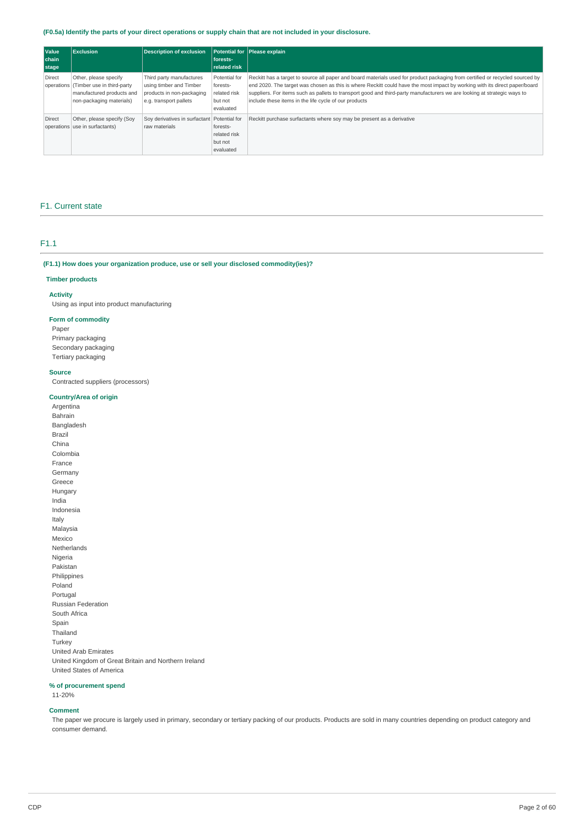# (F0.5a) Identify the parts of your direct operations or supply chain that are not included in your disclosure.

| <b>Value</b><br>chain<br>stage | Exclusion                                                                                                               | <b>Description of exclusion</b>                                                                            | forests-<br><b>related risk</b>                                   | Potential for Please explain                                                                                                                                                                                                                                                                                                                                                                                                                     |
|--------------------------------|-------------------------------------------------------------------------------------------------------------------------|------------------------------------------------------------------------------------------------------------|-------------------------------------------------------------------|--------------------------------------------------------------------------------------------------------------------------------------------------------------------------------------------------------------------------------------------------------------------------------------------------------------------------------------------------------------------------------------------------------------------------------------------------|
| Direct                         | Other, please specify<br>operations (Timber use in third-party<br>manufactured products and<br>non-packaging materials) | Third party manufactures<br>using timber and Timber<br>products in non-packaging<br>e.g. transport pallets | Potential for<br>forests-<br>related risk<br>but not<br>evaluated | Reckitt has a target to source all paper and board materials used for product packaging from certified or recycled sourced by<br>end 2020. The target was chosen as this is where Reckitt could have the most impact by working with its direct paper/board<br>suppliers. For items such as pallets to transport good and third-party manufacturers we are looking at strategic ways to<br>include these items in the life cycle of our products |
| Direct                         | Other, please specify (Soy<br>operations use in surfactants)                                                            | Soy derivatives in surfactant Potential for<br>raw materials                                               | forests-<br>related risk<br>but not<br>evaluated                  | Reckitt purchase surfactants where soy may be present as a derivative                                                                                                                                                                                                                                                                                                                                                                            |

### F1. Current state

# F1.1

**(F1.1) How does your organization produce, use or sell your disclosed commodity(ies)?**

### **Timber products**

# **Activity**

Using as input into product manufacturing

## **Form of commodity**

Paper Primary packaging Secondary packaging Tertiary packaging

## **Source**

Contracted suppliers (processors)

# **Country/Area of origin**

Argentina Bahrain Bangladesh Brazil China Colombia France Germany Greece Hungary India Indonesia Italy Malaysia Mexico Netherlands Nigeria Pakistan Philippines Poland Portugal Russian Federation South Africa Spain Thailand Turkey United Arab Emirates United Kingdom of Great Britain and Northern Ireland United States of America

## **% of procurement spend**

11-20%

## **Comment**

The paper we procure is largely used in primary, secondary or tertiary packing of our products. Products are sold in many countries depending on product category and consumer demand.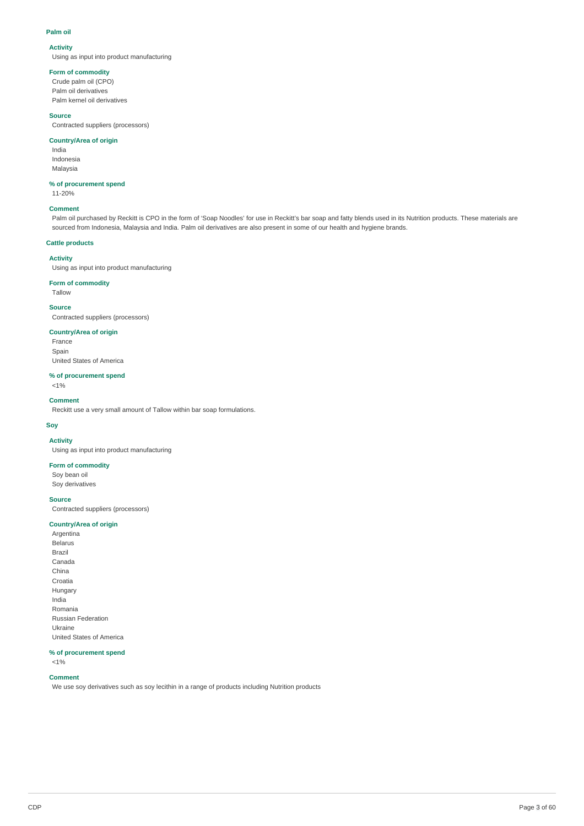#### **Palm oil**

## **Activity**

Using as input into product manufacturing

# **Form of commodity**

Crude palm oil (CPO) Palm oil derivatives Palm kernel oil derivatives

## **Source**

Contracted suppliers (processors)

# **Country/Area of origin**

India Indonesia Malaysia

# **% of procurement spend**

11-20%

## **Comment**

Palm oil purchased by Reckitt is CPO in the form of 'Soap Noodles' for use in Reckitt's bar soap and fatty blends used in its Nutrition products. These materials are sourced from Indonesia, Malaysia and India. Palm oil derivatives are also present in some of our health and hygiene brands.

# **Cattle products**

### **Activity**

Using as input into product manufacturing

# **Form of commodity**

Tallow

#### **Source**

Contracted suppliers (processors)

# **Country/Area of origin**

**France** Spain United States of America

# **% of procurement spend**

 $<$ 1%

# **Comment**

Reckitt use a very small amount of Tallow within bar soap formulations.

# **Soy**

**Activity**

Using as input into product manufacturing

# **Form of commodity**

Soy bean oil Soy derivatives

## **Source**

Contracted suppliers (processors)

# **Country/Area of origin**

Argentina Belarus Brazil Canada China Croatia Hungary India Romania Russian Federation Ukraine United States of America

### **% of procurement spend** <1%

# **Comment**

We use soy derivatives such as soy lecithin in a range of products including Nutrition products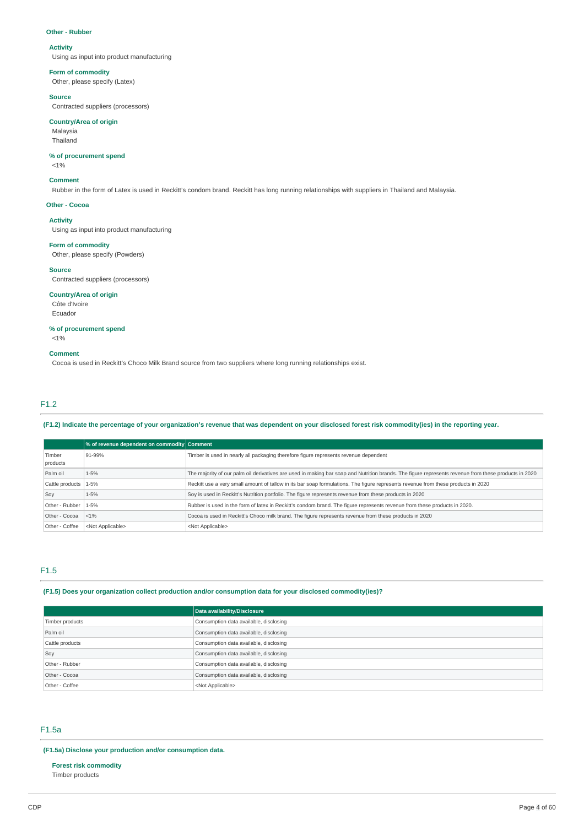#### **Other - Rubber**

# **Activity**

Using as input into product manufacturing

# **Form of commodity**

Other, please specify (Latex)

# **Source**

Contracted suppliers (processors)

# **Country/Area of origin**

Malaysia Thailand

# **% of procurement spend**

 $<$ 1%

#### **Comment**

Rubber in the form of Latex is used in Reckitt's condom brand. Reckitt has long running relationships with suppliers in Thailand and Malaysia.

### **Other - Cocoa**

# **Activity**

Using as input into product manufacturing

#### **Form of commodity**

Other, please specify (Powders)

## **Source**

Contracted suppliers (processors)

# **Country/Area of origin**

Côte d'Ivoire Ecuador

# **% of procurement spend**

 $<$ 1%

#### **Comment**

Cocoa is used in Reckitt's Choco Milk Brand source from two suppliers where long running relationships exist.

# F1.2

# (F1.2) Indicate the percentage of your organization's revenue that was dependent on your disclosed forest risk commodity(ies) in the reporting year.

|                        | % of revenue dependent on commodity Comment |                                                                                                                                                      |
|------------------------|---------------------------------------------|------------------------------------------------------------------------------------------------------------------------------------------------------|
| Timber                 | 91-99%                                      | Timber is used in nearly all packaging therefore figure represents revenue dependent                                                                 |
| products               |                                             |                                                                                                                                                      |
| Palm oil               | $1 - 5%$                                    | The majority of our palm oil derivatives are used in making bar soap and Nutrition brands. The figure represents revenue from these products in 2020 |
| Cattle products   1-5% |                                             | Reckitt use a very small amount of tallow in its bar soap formulations. The figure represents revenue from these products in 2020                    |
| Sov                    | $1 - 5%$                                    | Soy is used in Reckitt's Nutrition portfolio. The figure represents revenue from these products in 2020                                              |
| Other - Rubber   1-5%  |                                             | Rubber is used in the form of latex in Reckitt's condom brand. The figure represents revenue from these products in 2020.                            |
| Other - Cocoa          | < 1%                                        | Cocoa is used in Reckitt's Choco milk brand. The figure represents revenue from these products in 2020                                               |
| Other - Coffee         | <not applicable=""></not>                   | <not applicable=""></not>                                                                                                                            |

# F1.5

# **(F1.5) Does your organization collect production and/or consumption data for your disclosed commodity(ies)?**

|                 | Data availability/Disclosure           |
|-----------------|----------------------------------------|
| Timber products | Consumption data available, disclosing |
| Palm oil        | Consumption data available, disclosing |
| Cattle products | Consumption data available, disclosing |
| Soy             | Consumption data available, disclosing |
| Other - Rubber  | Consumption data available, disclosing |
| Other - Cocoa   | Consumption data available, disclosing |
| Other - Coffee  | <not applicable=""></not>              |

# F1.5a

# **(F1.5a) Disclose your production and/or consumption data.**

**Forest risk commodity** Timber products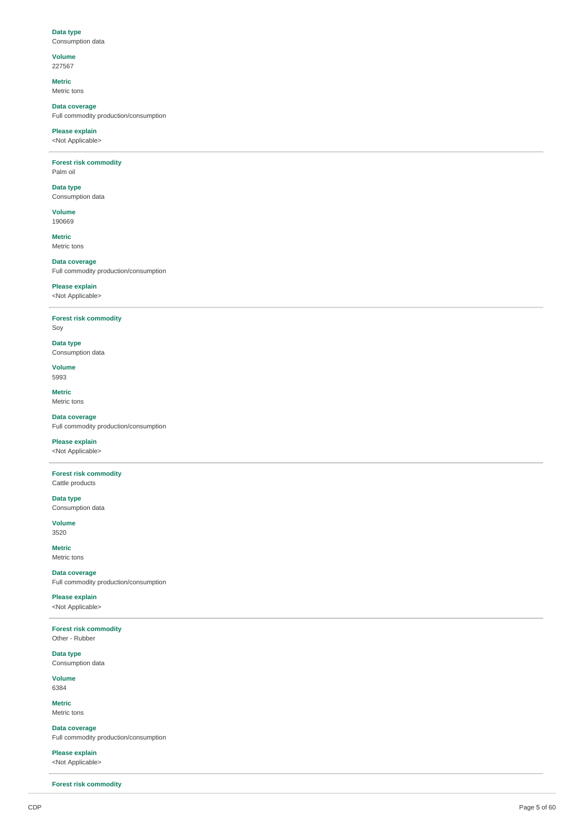## **D a t a t y p e** Consumption data

**V olu m e** 2 2 7 5 6 7

**M e t ric**

Metric tons

**Data coverage** Full commodity production/consumption

**Please explain** <Not Applicable>

**Forest risk commodity** P alm oil

**Data typ e** Consumption data

**V olu m e** 1 9 0 6 6 9

**M e t ric** Metric tons

**Data coverage** Full commodity production/consumption

# **Please explain**

<Not Applicable>

**Forest risk commodity** 

S o y

**D a t a t y p e** Consumption data

**V olu m e** 5 9 9 3

**M e t ric** Metric tons

**Data coverage** Full commodity production/consumption

**Please explain** 

<Not Applicable>

**Forest risk commodity** 

Cattle products **D a t a t y p e**

Consumption data **V olu m e**

3 5 2 0

**M e t ric** Metric tons

**Data coverage** Full commodity production/consumption

**Please explain** <Not Applicable>

**Forest risk commodity** Other - Rubber

**D a t a t y p e** Consumption data

**V olu m e** 6 3 8 4

**M e t ric** Metric tons

**Data coverage** Full commodity production/consumption

**Please explain** <Not Applicable>

**Forest risk commodity**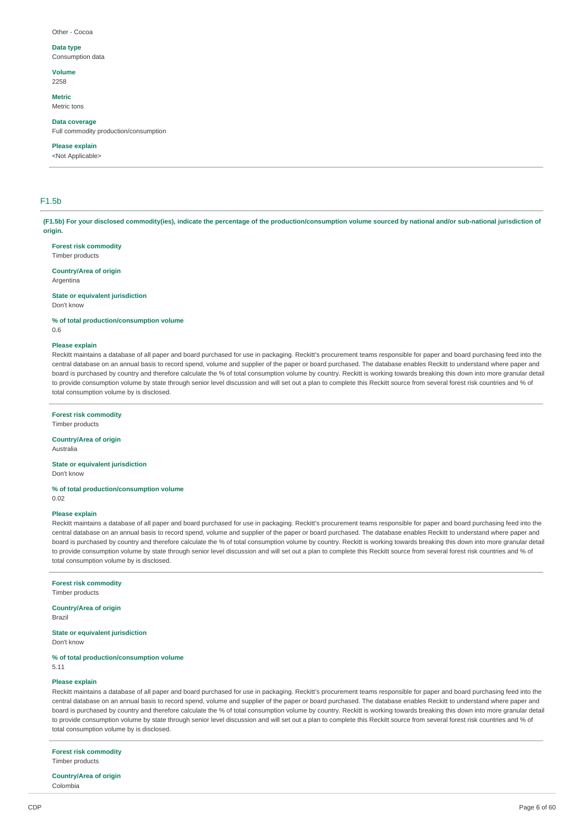#### Other - Cocoa

# **Data type**

Consumption data

#### **Volume** 2258

#### **Metric** Metric tons

**Data coverage**

Full commodity production/consumption

# **Please explain**

<Not Applicable>

# F1.5b

(F1.5b) For your disclosed commodity(ies), indicate the percentage of the production/consumption volume sourced by national and/or sub-national jurisdiction of **origin.**

# **Forest risk commodity**

Timber products

## **Country/Area of origin**

Argentina

**State or equivalent jurisdiction** Don't know

**% of total production/consumption volume** 0.6

#### **Please explain**

Reckitt maintains a database of all paper and board purchased for use in packaging. Reckitt's procurement teams responsible for paper and board purchasing feed into the central database on an annual basis to record spend, volume and supplier of the paper or board purchased. The database enables Reckitt to understand where paper and board is purchased by country and therefore calculate the % of total consumption volume by country. Reckitt is working towards breaking this down into more granular detail to provide consumption volume by state through senior level discussion and will set out a plan to complete this Reckitt source from several forest risk countries and % of total consumption volume by is disclosed.

## **Forest risk commodity**

Timber products

# **Country/Area of origin**

Australia

**State or equivalent jurisdiction** Don't know

**% of total production/consumption volume** 0.02

#### **Please explain**

Reckitt maintains a database of all paper and board purchased for use in packaging. Reckitt's procurement teams responsible for paper and board purchasing feed into the central database on an annual basis to record spend, volume and supplier of the paper or board purchased. The database enables Reckitt to understand where paper and board is purchased by country and therefore calculate the % of total consumption volume by country. Reckitt is working towards breaking this down into more granular detail to provide consumption volume by state through senior level discussion and will set out a plan to complete this Reckitt source from several forest risk countries and % of total consumption volume by is disclosed.

**Forest risk commodity**

Timber products

**Country/Area of origin** Brazil

#### **State or equivalent jurisdiction**

Don't know

#### **% of total production/consumption volume**

5.11

# **Please explain**

Reckitt maintains a database of all paper and board purchased for use in packaging. Reckitt's procurement teams responsible for paper and board purchasing feed into the central database on an annual basis to record spend, volume and supplier of the paper or board purchased. The database enables Reckitt to understand where paper and board is purchased by country and therefore calculate the % of total consumption volume by country. Reckitt is working towards breaking this down into more granular detail to provide consumption volume by state through senior level discussion and will set out a plan to complete this Reckitt source from several forest risk countries and % of total consumption volume by is disclosed.

**Forest risk commodity** Timber products

**Country/Area of origin** Colombia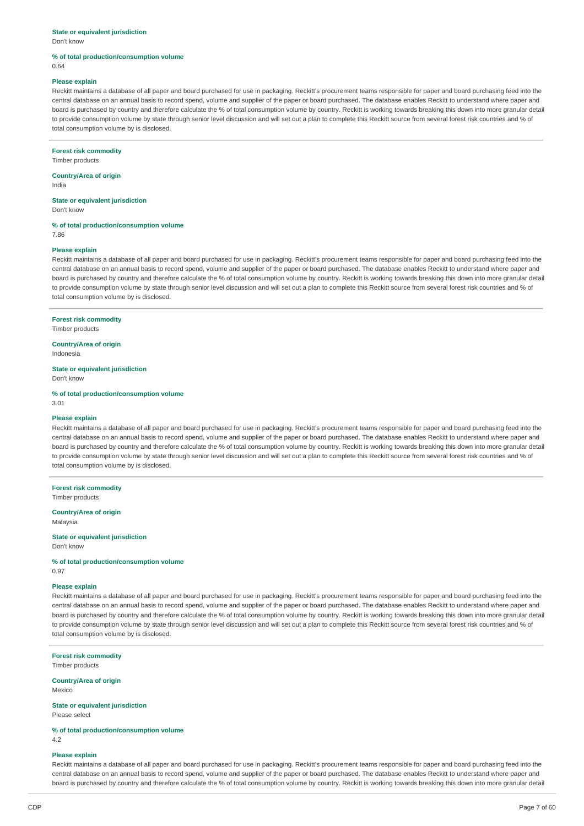# **State or equivalent jurisdiction**

Don't know

#### **% of total production/consumption volume** 0.64

#### **Please explain**

Reckitt maintains a database of all paper and board purchased for use in packaging. Reckitt's procurement teams responsible for paper and board purchasing feed into the central database on an annual basis to record spend, volume and supplier of the paper or board purchased. The database enables Reckitt to understand where paper and board is purchased by country and therefore calculate the % of total consumption volume by country. Reckitt is working towards breaking this down into more granular detail to provide consumption volume by state through senior level discussion and will set out a plan to complete this Reckitt source from several forest risk countries and % of total consumption volume by is disclosed.

#### **Forest risk commodity**

Timber products

# **Country/Area of origin**

India

# **State or equivalent jurisdiction**

Don't know

## **% of total production/consumption volume**

7.86

# **Please explain**

Reckitt maintains a database of all paper and board purchased for use in packaging. Reckitt's procurement teams responsible for paper and board purchasing feed into the central database on an annual basis to record spend, volume and supplier of the paper or board purchased. The database enables Reckitt to understand where paper and board is purchased by country and therefore calculate the % of total consumption volume by country. Reckitt is working towards breaking this down into more granular detail to provide consumption volume by state through senior level discussion and will set out a plan to complete this Reckitt source from several forest risk countries and % of total consumption volume by is disclosed.

## **Forest risk commodity**

Timber products

# **Country/Area of origin**

Indonesia

**State or equivalent jurisdiction** Don't know

#### **% of total production/consumption volume**

3.01

## **Please explain**

Reckitt maintains a database of all paper and board purchased for use in packaging. Reckitt's procurement teams responsible for paper and board purchasing feed into the central database on an annual basis to record spend, volume and supplier of the paper or board purchased. The database enables Reckitt to understand where paper and board is purchased by country and therefore calculate the % of total consumption volume by country. Reckitt is working towards breaking this down into more granular detail to provide consumption volume by state through senior level discussion and will set out a plan to complete this Reckitt source from several forest risk countries and % of total consumption volume by is disclosed.

### **Forest risk commodity** Timber products

# **Country/Area of origin**

Malaysia

#### **State or equivalent jurisdiction** Don't know

**% of total production/consumption volume** 0.97

## **Please explain**

Reckitt maintains a database of all paper and board purchased for use in packaging. Reckitt's procurement teams responsible for paper and board purchasing feed into the central database on an annual basis to record spend, volume and supplier of the paper or board purchased. The database enables Reckitt to understand where paper and board is purchased by country and therefore calculate the % of total consumption volume by country. Reckitt is working towards breaking this down into more granular detail to provide consumption volume by state through senior level discussion and will set out a plan to complete this Reckitt source from several forest risk countries and % of total consumption volume by is disclosed.

#### **Forest risk commodity** Timber products

## **Country/Area of origin**

Mexico

**State or equivalent jurisdiction** Please select

**% of total production/consumption volume** 4.2

## **Please explain**

Reckitt maintains a database of all paper and board purchased for use in packaging. Reckitt's procurement teams responsible for paper and board purchasing feed into the central database on an annual basis to record spend, volume and supplier of the paper or board purchased. The database enables Reckitt to understand where paper and board is purchased by country and therefore calculate the % of total consumption volume by country. Reckitt is working towards breaking this down into more granular detail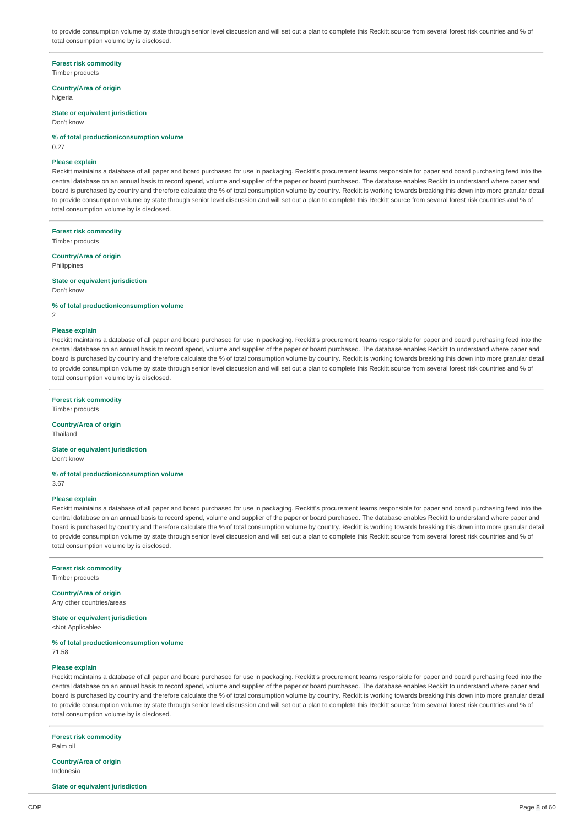to provide consumption volume by state through senior level discussion and will set out a plan to complete this Reckitt source from several forest risk countries and % of total consumption volume by is disclosed.

**Forest risk commodity**

Timber products

**Country/Area of origin** Nigeria

**State or equivalent jurisdiction**

Don't know

**% of total production/consumption volume**

0.27

#### **Please explain**

Reckitt maintains a database of all paper and board purchased for use in packaging. Reckitt's procurement teams responsible for paper and board purchasing feed into the central database on an annual basis to record spend, volume and supplier of the paper or board purchased. The database enables Reckitt to understand where paper and board is purchased by country and therefore calculate the % of total consumption volume by country. Reckitt is working towards breaking this down into more granular detail to provide consumption volume by state through senior level discussion and will set out a plan to complete this Reckitt source from several forest risk countries and % of total consumption volume by is disclosed.

**Forest risk commodity** Timber products

**Country/Area of origin**

Philippines

**State or equivalent jurisdiction** Don't know

**% of total production/consumption volume**

2

## **Please explain**

Reckitt maintains a database of all paper and board purchased for use in packaging. Reckitt's procurement teams responsible for paper and board purchasing feed into the central database on an annual basis to record spend, volume and supplier of the paper or board purchased. The database enables Reckitt to understand where paper and board is purchased by country and therefore calculate the % of total consumption volume by country. Reckitt is working towards breaking this down into more granular detail to provide consumption volume by state through senior level discussion and will set out a plan to complete this Reckitt source from several forest risk countries and % of total consumption volume by is disclosed.

#### **Forest risk commodity**

Timber products

#### **Country/Area of origin**

Thailand

# **State or equivalent jurisdiction**

Don't know

**% of total production/consumption volume** 3.67

## **Please explain**

Reckitt maintains a database of all paper and board purchased for use in packaging. Reckitt's procurement teams responsible for paper and board purchasing feed into the central database on an annual basis to record spend, volume and supplier of the paper or board purchased. The database enables Reckitt to understand where paper and board is purchased by country and therefore calculate the % of total consumption volume by country. Reckitt is working towards breaking this down into more granular detail to provide consumption volume by state through senior level discussion and will set out a plan to complete this Reckitt source from several forest risk countries and % of total consumption volume by is disclosed.

#### **Forest risk commodity**

Timber products

**Country/Area of origin**

Any other countries/areas

**State or equivalent jurisdiction** <Not Applicable>

**% of total production/consumption volume** 71.58

#### **Please explain**

Reckitt maintains a database of all paper and board purchased for use in packaging. Reckitt's procurement teams responsible for paper and board purchasing feed into the central database on an annual basis to record spend, volume and supplier of the paper or board purchased. The database enables Reckitt to understand where paper and board is purchased by country and therefore calculate the % of total consumption volume by country. Reckitt is working towards breaking this down into more granular detail to provide consumption volume by state through senior level discussion and will set out a plan to complete this Reckitt source from several forest risk countries and % of total consumption volume by is disclosed.

**Forest risk commodity**

Palm oil

**Country/Area of origin** Indonesia

**State or equivalent jurisdiction**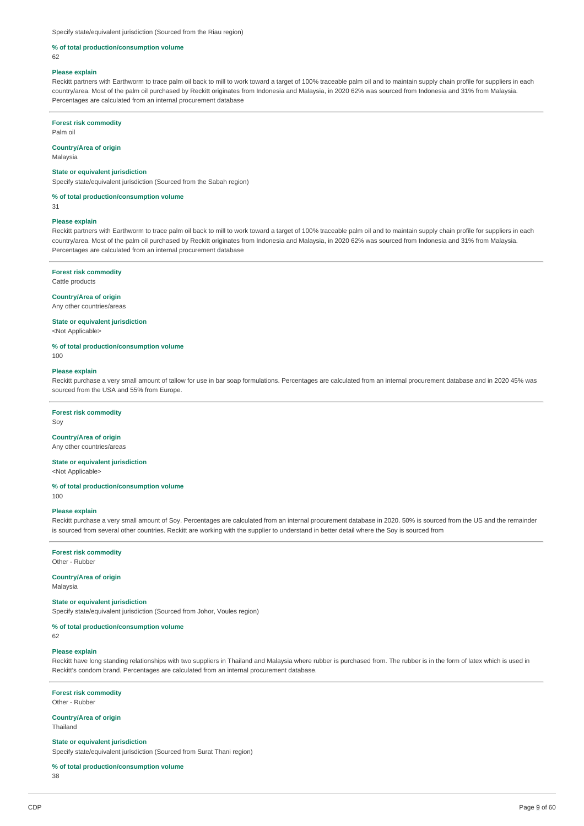Specify state/equivalent jurisdiction (Sourced from the Riau region)

## **% of total production/consumption volume**

 $62$ 

#### **Please explain**

Reckitt partners with Earthworm to trace palm oil back to mill to work toward a target of 100% traceable palm oil and to maintain supply chain profile for suppliers in each country/area. Most of the palm oil purchased by Reckitt originates from Indonesia and Malaysia, in 2020 62% was sourced from Indonesia and 31% from Malaysia. Percentages are calculated from an internal procurement database

#### **Forest risk commodity**

Palm oil

#### **Country/Area of origin**

Malaysia

#### **State or equivalent jurisdiction**

Specify state/equivalent jurisdiction (Sourced from the Sabah region)

### **% of total production/consumption volume**

31

#### **Please explain**

Reckitt partners with Earthworm to trace palm oil back to mill to work toward a target of 100% traceable palm oil and to maintain supply chain profile for suppliers in each country/area. Most of the palm oil purchased by Reckitt originates from Indonesia and Malaysia, in 2020 62% was sourced from Indonesia and 31% from Malaysia. Percentages are calculated from an internal procurement database

### **Forest risk commodity**

Cattle products

#### **Country/Area of origin**

Any other countries/areas

## **State or equivalent jurisdiction**

<Not Applicable>

**% of total production/consumption volume**

100

# **Please explain**

Reckitt purchase a very small amount of tallow for use in bar soap formulations. Percentages are calculated from an internal procurement database and in 2020 45% was sourced from the USA and 55% from Europe.

### **Forest risk commodity**

Soy

# **Country/Area of origin**

Any other countries/areas

## **State or equivalent jurisdiction**

<Not Applicable>

#### **% of total production/consumption volume** 100

#### **Please explain**

Reckitt purchase a very small amount of Soy. Percentages are calculated from an internal procurement database in 2020. 50% is sourced from the US and the remainder is sourced from several other countries. Reckitt are working with the supplier to understand in better detail where the Soy is sourced from

**Forest risk commodity** Other - Rubber

# **Country/Area of origin**

Malaysia

# **State or equivalent jurisdiction**

Specify state/equivalent jurisdiction (Sourced from Johor, Voules region)

# **% of total production/consumption volume**

62

# **Please explain**

Reckitt have long standing relationships with two suppliers in Thailand and Malaysia where rubber is purchased from. The rubber is in the form of latex which is used in Reckitt's condom brand. Percentages are calculated from an internal procurement database.

# **Forest risk commodity**

Other - Rubber

**Country/Area of origin** Thailand

#### **State or equivalent jurisdiction**

Specify state/equivalent jurisdiction (Sourced from Surat Thani region)

### **% of total production/consumption volume**

38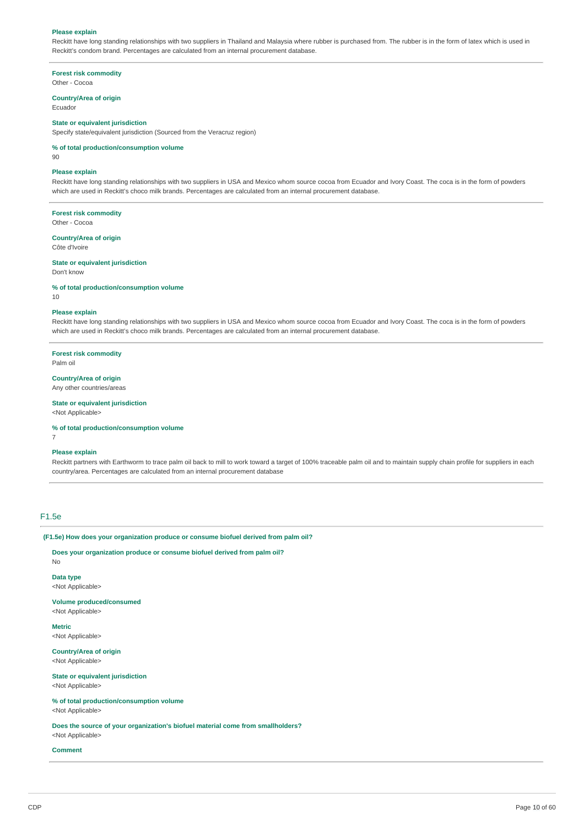#### **Please explain**

Reckitt have long standing relationships with two suppliers in Thailand and Malaysia where rubber is purchased from. The rubber is in the form of latex which is used in Reckitt's condom brand. Percentages are calculated from an internal procurement database.

**Forest risk commodity** Other - Cocoa

**Country/Area of origin**

Ecuador

# **State or equivalent jurisdiction**

Specify state/equivalent jurisdiction (Sourced from the Veracruz region)

**% of total production/consumption volume**

90

#### **Please explain**

Reckitt have long standing relationships with two suppliers in USA and Mexico whom source cocoa from Ecuador and Ivory Coast. The coca is in the form of powders which are used in Reckitt's choco milk brands. Percentages are calculated from an internal procurement database.

**Forest risk commodity**

Other - Cocoa

**Country/Area of origin**

Côte d'Ivoire

**State or equivalent jurisdiction** Don't know

**% of total production/consumption volume**

10

#### **Please explain**

Reckitt have long standing relationships with two suppliers in USA and Mexico whom source cocoa from Ecuador and Ivory Coast. The coca is in the form of powders which are used in Reckitt's choco milk brands. Percentages are calculated from an internal procurement database.

#### **Forest risk commodity**

Palm oil

#### **Country/Area of origin**

Any other countries/areas

## **State or equivalent jurisdiction**

<Not Applicable>

**% of total production/consumption volume**

7

## **Please explain**

Reckitt partners with Earthworm to trace palm oil back to mill to work toward a target of 100% traceable palm oil and to maintain supply chain profile for suppliers in each country/area. Percentages are calculated from an internal procurement database

#### F1.5e

**(F1.5e) How does your organization produce or consume biofuel derived from palm oil?**

**Does your organization produce or consume biofuel derived from palm oil?** No

**Data type** <Not Applicable>

**Volume produced/consumed** <Not Applicable>

**Metric**

<Not Applicable>

**Country/Area of origin** <Not Applicable>

**State or equivalent jurisdiction** <Not Applicable>

**% of total production/consumption volume** <Not Applicable>

**Does the source of your organization's biofuel material come from smallholders?**

<Not Applicable>

**Comment**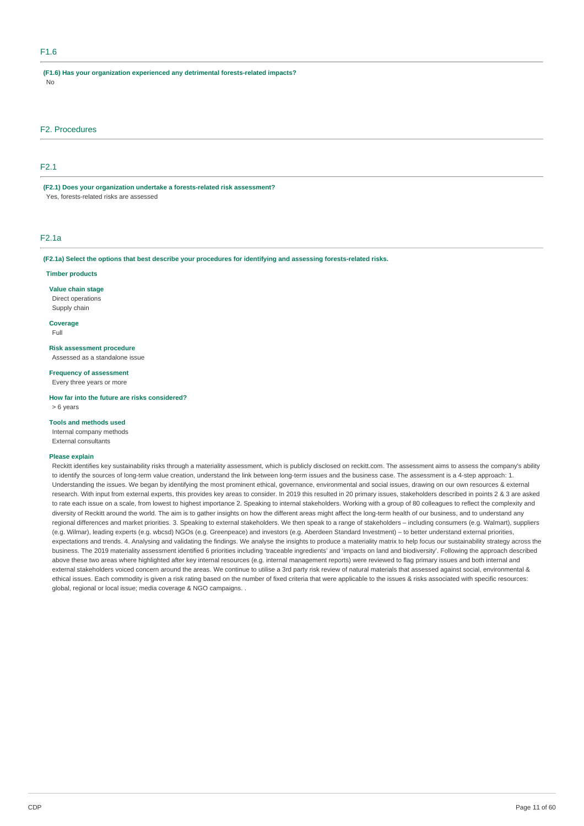# F1.6

**(F1.6) Has your organization experienced any detrimental forests-related impacts?** No

# F2. Procedures

# F2.1

**(F2.1) Does your organization undertake a forests-related risk assessment?** Yes, forests-related risks are assessed

## F2.1a

**(F2.1a) Select the options that best describe your procedures for identifying and assessing forests-related risks.**

#### **Timber products**

**Value chain stage** Direct operations Supply chain

**Coverage**

Full

**Risk assessment procedure**

Assessed as a standalone issue

# **Frequency of assessment**

Every three years or more

**How far into the future are risks considered?** > 6 years

## **Tools and methods used**

Internal company methods External consultants

#### **Please explain**

Reckitt identifies key sustainability risks through a materiality assessment, which is publicly disclosed on reckitt.com. The assessment aims to assess the company's ability to identify the sources of long-term value creation, understand the link between long-term issues and the business case. The assessment is a 4-step approach: 1. Understanding the issues. We began by identifying the most prominent ethical, governance, environmental and social issues, drawing on our own resources & external research. With input from external experts, this provides key areas to consider. In 2019 this resulted in 20 primary issues, stakeholders described in points 2 & 3 are asked to rate each issue on a scale, from lowest to highest importance 2. Speaking to internal stakeholders. Working with a group of 80 colleagues to reflect the complexity and diversity of Reckitt around the world. The aim is to gather insights on how the different areas might affect the long-term health of our business, and to understand any regional differences and market priorities. 3. Speaking to external stakeholders. We then speak to a range of stakeholders – including consumers (e.g. Walmart), suppliers (e.g. Wilmar), leading experts (e.g. wbcsd) NGOs (e.g. Greenpeace) and investors (e.g. Aberdeen Standard Investment) – to better understand external priorities, expectations and trends. 4. Analysing and validating the findings. We analyse the insights to produce a materiality matrix to help focus our sustainability strategy across the business. The 2019 materiality assessment identified 6 priorities including 'traceable ingredients' and 'impacts on land and biodiversity'. Following the approach described above these two areas where highlighted after key internal resources (e.g. internal management reports) were reviewed to flag primary issues and both internal and external stakeholders voiced concern around the areas. We continue to utilise a 3rd party risk review of natural materials that assessed against social, environmental & ethical issues. Each commodity is given a risk rating based on the number of fixed criteria that were applicable to the issues & risks associated with specific resources: global, regional or local issue; media coverage & NGO campaigns. .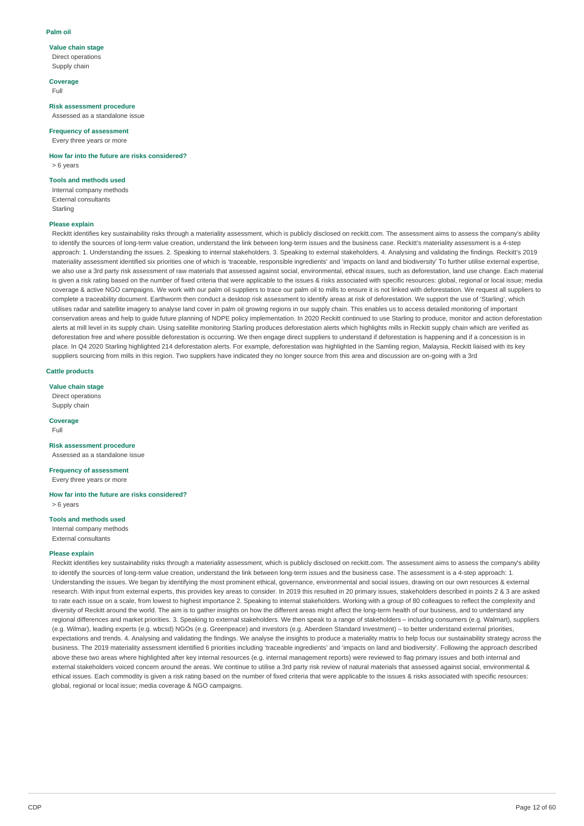#### **Palm oil**

# **Value chain stage**

Direct operations Supply chain

## **Coverage**

Full

**Risk assessment procedure** Assessed as a standalone issue

#### **Frequency of assessment**

Every three years or more

# **How far into the future are risks considered?**

> 6 years

# **Tools and methods used**

Internal company methods External consultants Starling

## **Please explain**

Reckitt identifies key sustainability risks through a materiality assessment, which is publicly disclosed on reckitt.com. The assessment aims to assess the company's ability to identify the sources of long-term value creation, understand the link between long-term issues and the business case. Reckitt's materiality assessment is a 4-step approach: 1. Understanding the issues. 2. Speaking to internal stakeholders. 3. Speaking to external stakeholders. 4. Analysing and validating the findings. Reckitt's 2019 materiality assessment identified six priorities one of which is 'traceable, responsible ingredients' and 'impacts on land and biodiversity' To further utilise external expertise, we also use a 3rd party risk assessment of raw materials that assessed against social, environmental, ethical issues, such as deforestation, land use change. Each material is given a risk rating based on the number of fixed criteria that were applicable to the issues & risks associated with specific resources: global, regional or local issue; media coverage & active NGO campaigns. We work with our palm oil suppliers to trace our palm oil to mills to ensure it is not linked with deforestation. We request all suppliers to complete a traceability document. Earthworm then conduct a desktop risk assessment to identify areas at risk of deforestation. We support the use of 'Starling', which utilises radar and satellite imagery to analyse land cover in palm oil growing regions in our supply chain. This enables us to access detailed monitoring of important conservation areas and help to guide future planning of NDPE policy implementation. In 2020 Reckitt continued to use Starling to produce, monitor and action deforestation alerts at mill level in its supply chain. Using satellite monitoring Starling produces deforestation alerts which highlights mills in Reckitt supply chain which are verified as deforestation free and where possible deforestation is occurring. We then engage direct suppliers to understand if deforestation is happening and if a concession is in place. In Q4 2020 Starling highlighted 214 deforestation alerts. For example, deforestation was highlighted in the Samling region, Malaysia, Reckitt liaised with its key suppliers sourcing from mills in this region. Two suppliers have indicated they no longer source from this area and discussion are on-going with a 3rd

## **Cattle products**

#### **Value chain stage**

Direct operations Supply chain

**Coverage** Full

#### **Risk assessment procedure** Assessed as a standalone issue

**Frequency of assessment**

Every three years or more

#### **How far into the future are risks considered?** > 6 years

# **Tools and methods used**

Internal company methods External consultants

# **Please explain**

Reckitt identifies key sustainability risks through a materiality assessment, which is publicly disclosed on reckitt.com. The assessment aims to assess the company's ability to identify the sources of long-term value creation, understand the link between long-term issues and the business case. The assessment is a 4-step approach: 1. Understanding the issues. We began by identifying the most prominent ethical, governance, environmental and social issues, drawing on our own resources & external research. With input from external experts, this provides key areas to consider. In 2019 this resulted in 20 primary issues, stakeholders described in points 2 & 3 are asked to rate each issue on a scale, from lowest to highest importance 2. Speaking to internal stakeholders. Working with a group of 80 colleagues to reflect the complexity and diversity of Reckitt around the world. The aim is to gather insights on how the different areas might affect the long-term health of our business, and to understand any regional differences and market priorities. 3. Speaking to external stakeholders. We then speak to a range of stakeholders – including consumers (e.g. Walmart), suppliers (e.g. Wilmar), leading experts (e.g. wbcsd) NGOs (e.g. Greenpeace) and investors (e.g. Aberdeen Standard Investment) – to better understand external priorities, expectations and trends. 4. Analysing and validating the findings. We analyse the insights to produce a materiality matrix to help focus our sustainability strategy across the business. The 2019 materiality assessment identified 6 priorities including 'traceable ingredients' and 'impacts on land and biodiversity'. Following the approach described above these two areas where highlighted after key internal resources (e.g. internal management reports) were reviewed to flag primary issues and both internal and external stakeholders voiced concern around the areas. We continue to utilise a 3rd party risk review of natural materials that assessed against social, environmental & ethical issues. Each commodity is given a risk rating based on the number of fixed criteria that were applicable to the issues & risks associated with specific resources: global, regional or local issue; media coverage & NGO campaigns.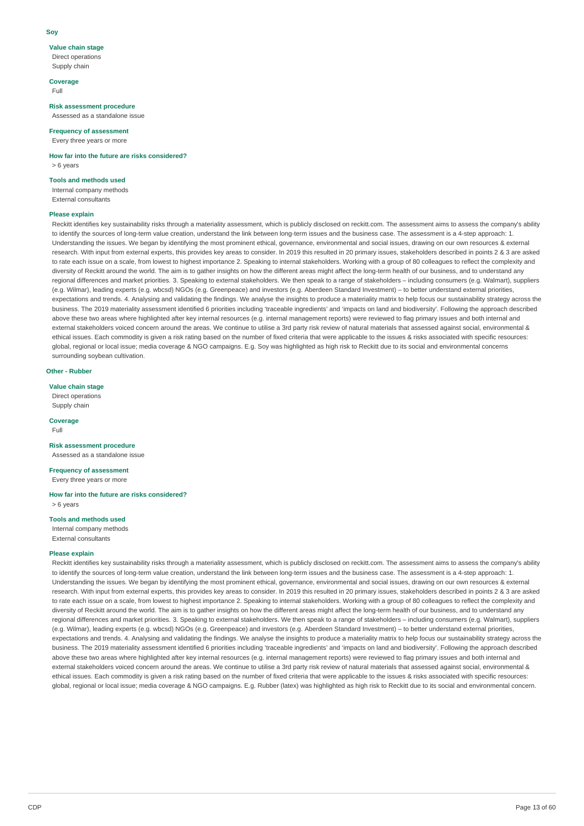#### **Soy**

# **Value chain stage**

Direct operations Supply chain

# **Coverage**

Full

**Risk assessment procedure** Assessed as a standalone issue

#### **Frequency of assessment**

Every three years or more

# **How far into the future are risks considered?**

> 6 years

# **Tools and methods used**

Internal company methods External consultants

### **Please explain**

Reckitt identifies key sustainability risks through a materiality assessment, which is publicly disclosed on reckitt.com. The assessment aims to assess the company's ability to identify the sources of long-term value creation, understand the link between long-term issues and the business case. The assessment is a 4-step approach: 1. Understanding the issues. We began by identifying the most prominent ethical, governance, environmental and social issues, drawing on our own resources & external research. With input from external experts, this provides key areas to consider. In 2019 this resulted in 20 primary issues, stakeholders described in points 2 & 3 are asked to rate each issue on a scale, from lowest to highest importance 2. Speaking to internal stakeholders. Working with a group of 80 colleagues to reflect the complexity and diversity of Reckitt around the world. The aim is to gather insights on how the different areas might affect the long-term health of our business, and to understand any regional differences and market priorities. 3. Speaking to external stakeholders. We then speak to a range of stakeholders – including consumers (e.g. Walmart), suppliers (e.g. Wilmar), leading experts (e.g. wbcsd) NGOs (e.g. Greenpeace) and investors (e.g. Aberdeen Standard Investment) – to better understand external priorities, expectations and trends. 4. Analysing and validating the findings. We analyse the insights to produce a materiality matrix to help focus our sustainability strategy across the business. The 2019 materiality assessment identified 6 priorities including 'traceable ingredients' and 'impacts on land and biodiversity'. Following the approach described above these two areas where highlighted after key internal resources (e.g. internal management reports) were reviewed to flag primary issues and both internal and external stakeholders voiced concern around the areas. We continue to utilise a 3rd party risk review of natural materials that assessed against social, environmental & ethical issues. Each commodity is given a risk rating based on the number of fixed criteria that were applicable to the issues & risks associated with specific resources: global, regional or local issue; media coverage & NGO campaigns. E.g. Soy was highlighted as high risk to Reckitt due to its social and environmental concerns surrounding soybean cultivation.

## **Other - Rubber**

#### **Value chain stage**

Direct operations Supply chain

**Coverage** Full

#### **Risk assessment procedure** Assessed as a standalone issue

**Frequency of assessment**

Every three years or more

# **How far into the future are risks considered?**

> 6 years

# **Tools and methods used**

Internal company methods External consultants

# **Please explain**

Reckitt identifies key sustainability risks through a materiality assessment, which is publicly disclosed on reckitt.com. The assessment aims to assess the company's ability to identify the sources of long-term value creation, understand the link between long-term issues and the business case. The assessment is a 4-step approach: 1. Understanding the issues. We began by identifying the most prominent ethical, governance, environmental and social issues, drawing on our own resources & external research. With input from external experts, this provides key areas to consider. In 2019 this resulted in 20 primary issues, stakeholders described in points 2 & 3 are asked to rate each issue on a scale, from lowest to highest importance 2. Speaking to internal stakeholders. Working with a group of 80 colleagues to reflect the complexity and diversity of Reckitt around the world. The aim is to gather insights on how the different areas might affect the long-term health of our business, and to understand any regional differences and market priorities. 3. Speaking to external stakeholders. We then speak to a range of stakeholders – including consumers (e.g. Walmart), suppliers (e.g. Wilmar), leading experts (e.g. wbcsd) NGOs (e.g. Greenpeace) and investors (e.g. Aberdeen Standard Investment) – to better understand external priorities, expectations and trends. 4. Analysing and validating the findings. We analyse the insights to produce a materiality matrix to help focus our sustainability strategy across the business. The 2019 materiality assessment identified 6 priorities including 'traceable ingredients' and 'impacts on land and biodiversity'. Following the approach described above these two areas where highlighted after key internal resources (e.g. internal management reports) were reviewed to flag primary issues and both internal and external stakeholders voiced concern around the areas. We continue to utilise a 3rd party risk review of natural materials that assessed against social, environmental & ethical issues. Each commodity is given a risk rating based on the number of fixed criteria that were applicable to the issues & risks associated with specific resources: global, regional or local issue; media coverage & NGO campaigns. E.g. Rubber (latex) was highlighted as high risk to Reckitt due to its social and environmental concern.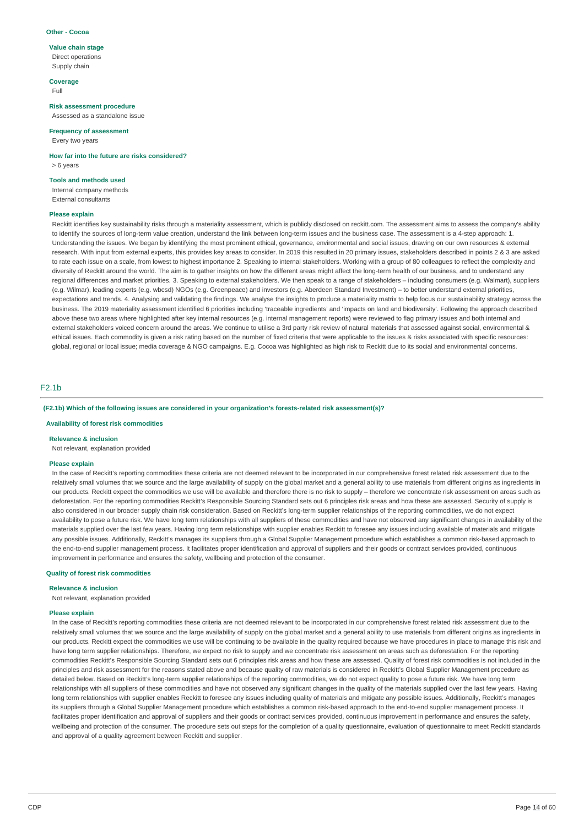#### **Other - Cocoa**

## **Value chain stage**

Direct operations Supply chain

# **Coverage**

Full

**Risk assessment procedure** Assessed as a standalone issue

## **Frequency of assessment**

Every two years

# **How far into the future are risks considered?**

> 6 years

#### **Tools and methods used**

Internal company methods External consultants

#### **Please explain**

Reckitt identifies key sustainability risks through a materiality assessment, which is publicly disclosed on reckitt.com. The assessment aims to assess the company's ability to identify the sources of long-term value creation, understand the link between long-term issues and the business case. The assessment is a 4-step approach: 1. Understanding the issues. We began by identifying the most prominent ethical, governance, environmental and social issues, drawing on our own resources & external research. With input from external experts, this provides key areas to consider. In 2019 this resulted in 20 primary issues, stakeholders described in points 2 & 3 are asked to rate each issue on a scale, from lowest to highest importance 2. Speaking to internal stakeholders. Working with a group of 80 colleagues to reflect the complexity and diversity of Reckitt around the world. The aim is to gather insights on how the different areas might affect the long-term health of our business, and to understand any regional differences and market priorities. 3. Speaking to external stakeholders. We then speak to a range of stakeholders – including consumers (e.g. Walmart), suppliers (e.g. Wilmar), leading experts (e.g. wbcsd) NGOs (e.g. Greenpeace) and investors (e.g. Aberdeen Standard Investment) – to better understand external priorities, expectations and trends. 4. Analysing and validating the findings. We analyse the insights to produce a materiality matrix to help focus our sustainability strategy across the business. The 2019 materiality assessment identified 6 priorities including 'traceable ingredients' and 'impacts on land and biodiversity'. Following the approach described above these two areas where highlighted after key internal resources (e.g. internal management reports) were reviewed to flag primary issues and both internal and external stakeholders voiced concern around the areas. We continue to utilise a 3rd party risk review of natural materials that assessed against social, environmental & ethical issues. Each commodity is given a risk rating based on the number of fixed criteria that were applicable to the issues & risks associated with specific resources: global, regional or local issue; media coverage & NGO campaigns. E.g. Cocoa was highlighted as high risk to Reckitt due to its social and environmental concerns.

## F2.1b

#### **(F2.1b) Which of the following issues are considered in your organization's forests-related risk assessment(s)?**

## **Availability of forest risk commodities**

#### **Relevance & inclusion**

Not relevant, explanation provided

#### **Please explain**

In the case of Reckitt's reporting commodities these criteria are not deemed relevant to be incorporated in our comprehensive forest related risk assessment due to the relatively small volumes that we source and the large availability of supply on the global market and a general ability to use materials from different origins as ingredients in our products. Reckitt expect the commodities we use will be available and therefore there is no risk to supply – therefore we concentrate risk assessment on areas such as deforestation. For the reporting commodities Reckitt's Responsible Sourcing Standard sets out 6 principles risk areas and how these are assessed. Security of supply is also considered in our broader supply chain risk consideration. Based on Reckitt's long-term supplier relationships of the reporting commodities, we do not expect availability to pose a future risk. We have long term relationships with all suppliers of these commodities and have not observed any significant changes in availability of the materials supplied over the last few years. Having long term relationships with supplier enables Reckitt to foresee any issues including available of materials and mitigate any possible issues. Additionally, Reckitt's manages its suppliers through a Global Supplier Management procedure which establishes a common risk-based approach to the end-to-end supplier management process. It facilitates proper identification and approval of suppliers and their goods or contract services provided, continuous improvement in performance and ensures the safety, wellbeing and protection of the consumer.

### **Quality of forest risk commodities**

#### **Relevance & inclusion**

Not relevant, explanation provided

#### **Please explain**

In the case of Reckitt's reporting commodities these criteria are not deemed relevant to be incorporated in our comprehensive forest related risk assessment due to the relatively small volumes that we source and the large availability of supply on the global market and a general ability to use materials from different origins as ingredients in our products. Reckitt expect the commodities we use will be continuing to be available in the quality required because we have procedures in place to manage this risk and have long term supplier relationships. Therefore, we expect no risk to supply and we concentrate risk assessment on areas such as deforestation. For the reporting commodities Reckitt's Responsible Sourcing Standard sets out 6 principles risk areas and how these are assessed. Quality of forest risk commodities is not included in the principles and risk assessment for the reasons stated above and because quality of raw materials is considered in Reckitt's Global Supplier Management procedure as detailed below. Based on Reckitt's long-term supplier relationships of the reporting commodities, we do not expect quality to pose a future risk. We have long term relationships with all suppliers of these commodities and have not observed any significant changes in the quality of the materials supplied over the last few years. Having long term relationships with supplier enables Reckitt to foresee any issues including quality of materials and mitigate any possible issues. Additionally, Reckitt's manages its suppliers through a Global Supplier Management procedure which establishes a common risk-based approach to the end-to-end supplier management process. It facilitates proper identification and approval of suppliers and their goods or contract services provided, continuous improvement in performance and ensures the safety, wellbeing and protection of the consumer. The procedure sets out steps for the completion of a quality questionnaire, evaluation of questionnaire to meet Reckitt standards and approval of a quality agreement between Reckitt and supplier.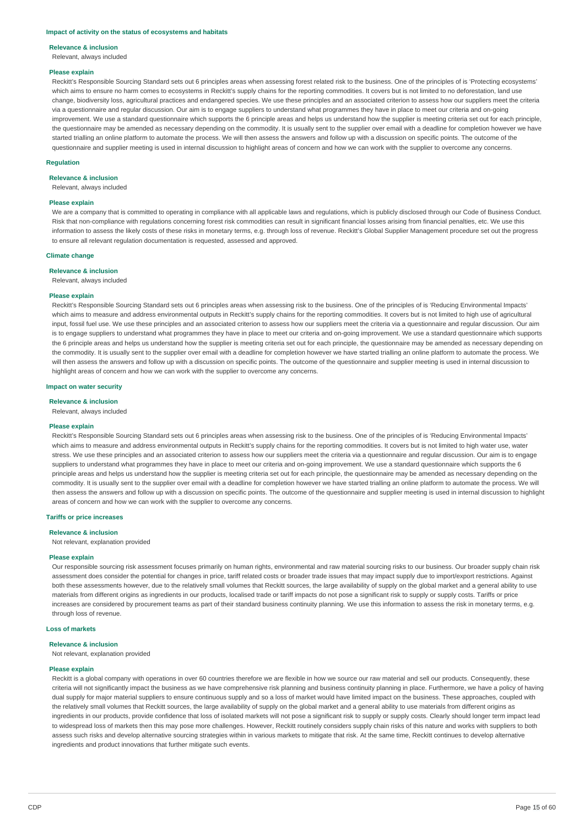#### **Impact of activity on the status of ecosystems and habitats**

#### **Relevance & inclusion**

Relevant, always included

#### **Please explain**

Reckitt's Responsible Sourcing Standard sets out 6 principles areas when assessing forest related risk to the business. One of the principles of is 'Protecting ecosystems' which aims to ensure no harm comes to ecosystems in Reckitt's supply chains for the reporting commodities. It covers but is not limited to no deforestation, land use change, biodiversity loss, agricultural practices and endangered species. We use these principles and an associated criterion to assess how our suppliers meet the criteria via a questionnaire and regular discussion. Our aim is to engage suppliers to understand what programmes they have in place to meet our criteria and on-going improvement. We use a standard questionnaire which supports the 6 principle areas and helps us understand how the supplier is meeting criteria set out for each principle. the questionnaire may be amended as necessary depending on the commodity. It is usually sent to the supplier over email with a deadline for completion however we have started trialling an online platform to automate the process. We will then assess the answers and follow up with a discussion on specific points. The outcome of the questionnaire and supplier meeting is used in internal discussion to highlight areas of concern and how we can work with the supplier to overcome any concerns.

#### **Regulation**

#### **Relevance & inclusion**

Relevant, always included

#### **Please explain**

We are a company that is committed to operating in compliance with all applicable laws and regulations, which is publicly disclosed through our Code of Business Conduct. Risk that non-compliance with regulations concerning forest risk commodities can result in significant financial losses arising from financial penalties, etc. We use this information to assess the likely costs of these risks in monetary terms, e.g. through loss of revenue. Reckitt's Global Supplier Management procedure set out the progress to ensure all relevant regulation documentation is requested, assessed and approved.

# **Climate change**

#### **Relevance & inclusion**

Relevant, always included

## **Please explain**

Reckitt's Responsible Sourcing Standard sets out 6 principles areas when assessing risk to the business. One of the principles of is 'Reducing Environmental Impacts' which aims to measure and address environmental outputs in Reckitt's supply chains for the reporting commodities. It covers but is not limited to high use of agricultural input, fossil fuel use. We use these principles and an associated criterion to assess how our suppliers meet the criteria via a questionnaire and regular discussion. Our aim is to engage suppliers to understand what programmes they have in place to meet our criteria and on-going improvement. We use a standard questionnaire which supports the 6 principle areas and helps us understand how the supplier is meeting criteria set out for each principle, the questionnaire may be amended as necessary depending on the commodity. It is usually sent to the supplier over email with a deadline for completion however we have started trialling an online platform to automate the process. We will then assess the answers and follow up with a discussion on specific points. The outcome of the questionnaire and supplier meeting is used in internal discussion to highlight areas of concern and how we can work with the supplier to overcome any concerns.

#### **Impact on water security**

**Relevance & inclusion**

Relevant, always included

#### **Please explain**

Reckitt's Responsible Sourcing Standard sets out 6 principles areas when assessing risk to the business. One of the principles of is 'Reducing Environmental Impacts' which aims to measure and address environmental outputs in Reckitt's supply chains for the reporting commodities. It covers but is not limited to high water use, water stress. We use these principles and an associated criterion to assess how our suppliers meet the criteria via a questionnaire and regular discussion. Our aim is to engage suppliers to understand what programmes they have in place to meet our criteria and on-going improvement. We use a standard questionnaire which supports the 6 principle areas and helps us understand how the supplier is meeting criteria set out for each principle, the questionnaire may be amended as necessary depending on the commodity. It is usually sent to the supplier over email with a deadline for completion however we have started trialling an online platform to automate the process. We will then assess the answers and follow up with a discussion on specific points. The outcome of the questionnaire and supplier meeting is used in internal discussion to highlight areas of concern and how we can work with the supplier to overcome any concerns.

## **Tariffs or price increases**

#### **Relevance & inclusion**

Not relevant, explanation provided

#### **Please explain**

Our responsible sourcing risk assessment focuses primarily on human rights, environmental and raw material sourcing risks to our business. Our broader supply chain risk assessment does consider the potential for changes in price, tariff related costs or broader trade issues that may impact supply due to import/export restrictions. Against both these assessments however, due to the relatively small volumes that Reckitt sources, the large availability of supply on the global market and a general ability to use materials from different origins as ingredients in our products, localised trade or tariff impacts do not pose a significant risk to supply or supply costs. Tariffs or price increases are considered by procurement teams as part of their standard business continuity planning. We use this information to assess the risk in monetary terms, e.g. through loss of revenue.

## **Loss of markets**

#### **Relevance & inclusion**

Not relevant, explanation provided

#### **Please explain**

Reckitt is a global company with operations in over 60 countries therefore we are flexible in how we source our raw material and sell our products. Consequently, these criteria will not significantly impact the business as we have comprehensive risk planning and business continuity planning in place. Furthermore, we have a policy of having dual supply for major material suppliers to ensure continuous supply and so a loss of market would have limited impact on the business. These approaches, coupled with the relatively small volumes that Reckitt sources, the large availability of supply on the global market and a general ability to use materials from different origins as ingredients in our products, provide confidence that loss of isolated markets will not pose a significant risk to supply or supply costs. Clearly should longer term impact lead to widespread loss of markets then this may pose more challenges. However, Reckitt routinely considers supply chain risks of this nature and works with suppliers to both assess such risks and develop alternative sourcing strategies within in various markets to mitigate that risk. At the same time, Reckitt continues to develop alternative ingredients and product innovations that further mitigate such events.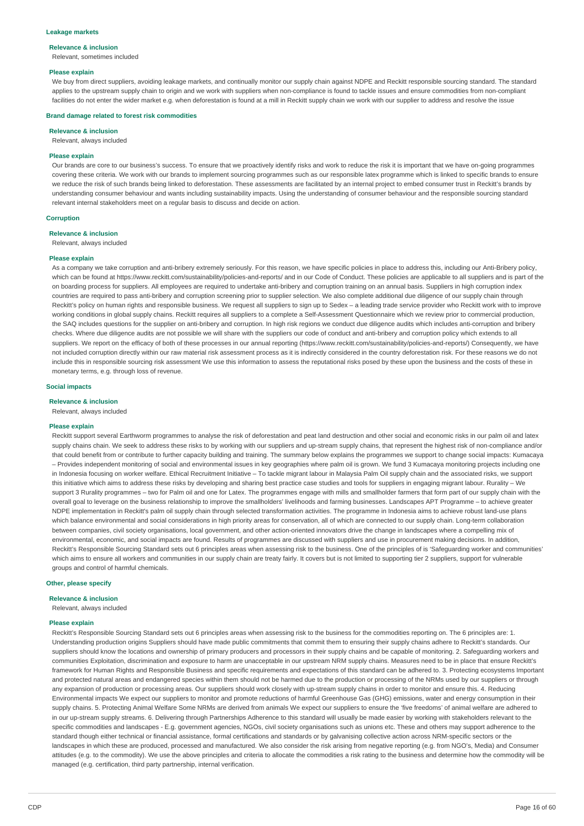#### **Leakage markets**

#### **Relevance & inclusion**

Relevant, sometimes included

#### **Please explain**

We buy from direct suppliers, avoiding leakage markets, and continually monitor our supply chain against NDPE and Reckitt responsible sourcing standard. The standard applies to the upstream supply chain to origin and we work with suppliers when non-compliance is found to tackle issues and ensure commodities from non-compliant facilities do not enter the wider market e.g. when deforestation is found at a mill in Reckitt supply chain we work with our supplier to address and resolve the issue

#### **Brand damage related to forest risk commodities**

#### **Relevance & inclusion**

Relevant, always included

#### **Please explain**

Our brands are core to our business's success. To ensure that we proactively identify risks and work to reduce the risk it is important that we have on-going programmes covering these criteria. We work with our brands to implement sourcing programmes such as our responsible latex programme which is linked to specific brands to ensure we reduce the risk of such brands being linked to deforestation. These assessments are facilitated by an internal project to embed consumer trust in Reckitt's brands by understanding consumer behaviour and wants including sustainability impacts. Using the understanding of consumer behaviour and the responsible sourcing standard relevant internal stakeholders meet on a regular basis to discuss and decide on action.

#### **Corruption**

### **Relevance & inclusion**

Relevant, always included

#### **Please explain**

As a company we take corruption and anti-bribery extremely seriously. For this reason, we have specific policies in place to address this, including our Anti-Bribery policy, which can be found at https://www.reckitt.com/sustainability/policies-and-reports/ and in our Code of Conduct. These policies are applicable to all suppliers and is part of the on boarding process for suppliers. All employees are required to undertake anti-bribery and corruption training on an annual basis. Suppliers in high corruption index countries are required to pass anti-bribery and corruption screening prior to supplier selection. We also complete additional due diligence of our supply chain through Reckitt's policy on human rights and responsible business. We request all suppliers to sign up to Sedex - a leading trade service provider who Reckitt work with to improve working conditions in global supply chains. Reckitt requires all suppliers to a complete a Self-Assessment Questionnaire which we review prior to commercial production. the SAQ includes questions for the supplier on anti-bribery and corruption. In high risk regions we conduct due diligence audits which includes anti-corruption and bribery checks. Where due diligence audits are not possible we will share with the suppliers our code of conduct and anti-bribery and corruption policy which extends to all suppliers. We report on the efficacy of both of these processes in our annual reporting (https://www.reckitt.com/sustainability/policies-and-reports/) Consequently, we have not included corruption directly within our raw material risk assessment process as it is indirectly considered in the country deforestation risk. For these reasons we do not include this in responsible sourcing risk assessment We use this information to assess the reputational risks posed by these upon the business and the costs of these in monetary terms, e.g. through loss of revenue.

#### **Social impacts**

**Relevance & inclusion**

Relevant, always included

## **Please explain**

Reckitt support several Earthworm programmes to analyse the risk of deforestation and peat land destruction and other social and economic risks in our palm oil and latex supply chains chain. We seek to address these risks to by working with our suppliers and up-stream supply chains, that represent the highest risk of non-compliance and/or that could benefit from or contribute to further capacity building and training. The summary below explains the programmes we support to change social impacts: Kumacaya – Provides independent monitoring of social and environmental issues in key geographies where palm oil is grown. We fund 3 Kumacaya monitoring projects including one in Indonesia focusing on worker welfare. Ethical Recruitment Initiative – To tackle migrant labour in Malaysia Palm Oil supply chain and the associated risks, we support this initiative which aims to address these risks by developing and sharing best practice case studies and tools for suppliers in engaging migrant labour. Rurality – We support 3 Rurality programmes – two for Palm oil and one for Latex. The programmes engage with mills and smallholder farmers that form part of our supply chain with the overall goal to leverage on the business relationship to improve the smallholders' livelihoods and farming businesses. Landscapes APT Programme – to achieve greater NDPE implementation in Reckitt's palm oil supply chain through selected transformation activities. The programme in Indonesia aims to achieve robust land-use plans which balance environmental and social considerations in high priority areas for conservation, all of which are connected to our supply chain. Long-term collaboration between companies, civil society organisations, local government, and other action-oriented innovators drive the change in landscapes where a compelling mix of environmental, economic, and social impacts are found. Results of programmes are discussed with suppliers and use in procurement making decisions. In addition, Reckitt's Responsible Sourcing Standard sets out 6 principles areas when assessing risk to the business. One of the principles of is 'Safeguarding worker and communities' which aims to ensure all workers and communities in our supply chain are treaty fairly. It covers but is not limited to supporting tier 2 suppliers, support for vulnerable groups and control of harmful chemicals.

### **Other, please specify**

#### **Relevance & inclusion**

Relevant, always included

#### **Please explain**

Reckitt's Responsible Sourcing Standard sets out 6 principles areas when assessing risk to the business for the commodities reporting on. The 6 principles are: 1. Understanding production origins Suppliers should have made public commitments that commit them to ensuring their supply chains adhere to Reckitt's standards. Our suppliers should know the locations and ownership of primary producers and processors in their supply chains and be capable of monitoring. 2. Safeguarding workers and communities Exploitation, discrimination and exposure to harm are unacceptable in our upstream NRM supply chains. Measures need to be in place that ensure Reckitt's framework for Human Rights and Responsible Business and specific requirements and expectations of this standard can be adhered to. 3. Protecting ecosystems Important and protected natural areas and endangered species within them should not be harmed due to the production or processing of the NRMs used by our suppliers or through any expansion of production or processing areas. Our suppliers should work closely with up-stream supply chains in order to monitor and ensure this. 4. Reducing Environmental impacts We expect our suppliers to monitor and promote reductions of harmful Greenhouse Gas (GHG) emissions, water and energy consumption in their supply chains. 5. Protecting Animal Welfare Some NRMs are derived from animals We expect our suppliers to ensure the 'five freedoms' of animal welfare are adhered to in our up-stream supply streams. 6. Delivering through Partnerships Adherence to this standard will usually be made easier by working with stakeholders relevant to the specific commodities and landscapes - E.g. government agencies, NGOs, civil society organisations such as unions etc. These and others may support adherence to the standard though either technical or financial assistance, formal certifications and standards or by galvanising collective action across NRM-specific sectors or the landscapes in which these are produced, processed and manufactured. We also consider the risk arising from negative reporting (e.g. from NGO's, Media) and Consumer attitudes (e.g. to the commodity). We use the above principles and criteria to allocate the commodities a risk rating to the business and determine how the commodity will be managed (e.g. certification, third party partnership, internal verification.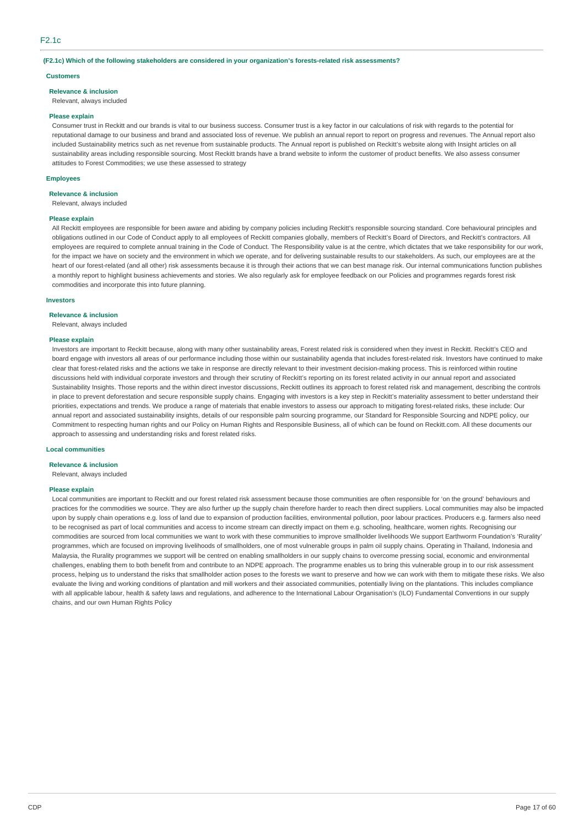## **(F2.1c) Which of the following stakeholders are considered in your organization's forests-related risk assessments?**

### **Customers**

**Relevance & inclusion**

Relevant, always included

#### **Please explain**

Consumer trust in Reckitt and our brands is vital to our business success. Consumer trust is a key factor in our calculations of risk with regards to the potential for reputational damage to our business and brand and associated loss of revenue. We publish an annual report to report on progress and revenues. The Annual report also included Sustainability metrics such as net revenue from sustainable products. The Annual report is published on Reckitt's website along with Insight articles on all sustainability areas including responsible sourcing. Most Reckitt brands have a brand website to inform the customer of product benefits. We also assess consumer attitudes to Forest Commodities; we use these assessed to strategy

### **Employees**

**Relevance & inclusion**

## Relevant, always included

## **Please explain**

All Reckitt employees are responsible for been aware and abiding by company policies including Reckitt's responsible sourcing standard. Core behavioural principles and obligations outlined in our Code of Conduct apply to all employees of Reckitt companies globally, members of Reckitt's Board of Directors, and Reckitt's contractors. All employees are required to complete annual training in the Code of Conduct. The Responsibility value is at the centre, which dictates that we take responsibility for our work, for the impact we have on society and the environment in which we operate, and for delivering sustainable results to our stakeholders. As such, our employees are at the heart of our forest-related (and all other) risk assessments because it is through their actions that we can best manage risk. Our internal communications function publishes a monthly report to highlight business achievements and stories. We also regularly ask for employee feedback on our Policies and programmes regards forest risk commodities and incorporate this into future planning.

#### **Investors**

#### **Relevance & inclusion**

Relevant, always included

#### **Please explain**

Investors are important to Reckitt because, along with many other sustainability areas, Forest related risk is considered when they invest in Reckitt. Reckitt's CEO and board engage with investors all areas of our performance including those within our sustainability agenda that includes forest-related risk. Investors have continued to make clear that forest-related risks and the actions we take in response are directly relevant to their investment decision-making process. This is reinforced within routine discussions held with individual corporate investors and through their scrutiny of Reckitt's reporting on its forest related activity in our annual report and associated Sustainability Insights. Those reports and the within direct investor discussions, Reckitt outlines its approach to forest related risk and management, describing the controls in place to prevent deforestation and secure responsible supply chains. Engaging with investors is a key step in Reckitt's materiality assessment to better understand their priorities, expectations and trends. We produce a range of materials that enable investors to assess our approach to mitigating forest-related risks, these include: Our annual report and associated sustainability insights, details of our responsible palm sourcing programme, our Standard for Responsible Sourcing and NDPE policy, our Commitment to respecting human rights and our Policy on Human Rights and Responsible Business, all of which can be found on Reckitt.com. All these documents our approach to assessing and understanding risks and forest related risks.

## **Local communities**

## **Relevance & inclusion**

Relevant, always included

#### **Please explain**

Local communities are important to Reckitt and our forest related risk assessment because those communities are often responsible for 'on the ground' behaviours and practices for the commodities we source. They are also further up the supply chain therefore harder to reach then direct suppliers. Local communities may also be impacted upon by supply chain operations e.g. loss of land due to expansion of production facilities, environmental pollution, poor labour practices. Producers e.g. farmers also need to be recognised as part of local communities and access to income stream can directly impact on them e.g. schooling, healthcare, women rights. Recognising our commodities are sourced from local communities we want to work with these communities to improve smallholder livelihoods We support Earthworm Foundation's 'Rurality' programmes, which are focused on improving livelihoods of smallholders, one of most vulnerable groups in palm oil supply chains. Operating in Thailand, Indonesia and Malaysia, the Rurality programmes we support will be centred on enabling smallholders in our supply chains to overcome pressing social, economic and environmental challenges, enabling them to both benefit from and contribute to an NDPE approach. The programme enables us to bring this vulnerable group in to our risk assessment process, helping us to understand the risks that smallholder action poses to the forests we want to preserve and how we can work with them to mitigate these risks. We also evaluate the living and working conditions of plantation and mill workers and their associated communities, potentially living on the plantations. This includes compliance with all applicable labour, health & safety laws and regulations, and adherence to the International Labour Organisation's (ILO) Fundamental Conventions in our supply chains, and our own Human Rights Policy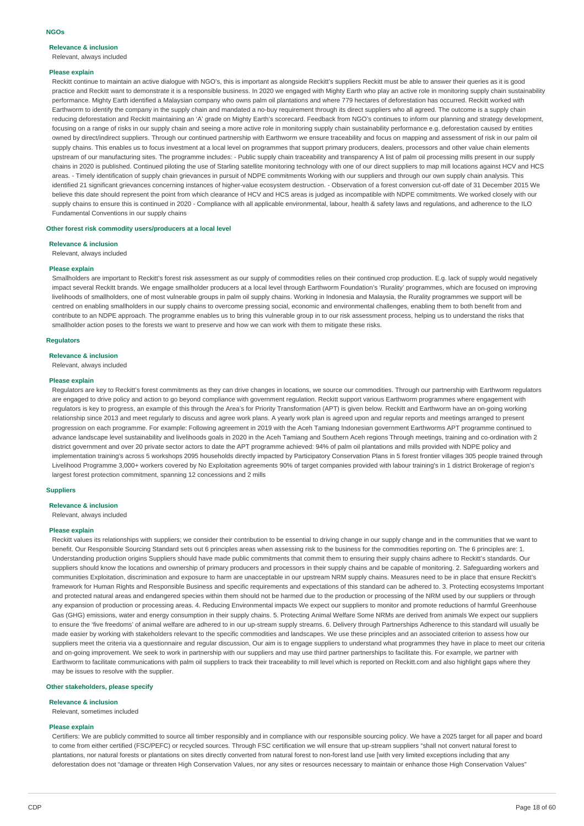# **Relevance & inclusion**

Relevant, always included

## **Please explain**

Reckitt continue to maintain an active dialogue with NGO's, this is important as alongside Reckitt's suppliers Reckitt must be able to answer their queries as it is good practice and Reckitt want to demonstrate it is a responsible business. In 2020 we engaged with Mighty Earth who play an active role in monitoring supply chain sustainability performance. Mighty Earth identified a Malaysian company who owns palm oil plantations and where 779 hectares of deforestation has occurred. Reckitt worked with Earthworm to identify the company in the supply chain and mandated a no-buy requirement through its direct suppliers who all agreed. The outcome is a supply chain reducing deforestation and Reckitt maintaining an 'A' grade on Mighty Earth's scorecard. Feedback from NGO's continues to inform our planning and strategy development. focusing on a range of risks in our supply chain and seeing a more active role in monitoring supply chain sustainability performance e.g. deforestation caused by entities owned by direct/indirect suppliers. Through our continued partnership with Earthworm we ensure traceability and focus on mapping and assessment of risk in our palm oil supply chains. This enables us to focus investment at a local level on programmes that support primary producers, dealers, processors and other value chain elements upstream of our manufacturing sites. The programme includes: - Public supply chain traceability and transparency A list of palm oil processing mills present in our supply chains in 2020 is published. Continued piloting the use of Starling satellite monitoring technology with one of our direct suppliers to map mill locations against HCV and HCS areas. - Timely identification of supply chain grievances in pursuit of NDPE commitments Working with our suppliers and through our own supply chain analysis. This identified 21 significant grievances concerning instances of higher-value ecosystem destruction. - Observation of a forest conversion cut-off date of 31 December 2015 We believe this date should represent the point from which clearance of HCV and HCS areas is judged as incompatible with NDPE commitments. We worked closely with our supply chains to ensure this is continued in 2020 - Compliance with all applicable environmental, labour, health & safety laws and regulations, and adherence to the ILO Fundamental Conventions in our supply chains

#### **Other forest risk commodity users/producers at a local level**

**Relevance & inclusion**

Relevant, always included

#### **Please explain**

Smallholders are important to Reckitt's forest risk assessment as our supply of commodities relies on their continued crop production. E.g. lack of supply would negatively impact several Reckitt brands. We engage smallholder producers at a local level through Earthworm Foundation's 'Rurality' programmes, which are focused on improving livelihoods of smallholders, one of most vulnerable groups in palm oil supply chains. Working in Indonesia and Malaysia, the Rurality programmes we support will be centred on enabling smallholders in our supply chains to overcome pressing social, economic and environmental challenges, enabling them to both benefit from and contribute to an NDPE approach. The programme enables us to bring this vulnerable group in to our risk assessment process, helping us to understand the risks that smallholder action poses to the forests we want to preserve and how we can work with them to mitigate these risks.

#### **Regulators**

#### **Relevance & inclusion**

Relevant, always included

#### **Please explain**

Regulators are key to Reckitt's forest commitments as they can drive changes in locations, we source our commodities. Through our partnership with Earthworm regulators are engaged to drive policy and action to go beyond compliance with government regulation. Reckitt support various Earthworm programmes where engagement with regulators is key to progress, an example of this through the Area's for Priority Transformation (APT) is given below. Reckitt and Earthworm have an on-going working relationship since 2013 and meet regularly to discuss and agree work plans. A yearly work plan is agreed upon and regular reports and meetings arranged to present progression on each programme. For example: Following agreement in 2019 with the Aceh Tamiang Indonesian government Earthworms APT programme continued to advance landscape level sustainability and livelihoods goals in 2020 in the Aceh Tamiang and Southern Aceh regions Through meetings, training and co-ordination with 2 district government and over 20 private sector actors to date the APT programme achieved: 94% of palm oil plantations and mills provided with NDPE policy and implementation training's across 5 workshops 2095 households directly impacted by Participatory Conservation Plans in 5 forest frontier villages 305 people trained through Livelihood Programme 3,000+ workers covered by No Exploitation agreements 90% of target companies provided with labour training's in 1 district Brokerage of region's largest forest protection commitment, spanning 12 concessions and 2 mills

## **Suppliers**

## **Relevance & inclusion**

Relevant, always included

#### **Please explain**

Reckitt values its relationships with suppliers; we consider their contribution to be essential to driving change in our supply change and in the communities that we want to benefit. Our Responsible Sourcing Standard sets out 6 principles areas when assessing risk to the business for the commodities reporting on. The 6 principles are: 1. Understanding production origins Suppliers should have made public commitments that commit them to ensuring their supply chains adhere to Reckitt's standards. Our suppliers should know the locations and ownership of primary producers and processors in their supply chains and be capable of monitoring. 2. Safeguarding workers and communities Exploitation, discrimination and exposure to harm are unacceptable in our upstream NRM supply chains. Measures need to be in place that ensure Reckitt's framework for Human Rights and Responsible Business and specific requirements and expectations of this standard can be adhered to. 3. Protecting ecosystems Important and protected natural areas and endangered species within them should not be harmed due to the production or processing of the NRM used by our suppliers or through any expansion of production or processing areas. 4. Reducing Environmental impacts We expect our suppliers to monitor and promote reductions of harmful Greenhouse Gas (GHG) emissions, water and energy consumption in their supply chains. 5. Protecting Animal Welfare Some NRMs are derived from animals We expect our suppliers to ensure the 'five freedoms' of animal welfare are adhered to in our up-stream supply streams. 6. Delivery through Partnerships Adherence to this standard will usually be made easier by working with stakeholders relevant to the specific commodities and landscapes. We use these principles and an associated criterion to assess how our suppliers meet the criteria via a questionnaire and regular discussion, Our aim is to engage suppliers to understand what programmes they have in place to meet our criteria and on-going improvement. We seek to work in partnership with our suppliers and may use third partner partnerships to facilitate this. For example, we partner with Earthworm to facilitate communications with palm oil suppliers to track their traceability to mill level which is reported on Reckitt.com and also highlight gaps where they may be issues to resolve with the supplier.

#### **Other stakeholders, please specify**

#### **Relevance & inclusion**

Relevant, sometimes included

#### **Please explain**

Certifiers: We are publicly committed to source all timber responsibly and in compliance with our responsible sourcing policy. We have a 2025 target for all paper and board to come from either certified (FSC/PEFC) or recycled sources. Through FSC certification we will ensure that up-stream suppliers "shall not convert natural forest to plantations, nor natural forests or plantations on sites directly converted from natural forest to non-forest land use [with very limited exceptions including that any deforestation does not "damage or threaten High Conservation Values, nor any sites or resources necessary to maintain or enhance those High Conservation Values"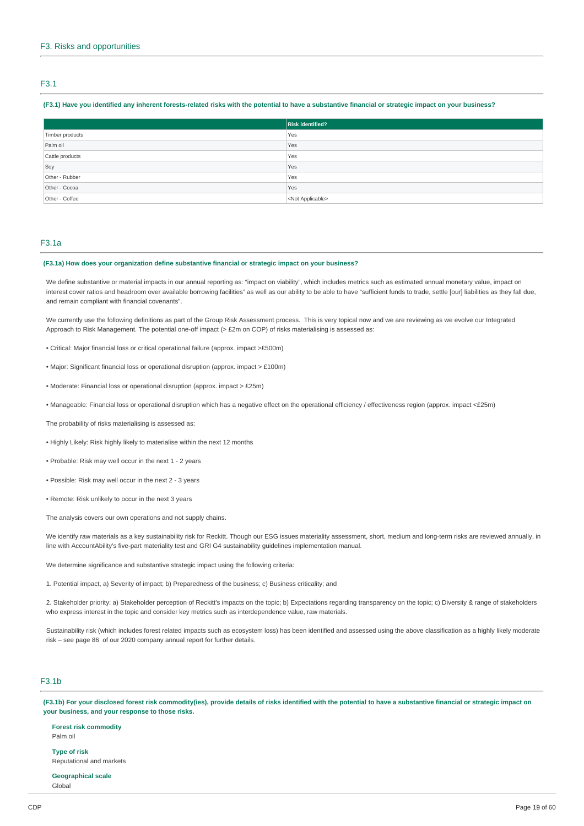# F3.1

## (F3.1) Have vou identified any inherent forests-related risks with the potential to have a substantive financial or strategic impact on your business?

|                 | <b>Risk identified?</b>   |
|-----------------|---------------------------|
| Timber products | Yes                       |
| Palm oil        | Yes                       |
| Cattle products | Yes                       |
| Soy             | Yes                       |
| Other - Rubber  | Yes                       |
| Other - Cocoa   | Yes                       |
| Other - Coffee  | <not applicable=""></not> |

## F3.1a

# **(F3.1a) How does your organization define substantive financial or strategic impact on your business?**

We define substantive or material impacts in our annual reporting as: "impact on viability", which includes metrics such as estimated annual monetary value, impact on interest cover ratios and headroom over available borrowing facilities" as well as our ability to be able to have "sufficient funds to trade, settle [our] liabilities as they fall due, and remain compliant with financial covenants".

We currently use the following definitions as part of the Group Risk Assessment process. This is very topical now and we are reviewing as we evolve our Integrated Approach to Risk Management. The potential one-off impact (> £2m on COP) of risks materialising is assessed as:

- Critical: Major financial loss or critical operational failure (approx. impact >£500m)
- Major: Significant financial loss or operational disruption (approx. impact > £100m)
- Moderate: Financial loss or operational disruption (approx. impact > £25m)
- Manageable: Financial loss or operational disruption which has a negative effect on the operational efficiency / effectiveness region (approx. impact <£25m)

The probability of risks materialising is assessed as:

- Highly Likely: Risk highly likely to materialise within the next 12 months
- Probable: Risk may well occur in the next 1 2 years
- Possible: Risk may well occur in the next 2 3 years
- Remote: Risk unlikely to occur in the next 3 years
- The analysis covers our own operations and not supply chains.

We identify raw materials as a key sustainability risk for Reckitt. Though our ESG issues materiality assessment, short, medium and long-term risks are reviewed annually, in line with AccountAbility's five-part materiality test and GRI G4 sustainability guidelines implementation manual.

We determine significance and substantive strategic impact using the following criteria:

1. Potential impact, a) Severity of impact; b) Preparedness of the business; c) Business criticality; and

2. Stakeholder priority: a) Stakeholder perception of Reckitt's impacts on the topic; b) Expectations regarding transparency on the topic; c) Diversity & range of stakeholders who express interest in the topic and consider key metrics such as interdependence value, raw materials.

Sustainability risk (which includes forest related impacts such as ecosystem loss) has been identified and assessed using the above classification as a highly likely moderate risk – see page 86 of our 2020 company annual report for further details.

# F3.1b

(F3.1b) For your disclosed forest risk commodity(ies), provide details of risks identified with the potential to have a substantive financial or strategic impact on **your business, and your response to those risks.**

**Forest risk commodity** Palm oil

**Type of risk** Reputational and markets

**Geographical scale** Global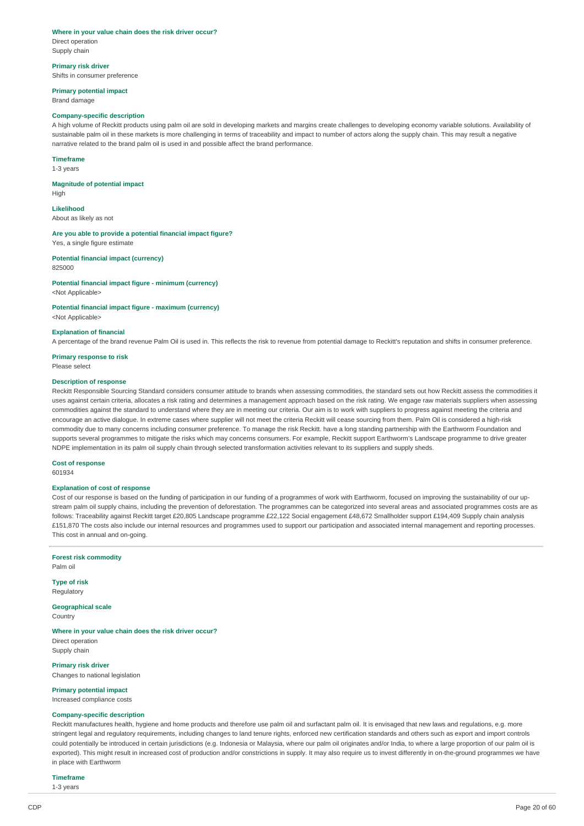#### **Where in your value chain does the risk driver occur?**

Direct operation Supply chain

# **Primary risk driver**

Shifts in consumer preference

# **Primary potential impact**

Brand damage

## **Company-specific description**

A high volume of Reckitt products using palm oil are sold in developing markets and margins create challenges to developing economy variable solutions. Availability of sustainable palm oil in these markets is more challenging in terms of traceability and impact to number of actors along the supply chain. This may result a negative narrative related to the brand palm oil is used in and possible affect the brand performance.

# **Timeframe**

1-3 years

#### **Magnitude of potential impact**

High

# **Likelihood**

About as likely as not

### **Are you able to provide a potential financial impact figure?** Yes, a single figure estimate

**Potential financial impact (currency)**

#### 825000

**Potential financial impact figure - minimum (currency)** <Not Applicable>

# **Potential financial impact figure - maximum (currency)**

<Not Applicable>

## **Explanation of financial**

A percentage of the brand revenue Palm Oil is used in. This reflects the risk to revenue from potential damage to Reckitt's reputation and shifts in consumer preference.

#### **Primary response to risk** Please select

# **Description of response**

Reckitt Responsible Sourcing Standard considers consumer attitude to brands when assessing commodities, the standard sets out how Reckitt assess the commodities it uses against certain criteria, allocates a risk rating and determines a management approach based on the risk rating. We engage raw materials suppliers when assessing commodities against the standard to understand where they are in meeting our criteria. Our aim is to work with suppliers to progress against meeting the criteria and encourage an active dialogue. In extreme cases where supplier will not meet the criteria Reckitt will cease sourcing from them. Palm Oil is considered a high-risk commodity due to many concerns including consumer preference. To manage the risk Reckitt. have a long standing partnership with the Earthworm Foundation and supports several programmes to mitigate the risks which may concerns consumers. For example, Reckitt support Earthworm's Landscape programme to drive greater NDPE implementation in its palm oil supply chain through selected transformation activities relevant to its suppliers and supply sheds.

## **Cost of response**

601934

# **Explanation of cost of response**

Cost of our response is based on the funding of participation in our funding of a programmes of work with Earthworm, focused on improving the sustainability of our upstream palm oil supply chains, including the prevention of deforestation. The programmes can be categorized into several areas and associated programmes costs are as follows: Traceability against Reckitt target £20,805 Landscape programme £22,122 Social engagement £48,672 Smallholder support £194,409 Supply chain analysis £151,870 The costs also include our internal resources and programmes used to support our participation and associated internal management and reporting processes. This cost in annual and on-going.

#### **Forest risk commodity** Palm oil

**Type of risk** Regulatory

**Geographical scale**

**Country** 

#### **Where in your value chain does the risk driver occur?** Direct operation

Supply chain

**Primary risk driver** Changes to national legislation

# **Primary potential impact**

Increased compliance costs

# **Company-specific description**

Reckitt manufactures health, hygiene and home products and therefore use palm oil and surfactant palm oil. It is envisaged that new laws and regulations, e.g. more stringent legal and regulatory requirements, including changes to land tenure rights, enforced new certification standards and others such as export and import controls could potentially be introduced in certain jurisdictions (e.g. Indonesia or Malaysia, where our palm oil originates and/or India, to where a large proportion of our palm oil is exported). This might result in increased cost of production and/or constrictions in supply. It may also require us to invest differently in on-the-ground programmes we have in place with Earthworm

**Timeframe**

1-3 years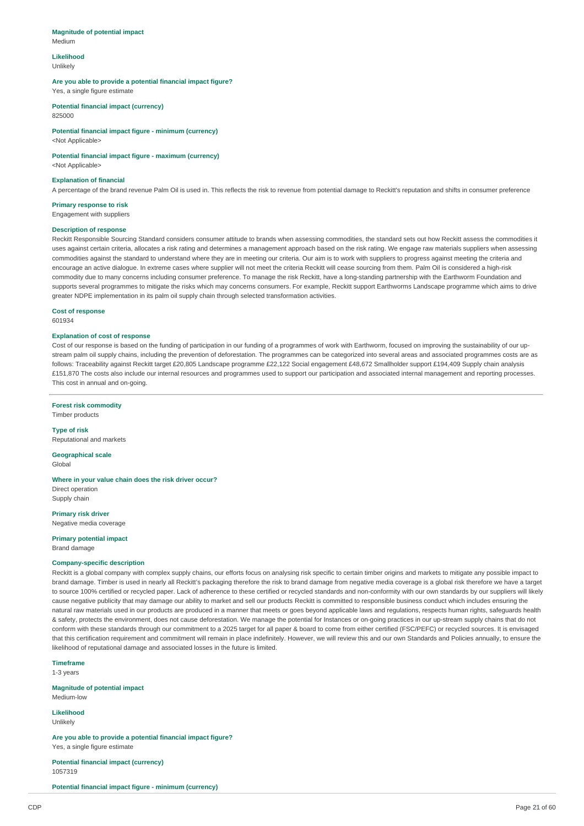#### **Magnitude of potential impact** Medium

#### **Likelihood** Unlikely

**Are you able to provide a potential financial impact figure?** Yes, a single figure estimate

**Potential financial impact (currency)** 825000

**Potential financial impact figure - minimum (currency)** <Not Applicable>

# **Potential financial impact figure - maximum (currency)**

<Not Applicable>

# **Explanation of financial**

A percentage of the brand revenue Palm Oil is used in. This reflects the risk to revenue from potential damage to Reckitt's reputation and shifts in consumer preference

**Primary response to risk** Engagement with suppliers

### **Description of response**

Reckitt Responsible Sourcing Standard considers consumer attitude to brands when assessing commodities, the standard sets out how Reckitt assess the commodities it uses against certain criteria, allocates a risk rating and determines a management approach based on the risk rating. We engage raw materials suppliers when assessing commodities against the standard to understand where they are in meeting our criteria. Our aim is to work with suppliers to progress against meeting the criteria and encourage an active dialogue. In extreme cases where supplier will not meet the criteria Reckitt will cease sourcing from them. Palm Oil is considered a high-risk commodity due to many concerns including consumer preference. To manage the risk Reckitt, have a long-standing partnership with the Earthworm Foundation and supports several programmes to mitigate the risks which may concerns consumers. For example, Reckitt support Earthworms Landscape programme which aims to drive greater NDPE implementation in its palm oil supply chain through selected transformation activities.

**Cost of response**

601934

## **Explanation of cost of response**

Cost of our response is based on the funding of participation in our funding of a programmes of work with Earthworm, focused on improving the sustainability of our upstream palm oil supply chains, including the prevention of deforestation. The programmes can be categorized into several areas and associated programmes costs are as follows: Traceability against Reckitt target £20,805 Landscape programme £22,122 Social engagement £48,672 Smallholder support £194,409 Supply chain analysis £151,870 The costs also include our internal resources and programmes used to support our participation and associated internal management and reporting processes. This cost in annual and on-going.

**Forest risk commodity**

Timber products **Type of risk**

Reputational and markets

**Geographical scale** Global

#### **Where in your value chain does the risk driver occur?** Direct operation

Supply chain

**Primary risk driver** Negative media coverage

**Primary potential impact** Brand damage

### **Company-specific description**

Reckitt is a global company with complex supply chains, our efforts focus on analysing risk specific to certain timber origins and markets to mitigate any possible impact to brand damage. Timber is used in nearly all Reckitt's packaging therefore the risk to brand damage from negative media coverage is a global risk therefore we have a target to source 100% certified or recycled paper. Lack of adherence to these certified or recycled standards and non-conformity with our own standards by our suppliers will likely cause negative publicity that may damage our ability to market and sell our products Reckitt is committed to responsible business conduct which includes ensuring the natural raw materials used in our products are produced in a manner that meets or goes beyond applicable laws and regulations, respects human rights, safeguards health & safety, protects the environment, does not cause deforestation. We manage the potential for Instances or on-going practices in our up-stream supply chains that do not conform with these standards through our commitment to a 2025 target for all paper & board to come from either certified (FSC/PEFC) or recycled sources. It is envisaged that this certification requirement and commitment will remain in place indefinitely. However, we will review this and our own Standards and Policies annually, to ensure the likelihood of reputational damage and associated losses in the future is limited.

**Timeframe**

1-3 years

**Magnitude of potential impact** Medium-low

# **Likelihood**

Unlikely

**Are you able to provide a potential financial impact figure?** Yes, a single figure estimate

**Potential financial impact (currency)** 1057319

**Potential financial impact figure - minimum (currency)**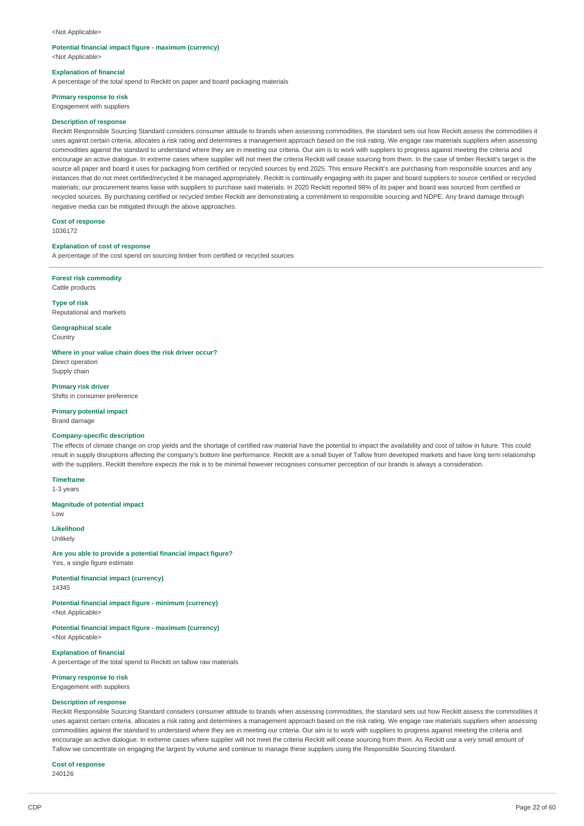#### <Not Applicable>

# **Potential financial impact figure - maximum (currency)**

<Not Applicable>

#### **Explanation of financial**

A percentage of the total spend to Reckitt on paper and board packaging materials

# **Primary response to risk**

Engagement with suppliers

#### **Description of response**

Reckitt Responsible Sourcing Standard considers consumer attitude to brands when assessing commodities, the standard sets out how Reckitt assess the commodities it uses against certain criteria, allocates a risk rating and determines a management approach based on the risk rating. We engage raw materials suppliers when assessing commodities against the standard to understand where they are in meeting our criteria. Our aim is to work with suppliers to progress against meeting the criteria and encourage an active dialogue. In extreme cases where supplier will not meet the criteria Reckitt will cease sourcing from them. In the case of timber Reckitt's target is the source all paper and board it uses for packaging from certified or recycled sources by end 2025. This ensure Reckitt's are purchasing from responsible sources and any instances that do not meet certified/recycled it be managed appropriately. Reckitt is continually engaging with its paper and board suppliers to source certified or recycled materials; our procurement teams liaise with suppliers to purchase said materials. In 2020 Reckitt reported 98% of its paper and board was sourced from certified or recycled sources. By purchasing certified or recycled timber Reckitt are demonstrating a commitment to responsible sourcing and NDPE. Any brand damage through negative media can be mitigated through the above approaches.

**Cost of response** 1036172

#### **Explanation of cost of response**

A percentage of the cost spend on sourcing timber from certified or recycled sources

**Forest risk commodity** Cattle products

**Type of risk** Reputational and markets

**Geographical scale** Country

### **Where in your value chain does the risk driver occur?**

Direct operation Supply chain

**Primary risk driver** Shifts in consumer preference

## **Primary potential impact** Brand damage

#### **Company-specific description**

The effects of climate change on crop yields and the shortage of certified raw material have the potential to impact the availability and cost of tallow in future. This could result in supply disruptions affecting the company's bottom line performance. Reckitt are a small buyer of Tallow from developed markets and have long term relationship with the suppliers. Reckitt therefore expects the risk is to be minimal however recognises consumer perception of our brands is always a consideration.

# **Timeframe**

1-3 years

#### **Magnitude of potential impact** Low

**Likelihood**

Unlikely

**Are you able to provide a potential financial impact figure?** Yes, a single figure estimate

**Potential financial impact (currency)** 14345

**Potential financial impact figure - minimum (currency)** <Not Applicable>

**Potential financial impact figure - maximum (currency)** <Not Applicable>

**Explanation of financial**

A percentage of the total spend to Reckitt on tallow raw materials

**Primary response to risk** Engagement with suppliers

# **Description of response**

Reckitt Responsible Sourcing Standard considers consumer attitude to brands when assessing commodities, the standard sets out how Reckitt assess the commodities it uses against certain criteria, allocates a risk rating and determines a management approach based on the risk rating. We engage raw materials suppliers when assessing commodities against the standard to understand where they are in meeting our criteria. Our aim is to work with suppliers to progress against meeting the criteria and encourage an active dialogue. In extreme cases where supplier will not meet the criteria Reckitt will cease sourcing from them. As Reckitt use a very small amount of Tallow we concentrate on engaging the largest by volume and continue to manage these suppliers using the Responsible Sourcing Standard.

# **Cost of response**

240126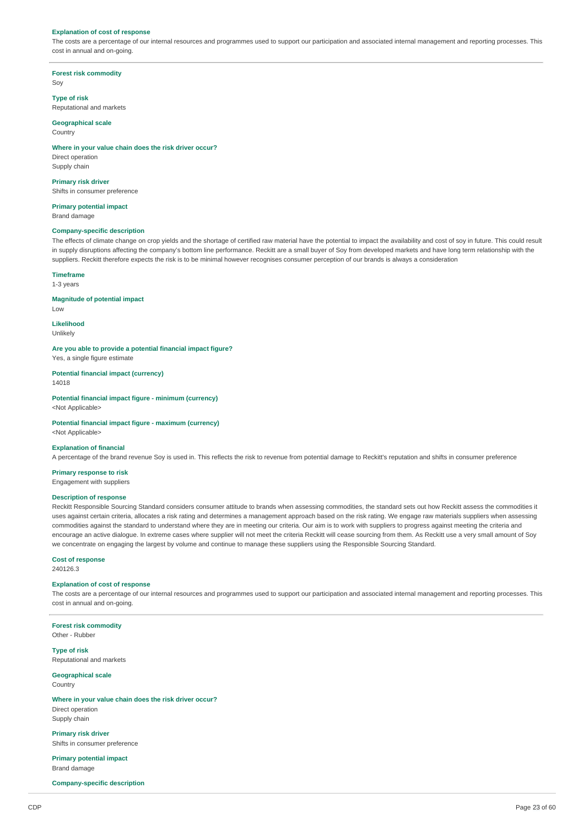#### **Explanation of cost of response**

The costs are a percentage of our internal resources and programmes used to support our participation and associated internal management and reporting processes. This cost in annual and on-going.

**Forest risk commodity** Soy

**Type of risk** Reputational and markets

## **Geographical scale**

**Country** 

#### **Where in your value chain does the risk driver occur?**

Direct operation Supply chain

**Primary risk driver** Shifts in consumer preference

# **Primary potential impact**

Brand damage

# **Company-specific description**

The effects of climate change on crop yields and the shortage of certified raw material have the potential to impact the availability and cost of soy in future. This could result in supply disruptions affecting the company's bottom line performance. Reckitt are a small buyer of Soy from developed markets and have long term relationship with the suppliers. Reckitt therefore expects the risk is to be minimal however recognises consumer perception of our brands is always a consideration

### **Timeframe**

1-3 years

## **Magnitude of potential impact**

Low

#### **Likelihood** Unlikely

**Are you able to provide a potential financial impact figure?** Yes, a single figure estimate

#### **Potential financial impact (currency)** 14018

**Potential financial impact figure - minimum (currency)** <Not Applicable>

# **Potential financial impact figure - maximum (currency)**

<Not Applicable>

## **Explanation of financial**

A percentage of the brand revenue Soy is used in. This reflects the risk to revenue from potential damage to Reckitt's reputation and shifts in consumer preference

# **Primary response to risk**

Engagement with suppliers

# **Description of response**

Reckitt Responsible Sourcing Standard considers consumer attitude to brands when assessing commodities, the standard sets out how Reckitt assess the commodities it uses against certain criteria, allocates a risk rating and determines a management approach based on the risk rating. We engage raw materials suppliers when assessing commodities against the standard to understand where they are in meeting our criteria. Our aim is to work with suppliers to progress against meeting the criteria and encourage an active dialogue. In extreme cases where supplier will not meet the criteria Reckitt will cease sourcing from them. As Reckitt use a very small amount of Soy we concentrate on engaging the largest by volume and continue to manage these suppliers using the Responsible Sourcing Standard.

# **Cost of response**

240126.3

# **Explanation of cost of response**

The costs are a percentage of our internal resources and programmes used to support our participation and associated internal management and reporting processes. This cost in annual and on-going.

**Forest risk commodity** Other - Rubber

**Type of risk** Reputational and markets

**Geographical scale Country** 

## **Where in your value chain does the risk driver occur?** Direct operation Supply chain

**Primary risk driver** Shifts in consumer preference

**Primary potential impact** Brand damage

#### **Company-specific description**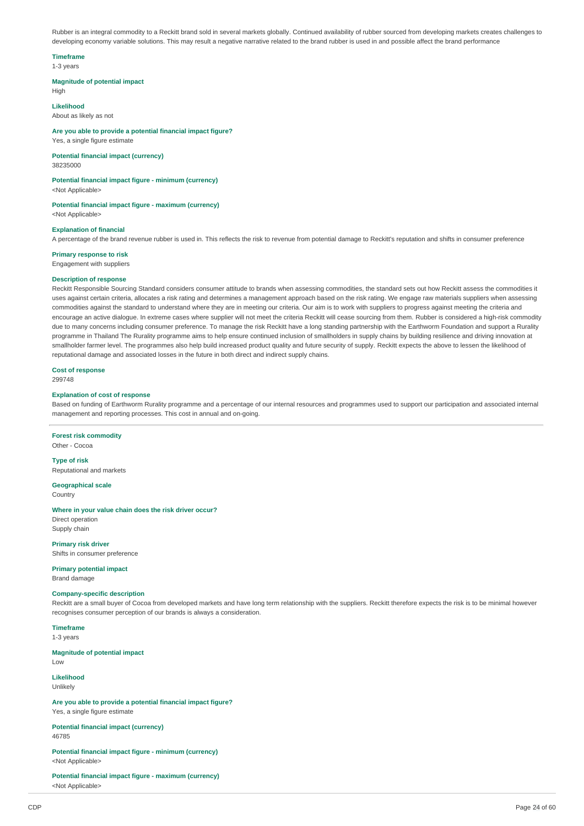Rubber is an integral commodity to a Reckitt brand sold in several markets globally. Continued availability of rubber sourced from developing markets creates challenges to developing economy variable solutions. This may result a negative narrative related to the brand rubber is used in and possible affect the brand performance

# **Timeframe**

1-3 years

## **Magnitude of potential impact**

High

#### **Likelihood**

About as likely as not

## **Are you able to provide a potential financial impact figure?**

Yes, a single figure estimate **Potential financial impact (currency)**

38235000

# **Potential financial impact figure - minimum (currency)**

<Not Applicable>

#### **Potential financial impact figure - maximum (currency)** <Not Applicable>

# **Explanation of financial**

A percentage of the brand revenue rubber is used in. This reflects the risk to revenue from potential damage to Reckitt's reputation and shifts in consumer preference

#### **Primary response to risk**

Engagement with suppliers

## **Description of response**

Reckitt Responsible Sourcing Standard considers consumer attitude to brands when assessing commodities, the standard sets out how Reckitt assess the commodities it uses against certain criteria, allocates a risk rating and determines a management approach based on the risk rating. We engage raw materials suppliers when assessing commodities against the standard to understand where they are in meeting our criteria. Our aim is to work with suppliers to progress against meeting the criteria and encourage an active dialogue. In extreme cases where supplier will not meet the criteria Reckitt will cease sourcing from them. Rubber is considered a high-risk commodity due to many concerns including consumer preference. To manage the risk Reckitt have a long standing partnership with the Earthworm Foundation and support a Rurality programme in Thailand The Rurality programme aims to help ensure continued inclusion of smallholders in supply chains by building resilience and driving innovation at smallholder farmer level. The programmes also help build increased product quality and future security of supply. Reckitt expects the above to lessen the likelihood of reputational damage and associated losses in the future in both direct and indirect supply chains.

## **Cost of response**

299748

#### **Explanation of cost of response**

Based on funding of Earthworm Rurality programme and a percentage of our internal resources and programmes used to support our participation and associated internal management and reporting processes. This cost in annual and on-going.

#### **Forest risk commodity** Other - Cocoa

**Type of risk** Reputational and markets

**Geographical scale Country** 

# **Where in your value chain does the risk driver occur?**

Direct operation Supply chain

**Primary risk driver** Shifts in consumer preference

# **Primary potential impact**

Brand damage

#### **Company-specific description**

Reckitt are a small buyer of Cocoa from developed markets and have long term relationship with the suppliers. Reckitt therefore expects the risk is to be minimal however recognises consumer perception of our brands is always a consideration.

# **Timeframe**

1-3 years

#### **Magnitude of potential impact** Low

**Likelihood**

#### Unlikely

**Are you able to provide a potential financial impact figure?** Yes, a single figure estimate

#### **Potential financial impact (currency)** 46785

**Potential financial impact figure - minimum (currency)** <Not Applicable>

**Potential financial impact figure - maximum (currency)** <Not Applicable>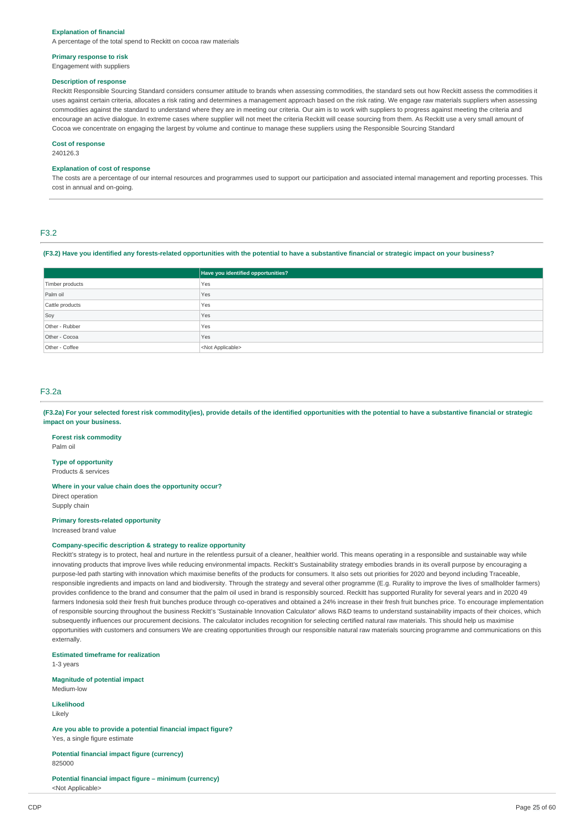#### **Explanation of financial**

A percentage of the total spend to Reckitt on cocoa raw materials

# **Primary response to risk**

# Engagement with suppliers

## **Description of response**

Reckitt Responsible Sourcing Standard considers consumer attitude to brands when assessing commodities, the standard sets out how Reckitt assess the commodities it uses against certain criteria, allocates a risk rating and determines a management approach based on the risk rating. We engage raw materials suppliers when assessing commodities against the standard to understand where they are in meeting our criteria. Our aim is to work with suppliers to progress against meeting the criteria and encourage an active dialogue. In extreme cases where supplier will not meet the criteria Reckitt will cease sourcing from them. As Reckitt use a very small amount of Cocoa we concentrate on engaging the largest by volume and continue to manage these suppliers using the Responsible Sourcing Standard

#### **Cost of response**

240126.3

### **Explanation of cost of response**

The costs are a percentage of our internal resources and programmes used to support our participation and associated internal management and reporting processes. This cost in annual and on-going.

# F3.2

# (F3.2) Have you identified any forests-related opportunities with the potential to have a substantive financial or strategic impact on your business?

|                 | Have you identified opportunities? |
|-----------------|------------------------------------|
| Timber products | Yes                                |
| Palm oil        | Yes                                |
| Cattle products | Yes                                |
| Soy             | Yes                                |
| Other - Rubber  | Yes                                |
| Other - Cocoa   | Yes                                |
| Other - Coffee  | <not applicable=""></not>          |

# F3.2a

(F3.2a) For your selected forest risk commodity(ies), provide details of the identified opportunities with the potential to have a substantive financial or strategic **impact on your business.**

**Forest risk commodity** Palm oil

**Type of opportunity** Products & services

**Where in your value chain does the opportunity occur?**

Direct operation Supply chain

### **Primary forests-related opportunity**

Increased brand value

#### **Company-specific description & strategy to realize opportunity**

Reckitt's strategy is to protect, heal and nurture in the relentless pursuit of a cleaner, healthier world. This means operating in a responsible and sustainable way while innovating products that improve lives while reducing environmental impacts. Reckitt's Sustainability strategy embodies brands in its overall purpose by encouraging a purpose-led path starting with innovation which maximise benefits of the products for consumers. It also sets out priorities for 2020 and beyond including Traceable, responsible ingredients and impacts on land and biodiversity. Through the strategy and several other programme (E.g. Rurality to improve the lives of smallholder farmers) provides confidence to the brand and consumer that the palm oil used in brand is responsibly sourced. Reckitt has supported Rurality for several years and in 2020 49 farmers Indonesia sold their fresh fruit bunches produce through co-operatives and obtained a 24% increase in their fresh fruit bunches price. To encourage implementation of responsible sourcing throughout the business Reckitt's 'Sustainable Innovation Calculator' allows R&D teams to understand sustainability impacts of their choices, which subsequently influences our procurement decisions. The calculator includes recognition for selecting certified natural raw materials. This should help us maximise opportunities with customers and consumers We are creating opportunities through our responsible natural raw materials sourcing programme and communications on this externally.

**Estimated timeframe for realization**

1-3 years

**Magnitude of potential impact** Medium-low

**Likelihood** Likely

**Are you able to provide a potential financial impact figure?** Yes, a single figure estimate

**Potential financial impact figure (currency)** 825000

**Potential financial impact figure – minimum (currency)** <Not Applicable>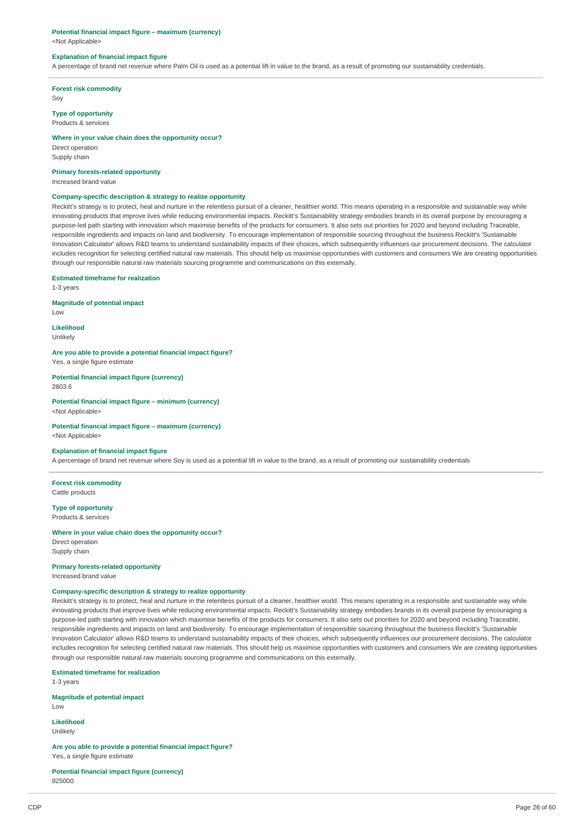#### **Potential financial impact figure – maximum (currency)**

<Not Applicable>

#### **Explanation of financial impact figure**

A percentage of brand net revenue where Palm Oil is used as a potential lift in value to the brand, as a result of promoting our sustainability credentials.

**Forest risk commodity**

Soy

# **Type of opportunity**

Products & services

# **Where in your value chain does the opportunity occur?**

Direct operation Supply chain

#### **Primary forests-related opportunity**

Increased brand value

# **Company-specific description & strategy to realize opportunity**

Reckitt's strategy is to protect, heal and nurture in the relentless pursuit of a cleaner, healthier world. This means operating in a responsible and sustainable way while innovating products that improve lives while reducing environmental impacts. Reckitt's Sustainability strategy embodies brands in its overall purpose by encouraging a purpose-led path starting with innovation which maximise benefits of the products for consumers. It also sets out priorities for 2020 and beyond including Traceable, responsible ingredients and impacts on land and biodiversity. To encourage implementation of responsible sourcing throughout the business Reckitt's 'Sustainable Innovation Calculator' allows R&D teams to understand sustainability impacts of their choices, which subsequently influences our procurement decisions. The calculator includes recognition for selecting certified natural raw materials. This should help us maximise opportunities with customers and consumers We are creating opportunities through our responsible natural raw materials sourcing programme and communications on this externally.

**Estimated timeframe for realization**

1-3 years

# **Magnitude of potential impact**

Low

**Likelihood** Unlikely

# **Are you able to provide a potential financial impact figure?**

Yes, a single figure estimate

**Potential financial impact figure (currency)** 2803.6

**Potential financial impact figure – minimum (currency)** <Not Applicable>

## **Potential financial impact figure – maximum (currency)**

<Not Applicable>

#### **Explanation of financial impact figure**

A percentage of brand net revenue where Soy is used as a potential lift in value to the brand, as a result of promoting our sustainability credentials

**Forest risk commodity** Cattle products

**Type of opportunity** Products & services

### **Where in your value chain does the opportunity occur?**

Direct operation Supply chain

#### **Primary forests-related opportunity**

Increased brand value

### **Company-specific description & strategy to realize opportunity**

Reckitt's strategy is to protect, heal and nurture in the relentless pursuit of a cleaner, healthier world. This means operating in a responsible and sustainable way while innovating products that improve lives while reducing environmental impacts. Reckitt's Sustainability strategy embodies brands in its overall purpose by encouraging a purpose-led path starting with innovation which maximise benefits of the products for consumers. It also sets out priorities for 2020 and beyond including Traceable, responsible ingredients and impacts on land and biodiversity. To encourage implementation of responsible sourcing throughout the business Reckitt's 'Sustainable Innovation Calculator' allows R&D teams to understand sustainability impacts of their choices, which subsequently influences our procurement decisions. The calculator includes recognition for selecting certified natural raw materials. This should help us maximise opportunities with customers and consumers We are creating opportunities through our responsible natural raw materials sourcing programme and communications on this externally.

**Estimated timeframe for realization**

1-3 years

# **Magnitude of potential impact**

Low

**Likelihood** Unlikely

**Are you able to provide a potential financial impact figure?** Yes, a single figure estimate

## **Potential financial impact figure (currency)** 825000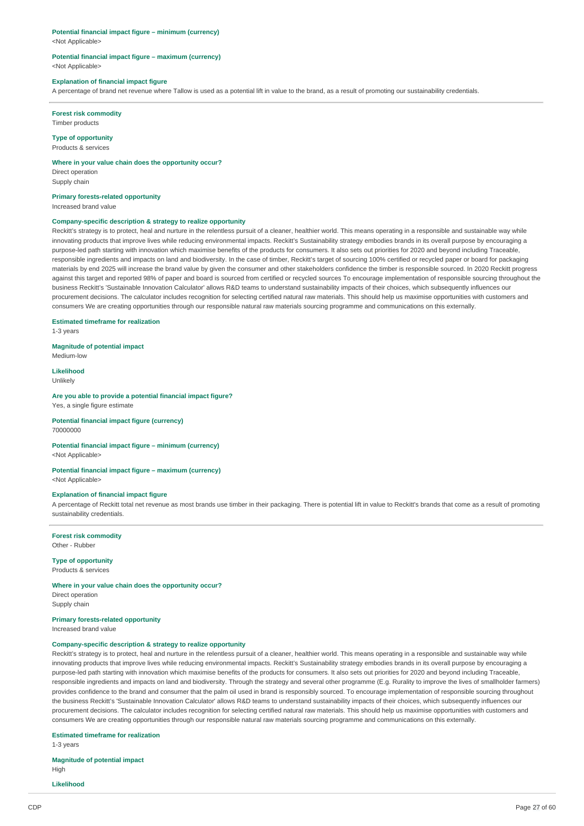#### **Potential financial impact figure – minimum (currency)**

<Not Applicable>

#### **Potential financial impact figure – maximum (currency)** <Not Applicable>

### **Explanation of financial impact figure**

A percentage of brand net revenue where Tallow is used as a potential lift in value to the brand, as a result of promoting our sustainability credentials.

# **Forest risk commodity**

Timber products

**Type of opportunity** Products & services

#### **Where in your value chain does the opportunity occur?**

Direct operation Supply chain

### **Primary forests-related opportunity**

Increased brand value

#### **Company-specific description & strategy to realize opportunity**

Reckitt's strategy is to protect, heal and nurture in the relentless pursuit of a cleaner, healthier world. This means operating in a responsible and sustainable way while innovating products that improve lives while reducing environmental impacts. Reckitt's Sustainability strategy embodies brands in its overall purpose by encouraging a purpose-led path starting with innovation which maximise benefits of the products for consumers. It also sets out priorities for 2020 and beyond including Traceable, responsible ingredients and impacts on land and biodiversity. In the case of timber, Reckitt's target of sourcing 100% certified or recycled paper or board for packaging materials by end 2025 will increase the brand value by given the consumer and other stakeholders confidence the timber is responsible sourced. In 2020 Reckitt progress against this target and reported 98% of paper and board is sourced from certified or recycled sources To encourage implementation of responsible sourcing throughout the business Reckitt's 'Sustainable Innovation Calculator' allows R&D teams to understand sustainability impacts of their choices, which subsequently influences our procurement decisions. The calculator includes recognition for selecting certified natural raw materials. This should help us maximise opportunities with customers and consumers We are creating opportunities through our responsible natural raw materials sourcing programme and communications on this externally.

#### **Estimated timeframe for realization**

1-3 years

**Magnitude of potential impact**

# Medium-low **Likelihood**

Unlikely

# **Are you able to provide a potential financial impact figure?**

Yes, a single figure estimate

# **Potential financial impact figure (currency)**

70000000

# **Potential financial impact figure – minimum (currency)**

<Not Applicable>

#### **Potential financial impact figure – maximum (currency)** <Not Applicable>

#### **Explanation of financial impact figure**

A percentage of Reckitt total net revenue as most brands use timber in their packaging. There is potential lift in value to Reckitt's brands that come as a result of promoting sustainability credentials.

**Forest risk commodity** Other - Rubber

# **Type of opportunity**

Products & services

## **Where in your value chain does the opportunity occur?**

Direct operation Supply chain

# **Primary forests-related opportunity**

Increased brand value

#### **Company-specific description & strategy to realize opportunity**

Reckitt's strategy is to protect, heal and nurture in the relentless pursuit of a cleaner, healthier world. This means operating in a responsible and sustainable way while innovating products that improve lives while reducing environmental impacts. Reckitt's Sustainability strategy embodies brands in its overall purpose by encouraging a purpose-led path starting with innovation which maximise benefits of the products for consumers. It also sets out priorities for 2020 and beyond including Traceable, responsible ingredients and impacts on land and biodiversity. Through the strategy and several other programme (E.g. Rurality to improve the lives of smallholder farmers) provides confidence to the brand and consumer that the palm oil used in brand is responsibly sourced. To encourage implementation of responsible sourcing throughout the business Reckitt's 'Sustainable Innovation Calculator' allows R&D teams to understand sustainability impacts of their choices, which subsequently influences our procurement decisions. The calculator includes recognition for selecting certified natural raw materials. This should help us maximise opportunities with customers and consumers We are creating opportunities through our responsible natural raw materials sourcing programme and communications on this externally.

## **Estimated timeframe for realization**

1-3 years

# **Magnitude of potential impact**

High

# **Likelihood**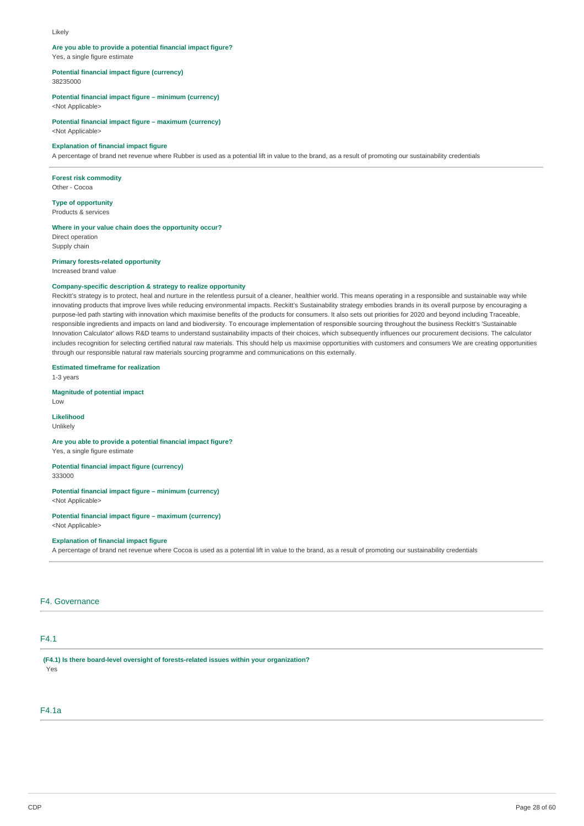#### Likely

# **Are you able to provide a potential financial impact figure?**

Yes, a single figure estimate

### **Potential financial impact figure (currency)**

38235000

## **Potential financial impact figure – minimum (currency)**

<Not Applicable>

# **Potential financial impact figure – maximum (currency)**

<Not Applicable>

# **Explanation of financial impact figure**

A percentage of brand net revenue where Rubber is used as a potential lift in value to the brand, as a result of promoting our sustainability credentials

# **Forest risk commodity**

Other - Cocoa

#### **Type of opportunity** Products & services

#### **Where in your value chain does the opportunity occur?**

Direct operation Supply chain

## **Primary forests-related opportunity**

Increased brand value

## **Company-specific description & strategy to realize opportunity**

Reckitt's strategy is to protect, heal and nurture in the relentless pursuit of a cleaner, healthier world. This means operating in a responsible and sustainable way while innovating products that improve lives while reducing environmental impacts. Reckitt's Sustainability strategy embodies brands in its overall purpose by encouraging a purpose-led path starting with innovation which maximise benefits of the products for consumers. It also sets out priorities for 2020 and beyond including Traceable, responsible ingredients and impacts on land and biodiversity. To encourage implementation of responsible sourcing throughout the business Reckitt's 'Sustainable Innovation Calculator' allows R&D teams to understand sustainability impacts of their choices, which subsequently influences our procurement decisions. The calculator includes recognition for selecting certified natural raw materials. This should help us maximise opportunities with customers and consumers We are creating opportunities through our responsible natural raw materials sourcing programme and communications on this externally.

#### **Estimated timeframe for realization**

1-3 years

## **Magnitude of potential impact**

Low

## **Likelihood** Unlikely

## **Are you able to provide a potential financial impact figure?**

Yes, a single figure estimate

# **Potential financial impact figure (currency)**

333000

# **Potential financial impact figure – minimum (currency)**

<Not Applicable>

## **Potential financial impact figure – maximum (currency)** <Not Applicable>

#### **Explanation of financial impact figure**

A percentage of brand net revenue where Cocoa is used as a potential lift in value to the brand, as a result of promoting our sustainability credentials

# F4. Governance

# F4.1

**(F4.1) Is there board-level oversight of forests-related issues within your organization?** Yes

# F4.1a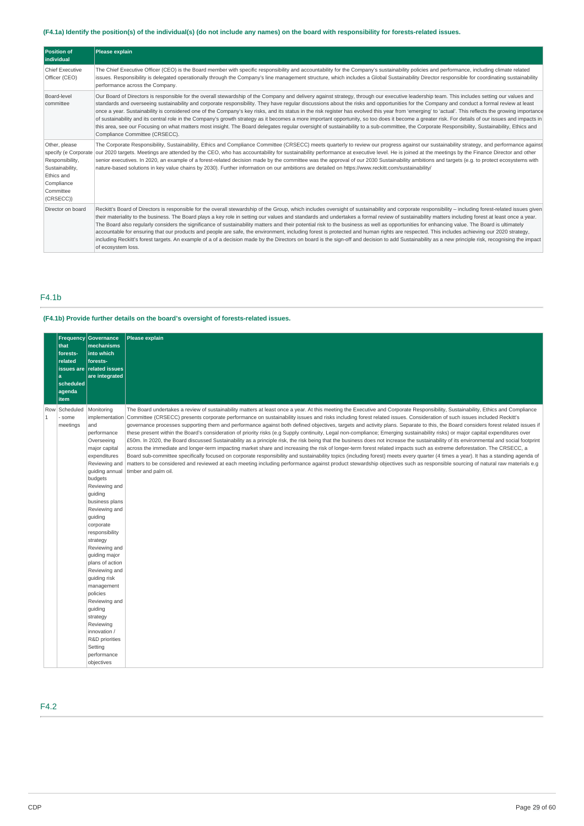# (F4.1a) Identify the position(s) of the individual(s) (do not include any names) on the board with responsibility for forests-related issues.

| <b>Position of</b><br>individual                                                                          | <b>Please explain</b>                                                                                                                                                                                                                                                                                                                                                                                                                                                                                                                                                                                                                                                                                                                                                                                                                                                                                                                                                                                                                        |
|-----------------------------------------------------------------------------------------------------------|----------------------------------------------------------------------------------------------------------------------------------------------------------------------------------------------------------------------------------------------------------------------------------------------------------------------------------------------------------------------------------------------------------------------------------------------------------------------------------------------------------------------------------------------------------------------------------------------------------------------------------------------------------------------------------------------------------------------------------------------------------------------------------------------------------------------------------------------------------------------------------------------------------------------------------------------------------------------------------------------------------------------------------------------|
| Chief Executive<br>Officer (CEO)                                                                          | The Chief Executive Officer (CEO) is the Board member with specific responsibility and accountability for the Company's sustainability policies and performance, including climate related<br>issues. Responsibility is delegated operationally through the Company's line management structure, which includes a Global Sustainability Director responsible for coordinating sustainability<br>performance across the Company.                                                                                                                                                                                                                                                                                                                                                                                                                                                                                                                                                                                                              |
| Board-level<br>committee                                                                                  | Our Board of Directors is responsible for the overall stewardship of the Company and delivery against strategy, through our executive leadership team. This includes setting our values and<br>standards and overseeing sustainability and corporate responsibility. They have regular discussions about the risks and opportunities for the Company and conduct a formal review at least<br>once a year. Sustainability is considered one of the Company's key risks, and its status in the risk register has evolved this year from 'emerging' to 'actual'. This reflects the growing importance<br>of sustainability and its central role in the Company's growth strategy as it becomes a more important opportunity, so too does it become a greater risk. For details of our issues and impacts in<br>this area, see our Focusing on what matters most insight. The Board delegates regular oversight of sustainability to a sub-committee, the Corporate Responsibility, Sustainability, Ethics and<br>Compliance Committee (CRSECC). |
| Other, please<br>Responsibility,<br>Sustainability,<br>Ethics and<br>Compliance<br>Committee<br>(CRSECC)) | The Corporate Responsibility, Sustainability, Ethics and Compliance Committee (CRSECC) meets quarterly to review our progress against our sustainability strategy, and performance against<br>specify (e Corporate our 2020 targets. Meetings are attended by the CEO, who has accountability for sustainability performance at executive level. He is joined at the meetings by the Finance Director and other<br>senior executives. In 2020, an example of a forest-related decision made by the committee was the approval of our 2030 Sustainability ambitions and targets (e.g. to protect ecosystems with<br>nature-based solutions in key value chains by 2030). Further information on our ambitions are detailed on https://www.reckitt.com/sustainability/                                                                                                                                                                                                                                                                         |
| Director on board                                                                                         | Reckitt's Board of Directors is responsible for the overall stewardship of the Group, which includes oversight of sustainability and corporate responsibility – including forest-related issues given<br>their materiality to the business. The Board plays a key role in setting our values and standards and undertakes a formal review of sustainability matters including forest at least once a year.<br>The Board also regularly considers the significance of sustainability matters and their potential risk to the business as well as opportunities for enhancing value. The Board is ultimately<br>accountable for ensuring that our products and people are safe, the environment, including forest is protected and human rights are respected. This includes achieving our 2020 strategy,<br>including Reckitt's forest targets. An example of a of a decision made by the Directors on board is the sign-off and decision to add Sustainability as a new principle risk, recognising the impact<br>of ecosystem loss.         |

# F4.1b

# **(F4.1b) Provide further details on the board's oversight of forests-related issues.**

|                     | Frequency<br>that<br>forests-<br>related<br>issues are<br>a<br>scheduled<br>agenda<br>item | Governance<br>mechanisms<br>into which<br>forests-<br>related issues<br>are integrated                                                                                                                                                                                                                                                                                                                                                                                                                              | Please explain                                                                                                                                                                                                                                                                                                                                                                                                                                                                                                                                                                                                                                                                                                                                                                                                                                                                                                                                                                                                                                                                                                                                                                                                                                                                                                                                                                                                                                                                                      |
|---------------------|--------------------------------------------------------------------------------------------|---------------------------------------------------------------------------------------------------------------------------------------------------------------------------------------------------------------------------------------------------------------------------------------------------------------------------------------------------------------------------------------------------------------------------------------------------------------------------------------------------------------------|-----------------------------------------------------------------------------------------------------------------------------------------------------------------------------------------------------------------------------------------------------------------------------------------------------------------------------------------------------------------------------------------------------------------------------------------------------------------------------------------------------------------------------------------------------------------------------------------------------------------------------------------------------------------------------------------------------------------------------------------------------------------------------------------------------------------------------------------------------------------------------------------------------------------------------------------------------------------------------------------------------------------------------------------------------------------------------------------------------------------------------------------------------------------------------------------------------------------------------------------------------------------------------------------------------------------------------------------------------------------------------------------------------------------------------------------------------------------------------------------------------|
| Row<br>$\mathbf{1}$ | Scheduled<br>some<br>meetings                                                              | Monitoring<br>implementation<br>and<br>performance<br>Overseeing<br>major capital<br>expenditures<br>Reviewing and<br>guiding annual<br>budgets<br>Reviewing and<br>guiding<br>business plans<br>Reviewing and<br>guiding<br>corporate<br>responsibility<br>strategy<br>Reviewing and<br>guiding major<br>plans of action<br>Reviewing and<br>quiding risk<br>management<br>policies<br>Reviewing and<br>guiding<br>strategy<br>Reviewing<br>innovation /<br>R&D priorities<br>Setting<br>performance<br>objectives | The Board undertakes a review of sustainability matters at least once a year. At this meeting the Executive and Corporate Responsibility, Sustainability, Ethics and Compliance<br>Committee (CRSECC) presents corporate performance on sustainability issues and risks including forest related issues. Consideration of such issues included Reckitt's<br>governance processes supporting them and performance against both defined objectives, targets and activity plans. Separate to this, the Board considers forest related issues if<br>these present within the Board's consideration of priority risks (e.g Supply continuity, Legal non-compliance; Emerging sustainability risks) or major capital expenditures over<br>£50m. In 2020, the Board discussed Sustainability as a principle risk, the risk being that the business does not increase the sustainability of its environmental and social footprint<br>across the immediate and longer-term impacting market share and increasing the risk of longer-term forest related impacts such as extreme deforestation. The CRSECC, a<br>Board sub-committee specifically focused on corporate responsibility and sustainability topics (including forest) meets every quarter (4 times a year). It has a standing agenda of<br>matters to be considered and reviewed at each meeting including performance against product stewardship objectives such as responsible sourcing of natural raw materials e.g<br>timber and palm oil. |

F4.2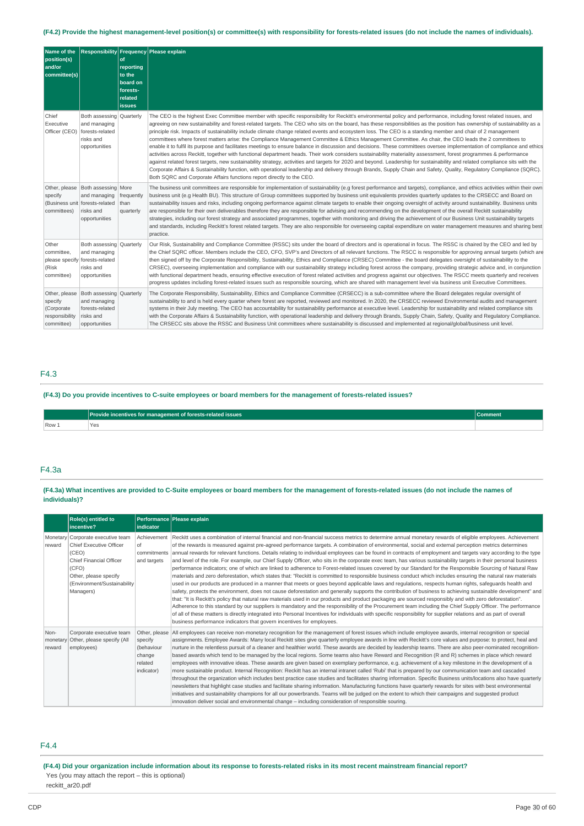# (F4.2) Provide the highest management-level position(s) or committee(s) with responsibility for forests-related issues (do not include the names of individuals).

| Name of the<br>position(s)<br>and/or<br>committee(s)                   |                                                                                           | of<br>reporting<br>to the<br>board on<br>forests-<br>related<br><b>issues</b> | Responsibility Frequency Please explain                                                                                                                                                                                                                                                                                                                                                                                                                                                                                                                                                                                                                                                                                                                                                                                                                                                                                                                                                                                                                                                                                                                                                                                                                                                                                                                                                                                                                  |
|------------------------------------------------------------------------|-------------------------------------------------------------------------------------------|-------------------------------------------------------------------------------|----------------------------------------------------------------------------------------------------------------------------------------------------------------------------------------------------------------------------------------------------------------------------------------------------------------------------------------------------------------------------------------------------------------------------------------------------------------------------------------------------------------------------------------------------------------------------------------------------------------------------------------------------------------------------------------------------------------------------------------------------------------------------------------------------------------------------------------------------------------------------------------------------------------------------------------------------------------------------------------------------------------------------------------------------------------------------------------------------------------------------------------------------------------------------------------------------------------------------------------------------------------------------------------------------------------------------------------------------------------------------------------------------------------------------------------------------------|
| Chief<br>Executive<br>Officer (CEO)                                    | Both assessing Quarterly<br>and managing<br>forests-related<br>risks and<br>opportunities |                                                                               | The CEO is the highest Exec Committee member with specific responsibility for Reckitt's environmental policy and performance, including forest related issues, and<br>agreeing on new sustainability and forest-related targets. The CEO who sits on the board, has these responsibilities as the position has ownership of sustainability as a<br>principle risk. Impacts of sustainability include climate change related events and ecosystem loss. The CEO is a standing member and chair of 2 management<br>committees where forest matters arise: the Compliance Management Committee & Ethics Management Committee. As chair, the CEO leads the 2 committees to<br>enable it to fulfil its purpose and facilitates meetings to ensure balance in discussion and decisions. These committees oversee implementation of compliance and ethics<br>activities across Reckitt, together with functional department heads. Their work considers sustainability materiality assessment, forest programmes & performance<br>against related forest targets, new sustainability strategy, activities and targets for 2020 and beyond. Leadership for sustainability and related compliance sits with the<br>Corporate Affairs & Sustainability function, with operational leadership and delivery through Brands, Supply Chain and Safety, Quality, Requlatory Compliance (SQRC).<br>Both SQRC and Corporate Affairs functions report directly to the CEO. |
| Other, please<br>specify<br>(Business unit<br>committees)              | Both assessing More<br>and managing<br>forests-related<br>risks and<br>opportunities      | frequently<br>than<br>quarterly                                               | The business unit committees are responsible for implementation of sustainability (e.g forest performance and targets), compliance, and ethics activities within their own<br>business unit (e.g Health BU). This structure of Group committees supported by business unit equivalents provides quarterly updates to the CRSECC and Board on<br>sustainability issues and risks, including ongoing performance against climate targets to enable their ongoing oversight of activity around sustainability. Business units<br>are responsible for their own deliverables therefore they are responsible for advising and recommending on the development of the overall Reckitt sustainability<br>strategies, including our forest strategy and associated programmes, together with monitoring and driving the achievement of our Business Unit sustainability targets<br>and standards, including Reckitt's forest related targets. They are also responsible for overseeing capital expenditure on water management measures and sharing best<br>practice.                                                                                                                                                                                                                                                                                                                                                                                            |
| Other<br>committee,<br>please specify<br>(Risk<br>committee)           | Both assessing Quarterly<br>and managing<br>forests-related<br>risks and<br>opportunities |                                                                               | Our Risk, Sustainability and Compliance Committee (RSSC) sits under the board of directors and is operational in focus. The RSSC is chaired by the CEO and led by<br>the Chief SQRC officer. Members include the CEO, CFO, SVP's and Directors of all relevant functions. The RSCC is responsible for approving annual targets (which are<br>then signed off by the Corporate Responsibility, Sustainability, Ethics and Compliance (CRSEC) Committee - the board delegates oversight of sustainability to the<br>CRSEC), overseeing implementation and compliance with our sustainability strategy including forest across the company, providing strategic advice and, in conjunction<br>with functional department heads, ensuring effective execution of forest related activities and progress against our objectives. The RSCC meets quarterly and receives<br>progress updates including forest-related issues such as responsible sourcing, which are shared with management level via business unit Executive Committees.                                                                                                                                                                                                                                                                                                                                                                                                                       |
| Other, please<br>specify<br>(Corporate<br>responsibility<br>committee) | Both assessing Quarterly<br>and managing<br>forests-related<br>risks and<br>opportunities |                                                                               | The Corporate Responsibility, Sustainability, Ethics and Compliance Committee (CRSECC) is a sub-committee where the Board delegates regular oversight of<br>sustainability to and is held every quarter where forest are reported, reviewed and monitored. In 2020, the CRSECC reviewed Environmental audits and management<br>systems in their July meeting. The CEO has accountability for sustainability performance at executive level. Leadership for sustainability and related compliance sits<br>with the Corporate Affairs & Sustainability function, with operational leadership and delivery through Brands, Supply Chain, Safety, Quality and Regulatory Compliance.<br>The CRSECC sits above the RSSC and Business Unit committees where sustainability is discussed and implemented at regional/global/business unit level.                                                                                                                                                                                                                                                                                                                                                                                                                                                                                                                                                                                                                |

# F4.3

(F4.3) Do you provide incentives to C-suite employees or board members for the management of forests-related issues?

|       | ÷<br>s for management of forests-related issues T | Comme <sub>r</sub> |
|-------|---------------------------------------------------|--------------------|
| Row 1 | $\vee$                                            |                    |

# F4.3a

(F4.3a) What incentives are provided to C-Suite employees or board members for the management of forests-related issues (do not include the names of **individuals)?**

|                            | <b>Role(s)</b> entitled to<br>incentive?                                                                                                                                              | indicator                                                                 | Performance Please explain                                                                                                                                                                                                                                                                                                                                                                                                                                                                                                                                                                                                                                                                                                                                                                                                                                                                                                                                                                                                                                                                                                                                                                                                                                                                                                                                                                                                                                                                                                                                                                                                                                                                                                                                                                                                                                                                            |
|----------------------------|---------------------------------------------------------------------------------------------------------------------------------------------------------------------------------------|---------------------------------------------------------------------------|-------------------------------------------------------------------------------------------------------------------------------------------------------------------------------------------------------------------------------------------------------------------------------------------------------------------------------------------------------------------------------------------------------------------------------------------------------------------------------------------------------------------------------------------------------------------------------------------------------------------------------------------------------------------------------------------------------------------------------------------------------------------------------------------------------------------------------------------------------------------------------------------------------------------------------------------------------------------------------------------------------------------------------------------------------------------------------------------------------------------------------------------------------------------------------------------------------------------------------------------------------------------------------------------------------------------------------------------------------------------------------------------------------------------------------------------------------------------------------------------------------------------------------------------------------------------------------------------------------------------------------------------------------------------------------------------------------------------------------------------------------------------------------------------------------------------------------------------------------------------------------------------------------|
| reward                     | Monetary Corporate executive team<br>Chief Executive Officer<br>(CEO)<br><b>Chief Financial Officer</b><br>(CFO)<br>Other, please specify<br>(Environment/Sustainability<br>Managers) | Achievement<br>of<br>and targets                                          | Reckitt uses a combination of internal financial and non-financial success metrics to determine annual monetary rewards of eligible employees. Achievement<br>of the rewards is measured against pre-agreed performance targets. A combination of environmental, social and external perception metrics determines<br>commitments annual rewards for relevant functions. Details relating to individual employees can be found in contracts of employment and targets vary according to the type<br>and level of the role. For example, our Chief Supply Officer, who sits in the corporate exec team, has various sustainability targets in their personal business<br>performance indicators; one of which are linked to adherence to Forest-related issues covered by our Standard for the Responsible Sourcing of Natural Raw<br>materials and zero deforestation, which states that: "Reckitt is committed to responsible business conduct which includes ensuring the natural raw materials<br>used in our products are produced in a manner that meets or goes beyond applicable laws and requlations, respects human rights, safeguards health and<br>safety, protects the environment, does not cause deforestation and generally supports the contribution of business to achieving sustainable development" and<br>that: "It is Reckitt's policy that natural raw materials used in our products and product packaging are sourced responsibly and with zero deforestation".<br>Adherence to this standard by our suppliers is mandatory and the responsibility of the Procurement team including the Chief Supply Officer. The performance<br>of all of these matters is directly integrated into Personal Incentives for individuals with specific responsibility for supplier relations and as part of overall<br>business performance indicators that govern incentives for employees. |
| Non-<br>monetary<br>reward | Corporate executive team<br>Other, please specify (All<br>employees)                                                                                                                  | Other, please<br>specify<br>(behaviour<br>change<br>related<br>indicator) | All employees can receive non-monetary recognition for the management of forest issues which include employee awards, internal recognition or special<br>assignments. Employee Awards: Many local Reckitt sites give quarterly employee awards in line with Reckitt's core values and purpose: to protect, heal and<br>nurture in the relentless pursuit of a cleaner and healthier world. These awards are decided by leadership teams. There are also peer-nominated recognition-<br>based awards which tend to be managed by the local regions. Some teams also have Reward and Recognition (R and R) schemes in place which reward<br>employees with innovative ideas. These awards are given based on exemplary performance, e.g. achievement of a key milestone in the development of a<br>more sustainable product. Internal Recognition: Reckitt has an internal intranet called 'Rubi' that is prepared by our communication team and cascaded<br>throughout the organization which includes best practice case studies and facilitates sharing information. Specific Business units/locations also have quarterly<br>newsletters that highlight case studies and facilitate sharing information. Manufacturing functions have quarterly rewards for sites with best environmental<br>initiatives and sustainability champions for all our powerbrands. Teams will be judged on the extent to which their campaigns and suggested product<br>innovation deliver social and environmental change – including consideration of responsible souring.                                                                                                                                                                                                                                                                                                                                            |

# F4.4

(F4.4) Did your organization include information about its response to forests-related risks in its most recent mainstream financial report? Yes (you may attach the report – this is optional)

# reckitt\_ar20.pdf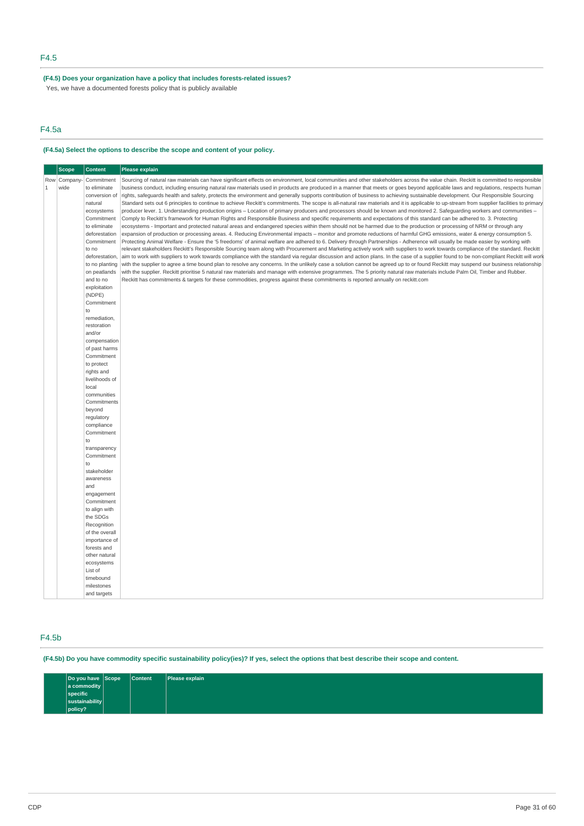# **(F4.5) Does your organization have a policy that includes forests-related issues?**

Yes, we have a documented forests policy that is publicly available

# F4.5a

# **(F4.5a) Select the options to describe the scope and content of your policy.**

|       | <b>Scope</b> | <b>Content</b>          | Please explain                                                                                                                                                                           |
|-------|--------------|-------------------------|------------------------------------------------------------------------------------------------------------------------------------------------------------------------------------------|
|       | Row Company  | Commitment              | Sourcing of natural raw materials can have significant effects on environment, local communities and other stakeholders across the value chain. Reckitt is committed to responsible      |
| $1\,$ | wide         | to eliminate            | business conduct, including ensuring natural raw materials used in products are produced in a manner that meets or goes beyond applicable laws and regulations, respects human           |
|       |              | conversion of           | rights, safeguards health and safety, protects the environment and generally supports contribution of business to achieving sustainable development. Our Responsible Sourcing            |
|       |              | natural                 | Standard sets out 6 principles to continue to achieve Reckit's commitments. The scope is all-natural raw materials and it is applicable to up-stream from supplier facilities to primary |
|       |              | ecosystems              | producer lever. 1. Understanding production origins – Location of primary producers and processors should be known and monitored 2. Safequarding workers and communities –               |
|       |              | Commitment              | Comply to Reckitt's framework for Human Rights and Responsible Business and specific requirements and expectations of this standard can be adhered to. 3. Protecting                     |
|       |              | to eliminate            | ecosystems - Important and protected natural areas and endangered species within them should not be harmed due to the production or processing of NRM or through any                     |
|       |              | deforestation           | expansion of production or processing areas. 4. Reducing Environmental impacts - monitor and promote reductions of harmful GHG emissions, water & energy consumption 5.                  |
|       |              | Commitment              | Protecting Animal Welfare - Ensure the '5 freedoms' of animal welfare are adhered to 6. Delivery through Partnerships - Adherence will usually be made easier by working with            |
|       |              | to no                   | relevant stakeholders Reckitt's Responsible Sourcing team along with Procurement and Marketing actively work with suppliers to work towards compliance of the standard. Reckitt          |
|       |              | deforestation,          | aim to work with suppliers to work towards compliance with the standard via reqular discussion and action plans. In the case of a supplier found to be non-compliant Reckitt will work   |
|       |              | to no planting          | with the supplier to agree a time bound plan to resolve any concerns. In the unlikely case a solution cannot be agreed up to or found Reckitt may suspend our business relationship      |
|       |              | on peatlands            | with the supplier. Reckitt prioritise 5 natural raw materials and manage with extensive programmes. The 5 priority natural raw materials include Palm Oil, Timber and Rubber.            |
|       |              | and to no               | Reckitt has commitments & targets for these commodities, progress against these commitments is reported annually on reckitt.com                                                          |
|       |              | exploitation<br>(NDPE)  |                                                                                                                                                                                          |
|       |              | Commitment              |                                                                                                                                                                                          |
|       |              | to                      |                                                                                                                                                                                          |
|       |              | remediation,            |                                                                                                                                                                                          |
|       |              | restoration             |                                                                                                                                                                                          |
|       |              | and/or                  |                                                                                                                                                                                          |
|       |              | compensation            |                                                                                                                                                                                          |
|       |              | of past harms           |                                                                                                                                                                                          |
|       |              | Commitment              |                                                                                                                                                                                          |
|       |              | to protect              |                                                                                                                                                                                          |
|       |              | rights and              |                                                                                                                                                                                          |
|       |              | livelihoods of<br>local |                                                                                                                                                                                          |
|       |              | communities             |                                                                                                                                                                                          |
|       |              | Commitments             |                                                                                                                                                                                          |
|       |              | beyond                  |                                                                                                                                                                                          |
|       |              | regulatory              |                                                                                                                                                                                          |
|       |              | compliance              |                                                                                                                                                                                          |
|       |              | Commitment              |                                                                                                                                                                                          |
|       |              | to                      |                                                                                                                                                                                          |
|       |              | transparency            |                                                                                                                                                                                          |
|       |              | Commitment              |                                                                                                                                                                                          |
|       |              | to                      |                                                                                                                                                                                          |
|       |              | stakeholder             |                                                                                                                                                                                          |
|       |              | awareness               |                                                                                                                                                                                          |
|       |              | and<br>engagement       |                                                                                                                                                                                          |
|       |              | Commitment              |                                                                                                                                                                                          |
|       |              | to align with           |                                                                                                                                                                                          |
|       |              | the SDGs                |                                                                                                                                                                                          |
|       |              | Recognition             |                                                                                                                                                                                          |
|       |              | of the overall          |                                                                                                                                                                                          |
|       |              | importance of           |                                                                                                                                                                                          |
|       |              | forests and             |                                                                                                                                                                                          |
|       |              | other natural           |                                                                                                                                                                                          |
|       |              | ecosystems              |                                                                                                                                                                                          |
|       |              | List of                 |                                                                                                                                                                                          |
|       |              | timebound<br>milestones |                                                                                                                                                                                          |
|       |              | and targets             |                                                                                                                                                                                          |
|       |              |                         |                                                                                                                                                                                          |

# F4.5b

(F4.5b) Do you have commodity specific sustainability policy(ies)? If yes, select the options that best describe their scope and content.

| $ Do\ you\ have\  Scope$ | <b>Content</b> | Please explain |
|--------------------------|----------------|----------------|
| a commodity              |                |                |
| specific                 |                |                |
| sustainability           |                |                |
| policy?                  |                |                |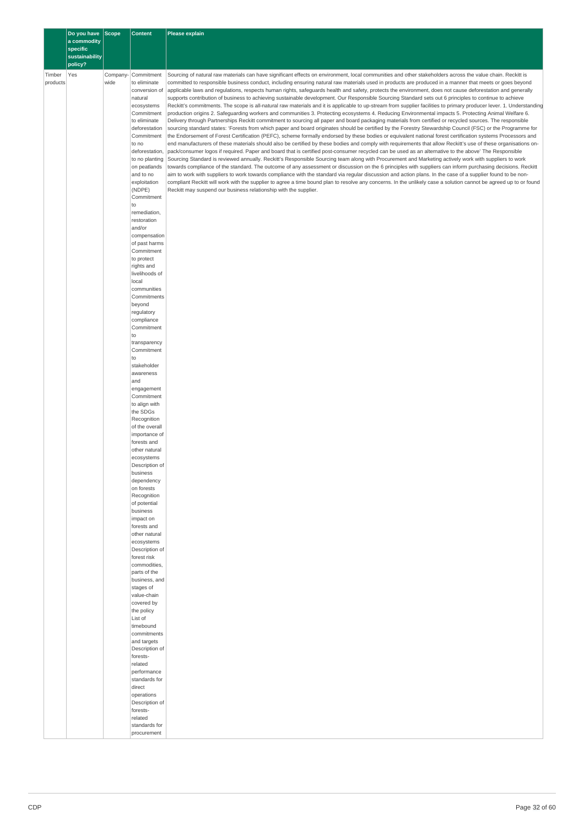|                    | Do you have Scope<br>a commodity<br>specific |                  | <b>Content</b>                                         | <b>Please explain</b>                                                                                                                                                                                                                                                                                                                                                                                                                                                                                                                                                                                                                         |  |
|--------------------|----------------------------------------------|------------------|--------------------------------------------------------|-----------------------------------------------------------------------------------------------------------------------------------------------------------------------------------------------------------------------------------------------------------------------------------------------------------------------------------------------------------------------------------------------------------------------------------------------------------------------------------------------------------------------------------------------------------------------------------------------------------------------------------------------|--|
|                    | sustainability<br>policy?                    |                  |                                                        |                                                                                                                                                                                                                                                                                                                                                                                                                                                                                                                                                                                                                                               |  |
| Timber<br>products | Yes                                          | Company-<br>wide | Commitment<br>to eliminate<br>conversion of<br>natural | Sourcing of natural raw materials can have significant effects on environment, local communities and other stakeholders across the value chain. Reckitt is<br>committed to responsible business conduct, including ensuring natural raw materials used in products are produced in a manner that meets or goes beyond<br>applicable laws and regulations, respects human rights, safeguards health and safety, protects the environment, does not cause deforestation and generally<br>supports contribution of business to achieving sustainable development. Our Responsible Sourcing Standard sets out 6 principles to continue to achieve |  |
|                    |                                              |                  | ecosystems<br>Commitment                               | Reckitt's commitments. The scope is all-natural raw materials and it is applicable to up-stream from supplier facilities to primary producer lever. 1. Understanding<br>production origins 2. Safeguarding workers and communities 3. Protecting ecosystems 4. Reducing Environmental impacts 5. Protecting Animal Welfare 6.                                                                                                                                                                                                                                                                                                                 |  |
|                    |                                              |                  | to eliminate                                           | Delivery through Partnerships Reckitt commitment to sourcing all paper and board packaging materials from certified or recycled sources. The responsible                                                                                                                                                                                                                                                                                                                                                                                                                                                                                      |  |
|                    |                                              |                  | deforestation<br>Commitment                            | sourcing standard states: 'Forests from which paper and board originates should be certified by the Forestry Stewardship Council (FSC) or the Programme for<br>the Endorsement of Forest Certification (PEFC), scheme formally endorsed by these bodies or equivalent national forest certification systems Processors and                                                                                                                                                                                                                                                                                                                    |  |
|                    |                                              |                  | to no<br>deforestation,                                | end manufacturers of these materials should also be certified by these bodies and comply with requirements that allow Reckitt's use of these organisations on-<br>pack/consumer logos if required. Paper and board that is certified post-consumer recycled can be used as an alternative to the above' The Responsible                                                                                                                                                                                                                                                                                                                       |  |
|                    |                                              |                  | to no planting<br>on peatlands                         | Sourcing Standard is reviewed annually. Reckitt's Responsible Sourcing team along with Procurement and Marketing actively work with suppliers to work<br>towards compliance of the standard. The outcome of any assessment or discussion on the 6 principles with suppliers can inform purchasing decisions. Reckitt                                                                                                                                                                                                                                                                                                                          |  |
|                    |                                              |                  | and to no<br>exploitation                              | aim to work with suppliers to work towards compliance with the standard via regular discussion and action plans. In the case of a supplier found to be non-<br>compliant Reckitt will work with the supplier to agree a time bound plan to resolve any concerns. In the unlikely case a solution cannot be agreed up to or found                                                                                                                                                                                                                                                                                                              |  |
|                    |                                              |                  | (NDPE)<br>Commitment<br>to                             | Reckitt may suspend our business relationship with the supplier.                                                                                                                                                                                                                                                                                                                                                                                                                                                                                                                                                                              |  |
|                    |                                              |                  | remediation,<br>restoration<br>and/or                  |                                                                                                                                                                                                                                                                                                                                                                                                                                                                                                                                                                                                                                               |  |
|                    |                                              |                  | compensation<br>of past harms                          |                                                                                                                                                                                                                                                                                                                                                                                                                                                                                                                                                                                                                                               |  |
|                    |                                              |                  | Commitment                                             |                                                                                                                                                                                                                                                                                                                                                                                                                                                                                                                                                                                                                                               |  |
|                    |                                              |                  | to protect<br>rights and                               |                                                                                                                                                                                                                                                                                                                                                                                                                                                                                                                                                                                                                                               |  |
|                    |                                              |                  | livelihoods of<br>local                                |                                                                                                                                                                                                                                                                                                                                                                                                                                                                                                                                                                                                                                               |  |
|                    |                                              |                  | communities<br>Commitments                             |                                                                                                                                                                                                                                                                                                                                                                                                                                                                                                                                                                                                                                               |  |
|                    |                                              |                  | beyond<br>regulatory                                   |                                                                                                                                                                                                                                                                                                                                                                                                                                                                                                                                                                                                                                               |  |
|                    |                                              |                  | compliance<br>Commitment                               |                                                                                                                                                                                                                                                                                                                                                                                                                                                                                                                                                                                                                                               |  |
|                    |                                              |                  | to<br>transparency                                     |                                                                                                                                                                                                                                                                                                                                                                                                                                                                                                                                                                                                                                               |  |
|                    |                                              |                  | Commitment<br>to<br>stakeholder                        |                                                                                                                                                                                                                                                                                                                                                                                                                                                                                                                                                                                                                                               |  |
|                    |                                              |                  | awareness<br>and                                       |                                                                                                                                                                                                                                                                                                                                                                                                                                                                                                                                                                                                                                               |  |
|                    |                                              |                  | engagement                                             |                                                                                                                                                                                                                                                                                                                                                                                                                                                                                                                                                                                                                                               |  |
|                    |                                              |                  | Commitment<br>to align with                            |                                                                                                                                                                                                                                                                                                                                                                                                                                                                                                                                                                                                                                               |  |
|                    |                                              |                  | the SDGs<br>Recognition                                |                                                                                                                                                                                                                                                                                                                                                                                                                                                                                                                                                                                                                                               |  |
|                    |                                              |                  | of the overall<br>importance of                        |                                                                                                                                                                                                                                                                                                                                                                                                                                                                                                                                                                                                                                               |  |
|                    |                                              |                  | forests and<br>other natural                           |                                                                                                                                                                                                                                                                                                                                                                                                                                                                                                                                                                                                                                               |  |
|                    |                                              |                  | ecosystems<br>Description of                           |                                                                                                                                                                                                                                                                                                                                                                                                                                                                                                                                                                                                                                               |  |
|                    |                                              |                  | business                                               |                                                                                                                                                                                                                                                                                                                                                                                                                                                                                                                                                                                                                                               |  |
|                    |                                              |                  | dependency<br>on forests                               |                                                                                                                                                                                                                                                                                                                                                                                                                                                                                                                                                                                                                                               |  |
|                    |                                              |                  | Recognition<br>of potential                            |                                                                                                                                                                                                                                                                                                                                                                                                                                                                                                                                                                                                                                               |  |
|                    |                                              |                  | business<br>impact on                                  |                                                                                                                                                                                                                                                                                                                                                                                                                                                                                                                                                                                                                                               |  |
|                    |                                              |                  | forests and<br>other natural                           |                                                                                                                                                                                                                                                                                                                                                                                                                                                                                                                                                                                                                                               |  |
|                    |                                              |                  | ecosystems<br>Description of                           |                                                                                                                                                                                                                                                                                                                                                                                                                                                                                                                                                                                                                                               |  |
|                    |                                              |                  | forest risk                                            |                                                                                                                                                                                                                                                                                                                                                                                                                                                                                                                                                                                                                                               |  |
|                    |                                              |                  | commodities,<br>parts of the                           |                                                                                                                                                                                                                                                                                                                                                                                                                                                                                                                                                                                                                                               |  |
|                    |                                              |                  | business, and<br>stages of                             |                                                                                                                                                                                                                                                                                                                                                                                                                                                                                                                                                                                                                                               |  |
|                    |                                              |                  | value-chain<br>covered by                              |                                                                                                                                                                                                                                                                                                                                                                                                                                                                                                                                                                                                                                               |  |
|                    |                                              |                  | the policy<br>List of                                  |                                                                                                                                                                                                                                                                                                                                                                                                                                                                                                                                                                                                                                               |  |
|                    |                                              |                  | timebound<br>commitments                               |                                                                                                                                                                                                                                                                                                                                                                                                                                                                                                                                                                                                                                               |  |
|                    |                                              |                  | and targets                                            |                                                                                                                                                                                                                                                                                                                                                                                                                                                                                                                                                                                                                                               |  |
|                    |                                              |                  | Description of<br>forests-                             |                                                                                                                                                                                                                                                                                                                                                                                                                                                                                                                                                                                                                                               |  |
|                    |                                              |                  | related<br>performance                                 |                                                                                                                                                                                                                                                                                                                                                                                                                                                                                                                                                                                                                                               |  |
|                    |                                              |                  | standards for<br>direct                                |                                                                                                                                                                                                                                                                                                                                                                                                                                                                                                                                                                                                                                               |  |
|                    |                                              |                  | operations<br>Description of                           |                                                                                                                                                                                                                                                                                                                                                                                                                                                                                                                                                                                                                                               |  |
|                    |                                              |                  | forests-<br>related                                    |                                                                                                                                                                                                                                                                                                                                                                                                                                                                                                                                                                                                                                               |  |
|                    |                                              |                  | standards for                                          |                                                                                                                                                                                                                                                                                                                                                                                                                                                                                                                                                                                                                                               |  |
|                    |                                              |                  | procurement                                            |                                                                                                                                                                                                                                                                                                                                                                                                                                                                                                                                                                                                                                               |  |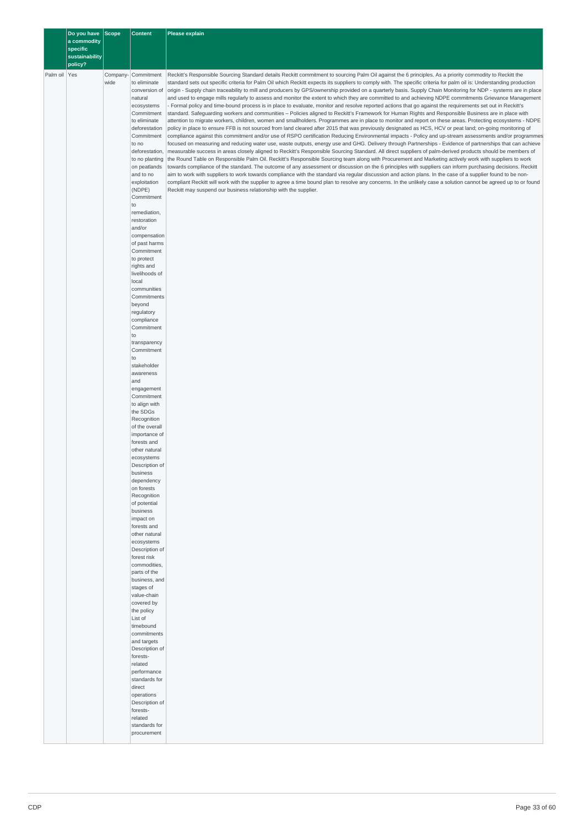|              | Do you have Scope<br>a commodity |                  | <b>Content</b>                                                                                                                                                                                                                                                                                                                                                                                                                                                                                                                                                                                                                                                                                                                                                                                                                                                                                                                                    | Please explain                                                                                                                                                                                                                                                                                                                                                                                                                                                                                                                                                                                                                                                                                                                                                                                                                                                                                                                                                                                                                                                                                                                                                                                                                                                                                                                                                                                                                                                                                                                                                                                                                                                                                                                                                                                                                                                                                                                                                                                                                                                                                                                                                                                                                                                                                                                                                                                                                                                                                                                      |  |
|--------------|----------------------------------|------------------|---------------------------------------------------------------------------------------------------------------------------------------------------------------------------------------------------------------------------------------------------------------------------------------------------------------------------------------------------------------------------------------------------------------------------------------------------------------------------------------------------------------------------------------------------------------------------------------------------------------------------------------------------------------------------------------------------------------------------------------------------------------------------------------------------------------------------------------------------------------------------------------------------------------------------------------------------|-------------------------------------------------------------------------------------------------------------------------------------------------------------------------------------------------------------------------------------------------------------------------------------------------------------------------------------------------------------------------------------------------------------------------------------------------------------------------------------------------------------------------------------------------------------------------------------------------------------------------------------------------------------------------------------------------------------------------------------------------------------------------------------------------------------------------------------------------------------------------------------------------------------------------------------------------------------------------------------------------------------------------------------------------------------------------------------------------------------------------------------------------------------------------------------------------------------------------------------------------------------------------------------------------------------------------------------------------------------------------------------------------------------------------------------------------------------------------------------------------------------------------------------------------------------------------------------------------------------------------------------------------------------------------------------------------------------------------------------------------------------------------------------------------------------------------------------------------------------------------------------------------------------------------------------------------------------------------------------------------------------------------------------------------------------------------------------------------------------------------------------------------------------------------------------------------------------------------------------------------------------------------------------------------------------------------------------------------------------------------------------------------------------------------------------------------------------------------------------------------------------------------------------|--|
|              | specific<br>sustainability       |                  |                                                                                                                                                                                                                                                                                                                                                                                                                                                                                                                                                                                                                                                                                                                                                                                                                                                                                                                                                   |                                                                                                                                                                                                                                                                                                                                                                                                                                                                                                                                                                                                                                                                                                                                                                                                                                                                                                                                                                                                                                                                                                                                                                                                                                                                                                                                                                                                                                                                                                                                                                                                                                                                                                                                                                                                                                                                                                                                                                                                                                                                                                                                                                                                                                                                                                                                                                                                                                                                                                                                     |  |
|              | policy?                          |                  |                                                                                                                                                                                                                                                                                                                                                                                                                                                                                                                                                                                                                                                                                                                                                                                                                                                                                                                                                   |                                                                                                                                                                                                                                                                                                                                                                                                                                                                                                                                                                                                                                                                                                                                                                                                                                                                                                                                                                                                                                                                                                                                                                                                                                                                                                                                                                                                                                                                                                                                                                                                                                                                                                                                                                                                                                                                                                                                                                                                                                                                                                                                                                                                                                                                                                                                                                                                                                                                                                                                     |  |
| Palm oil Yes |                                  | Company-<br>wide | Commitment<br>to eliminate<br>conversion of<br>natural<br>ecosystems<br>Commitment<br>to eliminate<br>deforestation<br>Commitment<br>to no<br>deforestation,<br>to no planting<br>on peatlands<br>and to no<br>exploitation<br>(NDPE)<br>Commitment<br>to<br>remediation,<br>restoration<br>and/or<br>compensation<br>of past harms<br>Commitment<br>to protect<br>rights and<br>livelihoods of<br>local<br>communities<br>Commitments<br>beyond<br>regulatory<br>compliance<br>Commitment<br>to<br>transparency<br>Commitment<br>to<br>stakeholder<br>awareness<br>and<br>engagement<br>Commitment<br>to align with<br>the SDGs<br>Recognition<br>of the overall<br>importance of<br>forests and<br>other natural<br>ecosystems<br>Description of<br>business<br>dependency<br>on forests<br>Recognition<br>of potential<br>business<br>impact on<br>forests and<br>other natural<br>ecosystems<br>Description of<br>forest risk<br>commodities, | Reckitt's Responsible Sourcing Standard details Reckitt commitment to sourcing Palm Oil against the 6 principles. As a priority commodity to Reckitt the<br>standard sets out specific criteria for Palm Oil which Reckitt expects its suppliers to comply with. The specific criteria for palm oil is: Understanding production<br>origin - Supply chain traceability to mill and producers by GPS/ownership provided on a quarterly basis. Supply Chain Monitoring for NDP - systems are in place<br>and used to engage mills regularly to assess and monitor the extent to which they are committed to and achieving NDPE commitments Grievance Management<br>Formal policy and time-bound process is in place to evaluate, monitor and resolve reported actions that go against the requirements set out in Reckitt's<br>standard. Safeguarding workers and communities – Policies aligned to Reckitt's Framework for Human Rights and Responsible Business are in place with<br>attention to migrate workers, children, women and smallholders. Programmes are in place to monitor and report on these areas. Protecting ecosystems - NDPE<br>policy in place to ensure FFB is not sourced from land cleared after 2015 that was previously designated as HCS, HCV or peat land; on-going monitoring of<br>compliance against this commitment and/or use of RSPO certification Reducing Environmental impacts - Policy and up-stream assessments and/or programmes<br>focused on measuring and reducing water use, waste outputs, energy use and GHG. Delivery through Partnerships - Evidence of partnerships that can achieve<br>measurable success in areas closely aligned to Reckitt's Responsible Sourcing Standard. All direct suppliers of palm-derived products should be members of<br>the Round Table on Responsible Palm Oil. Reckitt's Responsible Sourcing team along with Procurement and Marketing actively work with suppliers to work<br>towards compliance of the standard. The outcome of any assessment or discussion on the 6 principles with suppliers can inform purchasing decisions. Reckitt<br>aim to work with suppliers to work towards compliance with the standard via regular discussion and action plans. In the case of a supplier found to be non-<br>compliant Reckitt will work with the supplier to agree a time bound plan to resolve any concerns. In the unlikely case a solution cannot be agreed up to or found<br>Reckitt may suspend our business relationship with the supplier. |  |
|              |                                  |                  |                                                                                                                                                                                                                                                                                                                                                                                                                                                                                                                                                                                                                                                                                                                                                                                                                                                                                                                                                   |                                                                                                                                                                                                                                                                                                                                                                                                                                                                                                                                                                                                                                                                                                                                                                                                                                                                                                                                                                                                                                                                                                                                                                                                                                                                                                                                                                                                                                                                                                                                                                                                                                                                                                                                                                                                                                                                                                                                                                                                                                                                                                                                                                                                                                                                                                                                                                                                                                                                                                                                     |  |
|              |                                  |                  |                                                                                                                                                                                                                                                                                                                                                                                                                                                                                                                                                                                                                                                                                                                                                                                                                                                                                                                                                   |                                                                                                                                                                                                                                                                                                                                                                                                                                                                                                                                                                                                                                                                                                                                                                                                                                                                                                                                                                                                                                                                                                                                                                                                                                                                                                                                                                                                                                                                                                                                                                                                                                                                                                                                                                                                                                                                                                                                                                                                                                                                                                                                                                                                                                                                                                                                                                                                                                                                                                                                     |  |
|              |                                  |                  |                                                                                                                                                                                                                                                                                                                                                                                                                                                                                                                                                                                                                                                                                                                                                                                                                                                                                                                                                   |                                                                                                                                                                                                                                                                                                                                                                                                                                                                                                                                                                                                                                                                                                                                                                                                                                                                                                                                                                                                                                                                                                                                                                                                                                                                                                                                                                                                                                                                                                                                                                                                                                                                                                                                                                                                                                                                                                                                                                                                                                                                                                                                                                                                                                                                                                                                                                                                                                                                                                                                     |  |
|              |                                  |                  | parts of the<br>business, and                                                                                                                                                                                                                                                                                                                                                                                                                                                                                                                                                                                                                                                                                                                                                                                                                                                                                                                     |                                                                                                                                                                                                                                                                                                                                                                                                                                                                                                                                                                                                                                                                                                                                                                                                                                                                                                                                                                                                                                                                                                                                                                                                                                                                                                                                                                                                                                                                                                                                                                                                                                                                                                                                                                                                                                                                                                                                                                                                                                                                                                                                                                                                                                                                                                                                                                                                                                                                                                                                     |  |
|              |                                  |                  | stages of<br>value-chain<br>covered by<br>the policy<br>List of<br>timebound<br>commitments<br>and targets<br>Description of                                                                                                                                                                                                                                                                                                                                                                                                                                                                                                                                                                                                                                                                                                                                                                                                                      |                                                                                                                                                                                                                                                                                                                                                                                                                                                                                                                                                                                                                                                                                                                                                                                                                                                                                                                                                                                                                                                                                                                                                                                                                                                                                                                                                                                                                                                                                                                                                                                                                                                                                                                                                                                                                                                                                                                                                                                                                                                                                                                                                                                                                                                                                                                                                                                                                                                                                                                                     |  |
|              |                                  |                  | forests-<br>related<br>performance<br>standards for<br>direct<br>operations<br>Description of<br>forests-<br>related                                                                                                                                                                                                                                                                                                                                                                                                                                                                                                                                                                                                                                                                                                                                                                                                                              |                                                                                                                                                                                                                                                                                                                                                                                                                                                                                                                                                                                                                                                                                                                                                                                                                                                                                                                                                                                                                                                                                                                                                                                                                                                                                                                                                                                                                                                                                                                                                                                                                                                                                                                                                                                                                                                                                                                                                                                                                                                                                                                                                                                                                                                                                                                                                                                                                                                                                                                                     |  |
|              |                                  |                  | standards for<br>procurement                                                                                                                                                                                                                                                                                                                                                                                                                                                                                                                                                                                                                                                                                                                                                                                                                                                                                                                      |                                                                                                                                                                                                                                                                                                                                                                                                                                                                                                                                                                                                                                                                                                                                                                                                                                                                                                                                                                                                                                                                                                                                                                                                                                                                                                                                                                                                                                                                                                                                                                                                                                                                                                                                                                                                                                                                                                                                                                                                                                                                                                                                                                                                                                                                                                                                                                                                                                                                                                                                     |  |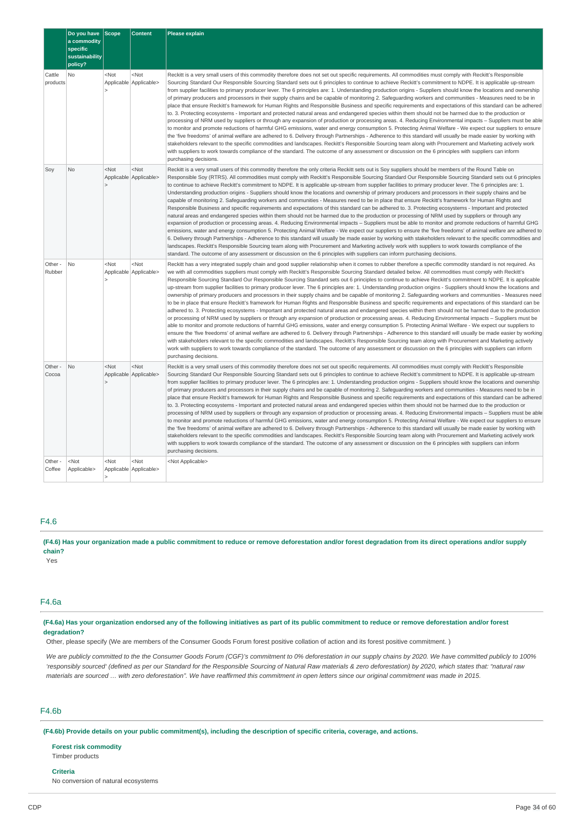|                    | Do you have<br>a commodity<br>specific<br>sustainability<br>policy? | <b>Scope</b>                                                                                                       | <b>Content</b>                      | <b>Please explain</b>                                                                                                                                                                                                                                                                                                                                                                                                                                                                                                                                                                                                                                                                                                                                                                                                                                                                                                                                                                                                                                                                                                                                                                                                                                                                                                                                                                                                                                                                                                                                                                                                                                                                                                                                                                                                                                                                                                                                                                             |
|--------------------|---------------------------------------------------------------------|--------------------------------------------------------------------------------------------------------------------|-------------------------------------|---------------------------------------------------------------------------------------------------------------------------------------------------------------------------------------------------------------------------------------------------------------------------------------------------------------------------------------------------------------------------------------------------------------------------------------------------------------------------------------------------------------------------------------------------------------------------------------------------------------------------------------------------------------------------------------------------------------------------------------------------------------------------------------------------------------------------------------------------------------------------------------------------------------------------------------------------------------------------------------------------------------------------------------------------------------------------------------------------------------------------------------------------------------------------------------------------------------------------------------------------------------------------------------------------------------------------------------------------------------------------------------------------------------------------------------------------------------------------------------------------------------------------------------------------------------------------------------------------------------------------------------------------------------------------------------------------------------------------------------------------------------------------------------------------------------------------------------------------------------------------------------------------------------------------------------------------------------------------------------------------|
| Cattle<br>products | No                                                                  | $<$ Not                                                                                                            | $<$ Not<br>Applicable Applicable>   | Reckitt is a very small users of this commodity therefore does not set out specific requirements. All commodities must comply with Reckitt's Responsible<br>Sourcing Standard Our Responsible Sourcing Standard sets out 6 principles to continue to achieve Reckitt's commitment to NDPE. It is applicable up-stream<br>from supplier facilities to primary producer lever. The 6 principles are: 1. Understanding production origins - Suppliers should know the locations and ownership<br>of primary producers and processors in their supply chains and be capable of monitoring 2. Safeguarding workers and communities - Measures need to be in<br>place that ensure Reckitt's framework for Human Rights and Responsible Business and specific requirements and expectations of this standard can be adhered<br>to. 3. Protecting ecosystems - Important and protected natural areas and endangered species within them should not be harmed due to the production or<br>processing of NRM used by suppliers or through any expansion of production or processing areas. 4. Reducing Environmental impacts – Suppliers must be able<br>to monitor and promote reductions of harmful GHG emissions, water and energy consumption 5. Protecting Animal Welfare - We expect our suppliers to ensure<br>the 'five freedoms' of animal welfare are adhered to 6. Delivery through Partnerships - Adherence to this standard will usually be made easier by working with<br>stakeholders relevant to the specific commodities and landscapes. Reckitt's Responsible Sourcing team along with Procurement and Marketing actively work<br>with suppliers to work towards compliance of the standard. The outcome of any assessment or discussion on the 6 principles with suppliers can inform<br>purchasing decisions.                                                                                                                                                                           |
| Soy                | No                                                                  | $<$ Not<br>$\overline{ }$                                                                                          | $<$ Not<br>Applicable Applicable>   | Reckitt is a very small users of this commodity therefore the only criteria Reckitt sets out is Soy suppliers should be members of the Round Table on<br>Responsible Soy (RTRS). All commodities must comply with Reckitt's Responsible Sourcing Standard Our Responsible Sourcing Standard sets out 6 principles<br>to continue to achieve Reckitt's commitment to NDPE. It is applicable up-stream from supplier facilities to primary producer lever. The 6 principles are: 1.<br>Understanding production origins - Suppliers should know the locations and ownership of primary producers and processors in their supply chains and be<br>capable of monitoring 2. Safeguarding workers and communities - Measures need to be in place that ensure Reckitt's framework for Human Rights and<br>Responsible Business and specific requirements and expectations of this standard can be adhered to. 3. Protecting ecosystems - Important and protected<br>natural areas and endangered species within them should not be harmed due to the production or processing of NRM used by suppliers or through any<br>expansion of production or processing areas. 4. Reducing Environmental impacts – Suppliers must be able to monitor and promote reductions of harmful GHG<br>emissions, water and energy consumption 5. Protecting Animal Welfare - We expect our suppliers to ensure the 'five freedoms' of animal welfare are adhered to<br>6. Delivery through Partnerships - Adherence to this standard will usually be made easier by working with stakeholders relevant to the specific commodities and<br>landscapes. Reckitt's Responsible Sourcing team along with Procurement and Marketing actively work with suppliers to work towards compliance of the<br>standard. The outcome of any assessment or discussion on the 6 principles with suppliers can inform purchasing decisions.                                                                                               |
| Other -<br>Rubber  | No                                                                  | $<$ Not                                                                                                            | $<$ Not<br>Applicable Applicable>   | Reckitt has a very integrated supply chain and good supplier relationship when it comes to rubber therefore a specific commodity standard is not required. As<br>we with all commodities suppliers must comply with Reckitt's Responsible Sourcing Standard detailed below. All commodities must comply with Reckitt's<br>Responsible Sourcing Standard Our Responsible Sourcing Standard sets out 6 principles to continue to achieve Reckitt's commitment to NDPE. It is applicable<br>up-stream from supplier facilities to primary producer lever. The 6 principles are: 1. Understanding production origins - Suppliers should know the locations and<br>ownership of primary producers and processors in their supply chains and be capable of monitoring 2. Safeguarding workers and communities - Measures need<br>to be in place that ensure Reckitt's framework for Human Rights and Responsible Business and specific requirements and expectations of this standard can be<br>adhered to. 3. Protecting ecosystems - Important and protected natural areas and endangered species within them should not be harmed due to the production<br>or processing of NRM used by suppliers or through any expansion of production or processing areas. 4. Reducing Environmental impacts – Suppliers must be<br>able to monitor and promote reductions of harmful GHG emissions, water and energy consumption 5. Protecting Animal Welfare - We expect our suppliers to<br>ensure the 'five freedoms' of animal welfare are adhered to 6. Delivery through Partnerships - Adherence to this standard will usually be made easier by working<br>with stakeholders relevant to the specific commodities and landscapes. Reckitt's Responsible Sourcing team along with Procurement and Marketing actively<br>work with suppliers to work towards compliance of the standard. The outcome of any assessment or discussion on the 6 principles with suppliers can inform<br>purchasing decisions. |
| Other -<br>Cocoa   | No                                                                  | $<$ Not                                                                                                            | $<$ Not<br>Applicable Applicable>   | Reckitt is a very small users of this commodity therefore does not set out specific requirements. All commodities must comply with Reckitt's Responsible<br>Sourcing Standard Our Responsible Sourcing Standard sets out 6 principles to continue to achieve Reckitt's commitment to NDPE. It is applicable up-stream<br>from supplier facilities to primary producer lever. The 6 principles are: 1. Understanding production origins - Suppliers should know the locations and ownership<br>of primary producers and processors in their supply chains and be capable of monitoring 2. Safeguarding workers and communities - Measures need to be in<br>place that ensure Reckitt's framework for Human Rights and Responsible Business and specific requirements and expectations of this standard can be adhered<br>to. 3. Protecting ecosystems - Important and protected natural areas and endangered species within them should not be harmed due to the production or<br>processing of NRM used by suppliers or through any expansion of production or processing areas. 4. Reducing Environmental impacts – Suppliers must be able<br>to monitor and promote reductions of harmful GHG emissions, water and energy consumption 5. Protecting Animal Welfare - We expect our suppliers to ensure<br>the 'five freedoms' of animal welfare are adhered to 6. Delivery through Partnerships - Adherence to this standard will usually be made easier by working with<br>stakeholders relevant to the specific commodities and landscapes. Reckitt's Responsible Sourcing team along with Procurement and Marketing actively work<br>with suppliers to work towards compliance of the standard. The outcome of any assessment or discussion on the 6 principles with suppliers can inform<br>purchasing decisions.                                                                                                                                                                           |
| Other -<br>Coffee  | $<$ Not<br>Applicable>                                              | <not< td=""><td><math>&lt;</math>Not<br/>Applicable   Applicable&gt;</td><td><not applicable=""></not></td></not<> | $<$ Not<br>Applicable   Applicable> | <not applicable=""></not>                                                                                                                                                                                                                                                                                                                                                                                                                                                                                                                                                                                                                                                                                                                                                                                                                                                                                                                                                                                                                                                                                                                                                                                                                                                                                                                                                                                                                                                                                                                                                                                                                                                                                                                                                                                                                                                                                                                                                                         |

# F4.6

(F4.6) Has your organization made a public commitment to reduce or remove deforestation and/or forest degradation from its direct operations and/or supply **chain?**

Yes

# F4.6a

(F4.6a) Has your organization endorsed any of the following initiatives as part of its public commitment to reduce or remove deforestation and/or forest **degradation?**

Other, please specify (We are members of the Consumer Goods Forum forest positive collation of action and its forest positive commitment. )

We are publicly committed to the the Consumer Goods Forum (CGF)'s commitment to 0% deforestation in our supply chains by 2020. We have committed publicly to 100% 'responsibly sourced' (defined as per our Standard for the Responsible Sourcing of Natural Raw materials & zero deforestation) by 2020, which states that: "natural raw materials are sourced ... with zero deforestation". We have reaffirmed this commitment in open letters since our original commitment was made in 2015.

# F4.6b

(F4.6b) Provide details on your public commitment(s), including the description of specific criteria, coverage, and actions.

### **Forest risk commodity**

Timber products

## **Criteria**

No conversion of natural ecosystems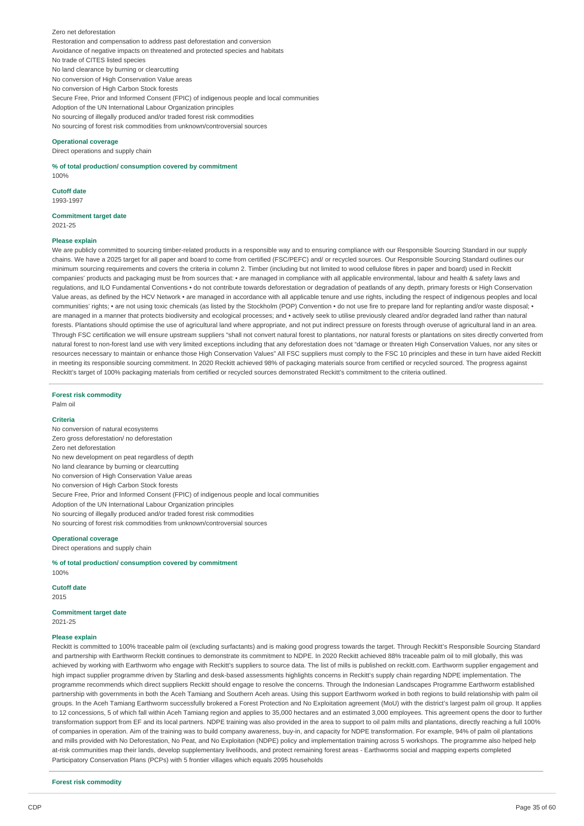Zero net deforestation Restoration and compensation to address past deforestation and conversion Avoidance of negative impacts on threatened and protected species and habitats No trade of CITES listed species No land clearance by burning or clearcutting No conversion of High Conservation Value areas No conversion of High Carbon Stock forests Secure Free, Prior and Informed Consent (FPIC) of indigenous people and local communities Adoption of the UN International Labour Organization principles No sourcing of illegally produced and/or traded forest risk commodities No sourcing of forest risk commodities from unknown/controversial sources

#### **Operational coverage**

Direct operations and supply chain

**% of total production/ consumption covered by commitment** 100%

**Cutoff date** 1993-1997

**Commitment target date** 2021-25

#### **Please explain**

We are publicly committed to sourcing timber-related products in a responsible way and to ensuring compliance with our Responsible Sourcing Standard in our supply chains. We have a 2025 target for all paper and board to come from certified (FSC/PEFC) and/ or recycled sources. Our Responsible Sourcing Standard outlines our minimum sourcing requirements and covers the criteria in column 2. Timber (including but not limited to wood cellulose fibres in paper and board) used in Reckitt companies' products and packaging must be from sources that: • are managed in compliance with all applicable environmental, labour and health & safety laws and regulations, and ILO Fundamental Conventions • do not contribute towards deforestation or degradation of peatlands of any depth, primary forests or High Conservation Value areas, as defined by the HCV Network • are managed in accordance with all applicable tenure and use rights, including the respect of indigenous peoples and local communities' rights; • are not using toxic chemicals (as listed by the Stockholm (POP) Convention • do not use fire to prepare land for replanting and/or waste disposal; • are managed in a manner that protects biodiversity and ecological processes; and • actively seek to utilise previously cleared and/or degraded land rather than natural forests. Plantations should optimise the use of agricultural land where appropriate, and not put indirect pressure on forests through overuse of agricultural land in an area. Through FSC certification we will ensure upstream suppliers "shall not convert natural forest to plantations, nor natural forests or plantations on sites directly converted from natural forest to non-forest land use with very limited exceptions including that any deforestation does not "damage or threaten High Conservation Values, nor any sites or resources necessary to maintain or enhance those High Conservation Values" All FSC suppliers must comply to the FSC 10 principles and these in turn have aided Reckitt in meeting its responsible sourcing commitment. In 2020 Reckitt achieved 98% of packaging materials source from certified or recycled sourced. The progress against Reckitt's target of 100% packaging materials from certified or recycled sources demonstrated Reckitt's commitment to the criteria outlined.

**Forest risk commodity**

# Palm oil

#### **Criteria**

No conversion of natural ecosystems Zero gross deforestation/ no deforestation Zero net deforestation No new development on peat regardless of depth No land clearance by burning or clearcutting No conversion of High Conservation Value areas No conversion of High Carbon Stock forests Secure Free, Prior and Informed Consent (FPIC) of indigenous people and local communities Adoption of the UN International Labour Organization principles No sourcing of illegally produced and/or traded forest risk commodities No sourcing of forest risk commodities from unknown/controversial sources

#### **Operational coverage**

Direct operations and supply chain

**% of total production/ consumption covered by commitment** 100%

**Cutoff date** 2015

# **Commitment target date**

2021-25

### **Please explain**

Reckitt is committed to 100% traceable palm oil (excluding surfactants) and is making good progress towards the target. Through Reckitt's Responsible Sourcing Standard and partnership with Earthworm Reckitt continues to demonstrate its commitment to NDPE. In 2020 Reckitt achieved 88% traceable palm oil to mill globally, this was achieved by working with Earthworm who engage with Reckitt's suppliers to source data. The list of mills is published on reckitt.com. Earthworm supplier engagement and high impact supplier programme driven by Starling and desk-based assessments highlights concerns in Reckitt's supply chain regarding NDPE implementation. The programme recommends which direct suppliers Reckitt should engage to resolve the concerns. Through the Indonesian Landscapes Programme Earthworm established partnership with governments in both the Aceh Tamiang and Southern Aceh areas. Using this support Earthworm worked in both regions to build relationship with palm oil groups. In the Aceh Tamiang Earthworm successfully brokered a Forest Protection and No Exploitation agreement (MoU) with the district's largest palm oil group. It applies to 12 concessions, 5 of which fall within Aceh Tamiang region and applies to 35,000 hectares and an estimated 3,000 employees. This agreement opens the door to further transformation support from EF and its local partners. NDPE training was also provided in the area to support to oil palm mills and plantations, directly reaching a full 100% of companies in operation. Aim of the training was to build company awareness, buy-in, and capacity for NDPE transformation. For example, 94% of palm oil plantations and mills provided with No Deforestation, No Peat, and No Exploitation (NDPE) policy and implementation training across 5 workshops. The programme also helped help at-risk communities map their lands, develop supplementary livelihoods, and protect remaining forest areas - Earthworms social and mapping experts completed Participatory Conservation Plans (PCPs) with 5 frontier villages which equals 2095 households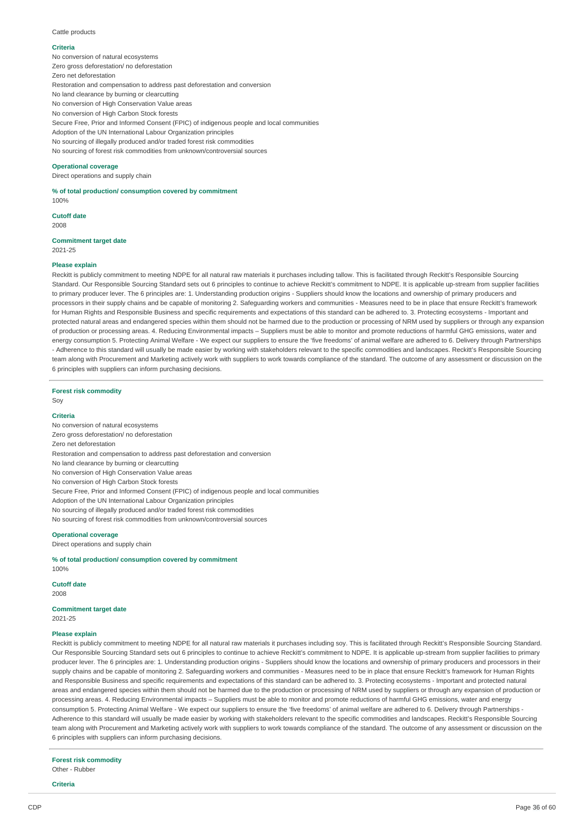Cattle products

#### **Criteria**

No conversion of natural ecosystems Zero gross deforestation/ no deforestation Zero net deforestation Restoration and compensation to address past deforestation and conversion No land clearance by burning or clearcutting No conversion of High Conservation Value areas No conversion of High Carbon Stock forests Secure Free, Prior and Informed Consent (FPIC) of indigenous people and local communities Adoption of the UN International Labour Organization principles No sourcing of illegally produced and/or traded forest risk commodities No sourcing of forest risk commodities from unknown/controversial sources

# **Operational coverage**

Direct operations and supply chain

# **% of total production/ consumption covered by commitment**

100%

**Cutoff date**

2009

#### **Commitment target date** 2021-25

# **Please explain**

Reckitt is publicly commitment to meeting NDPE for all natural raw materials it purchases including tallow. This is facilitated through Reckitt's Responsible Sourcing Standard. Our Responsible Sourcing Standard sets out 6 principles to continue to achieve Reckitt's commitment to NDPE. It is applicable up-stream from supplier facilities to primary producer lever. The 6 principles are: 1. Understanding production origins - Suppliers should know the locations and ownership of primary producers and processors in their supply chains and be capable of monitoring 2. Safeguarding workers and communities - Measures need to be in place that ensure Reckitt's framework for Human Rights and Responsible Business and specific requirements and expectations of this standard can be adhered to. 3. Protecting ecosystems - Important and protected natural areas and endangered species within them should not be harmed due to the production or processing of NRM used by suppliers or through any expansion of production or processing areas. 4. Reducing Environmental impacts – Suppliers must be able to monitor and promote reductions of harmful GHG emissions, water and energy consumption 5. Protecting Animal Welfare - We expect our suppliers to ensure the 'five freedoms' of animal welfare are adhered to 6. Delivery through Partnerships - Adherence to this standard will usually be made easier by working with stakeholders relevant to the specific commodities and landscapes. Reckitt's Responsible Sourcing team along with Procurement and Marketing actively work with suppliers to work towards compliance of the standard. The outcome of any assessment or discussion on the 6 principles with suppliers can inform purchasing decisions.

**Forest risk commodity**

# Soy

## **Criteria**

No conversion of natural ecosystems Zero gross deforestation/ no deforestation Zero net deforestation Restoration and compensation to address past deforestation and conversion No land clearance by burning or clearcutting No conversion of High Conservation Value areas No conversion of High Carbon Stock forests Secure Free, Prior and Informed Consent (FPIC) of indigenous people and local communities Adoption of the UN International Labour Organization principles No sourcing of illegally produced and/or traded forest risk commodities No sourcing of forest risk commodities from unknown/controversial sources

#### **Operational coverage**

Direct operations and supply chain

**% of total production/ consumption covered by commitment** 100%

**Cutoff date** 2008

**Commitment target date** 2021-25

#### **Please explain**

Reckitt is publicly commitment to meeting NDPE for all natural raw materials it purchases including soy. This is facilitated through Reckitt's Responsible Sourcing Standard. Our Responsible Sourcing Standard sets out 6 principles to continue to achieve Reckitt's commitment to NDPE. It is applicable up-stream from supplier facilities to primary producer lever. The 6 principles are: 1. Understanding production origins - Suppliers should know the locations and ownership of primary producers and processors in their supply chains and be capable of monitoring 2. Safeguarding workers and communities - Measures need to be in place that ensure Reckitt's framework for Human Rights and Responsible Business and specific requirements and expectations of this standard can be adhered to. 3. Protecting ecosystems - Important and protected natural areas and endangered species within them should not be harmed due to the production or processing of NRM used by suppliers or through any expansion of production or processing areas. 4. Reducing Environmental impacts – Suppliers must be able to monitor and promote reductions of harmful GHG emissions, water and energy consumption 5. Protecting Animal Welfare - We expect our suppliers to ensure the 'five freedoms' of animal welfare are adhered to 6. Delivery through Partnerships - Adherence to this standard will usually be made easier by working with stakeholders relevant to the specific commodities and landscapes. Reckitt's Responsible Sourcing team along with Procurement and Marketing actively work with suppliers to work towards compliance of the standard. The outcome of any assessment or discussion on the 6 principles with suppliers can inform purchasing decisions.

**Forest risk commodity** Other - Rubber

**Criteria**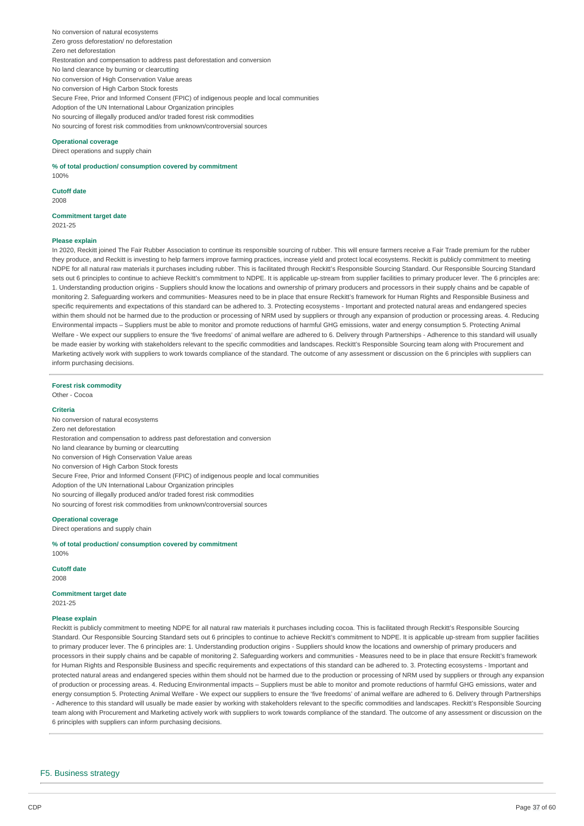No conversion of natural ecosystems Zero gross deforestation/ no deforestation Zero net deforestation Restoration and compensation to address past deforestation and conversion No land clearance by burning or clearcutting No conversion of High Conservation Value areas No conversion of High Carbon Stock forests Secure Free, Prior and Informed Consent (FPIC) of indigenous people and local communities Adoption of the UN International Labour Organization principles No sourcing of illegally produced and/or traded forest risk commodities No sourcing of forest risk commodities from unknown/controversial sources

#### **Operational coverage**

Direct operations and supply chain

**% of total production/ consumption covered by commitment** 100%

**Cutoff date** 2008

**Commitment target date** 2021-25

#### **Please explain**

In 2020, Reckitt joined The Fair Rubber Association to continue its responsible sourcing of rubber. This will ensure farmers receive a Fair Trade premium for the rubber they produce, and Reckitt is investing to help farmers improve farming practices, increase yield and protect local ecosystems. Reckitt is publicly commitment to meeting NDPE for all natural raw materials it purchases including rubber. This is facilitated through Reckitt's Responsible Sourcing Standard. Our Responsible Sourcing Standard sets out 6 principles to continue to achieve Reckitt's commitment to NDPE. It is applicable up-stream from supplier facilities to primary producer lever. The 6 principles are: 1. Understanding production origins - Suppliers should know the locations and ownership of primary producers and processors in their supply chains and be capable of monitoring 2. Safeguarding workers and communities- Measures need to be in place that ensure Reckitt's framework for Human Rights and Responsible Business and specific requirements and expectations of this standard can be adhered to. 3. Protecting ecosystems - Important and protected natural areas and endangered species within them should not be harmed due to the production or processing of NRM used by suppliers or through any expansion of production or processing areas. 4. Reducing Environmental impacts – Suppliers must be able to monitor and promote reductions of harmful GHG emissions, water and energy consumption 5. Protecting Animal Welfare - We expect our suppliers to ensure the 'five freedoms' of animal welfare are adhered to 6. Delivery through Partnerships - Adherence to this standard will usually be made easier by working with stakeholders relevant to the specific commodities and landscapes. Reckitt's Responsible Sourcing team along with Procurement and Marketing actively work with suppliers to work towards compliance of the standard. The outcome of any assessment or discussion on the 6 principles with suppliers can inform purchasing decisions.

**Forest risk commodity** Other - Cocoa

# **Criteria**

No conversion of natural ecosystems Zero net deforestation Restoration and compensation to address past deforestation and conversion No land clearance by burning or clearcutting No conversion of High Conservation Value areas No conversion of High Carbon Stock forests Secure Free, Prior and Informed Consent (FPIC) of indigenous people and local communities Adoption of the UN International Labour Organization principles No sourcing of illegally produced and/or traded forest risk commodities No sourcing of forest risk commodities from unknown/controversial sources

**Operational coverage**

Direct operations and supply chain

**% of total production/ consumption covered by commitment** 100%

**Cutoff date**

2008

**Commitment target date** 2021-25

#### **Please explain**

Reckitt is publicly commitment to meeting NDPE for all natural raw materials it purchases including cocoa. This is facilitated through Reckitt's Responsible Sourcing Standard. Our Responsible Sourcing Standard sets out 6 principles to continue to achieve Reckitt's commitment to NDPE. It is applicable up-stream from supplier facilities to primary producer lever. The 6 principles are: 1. Understanding production origins - Suppliers should know the locations and ownership of primary producers and processors in their supply chains and be capable of monitoring 2. Safeguarding workers and communities - Measures need to be in place that ensure Reckitt's framework for Human Rights and Responsible Business and specific requirements and expectations of this standard can be adhered to. 3. Protecting ecosystems - Important and protected natural areas and endangered species within them should not be harmed due to the production or processing of NRM used by suppliers or through any expansion of production or processing areas. 4. Reducing Environmental impacts – Suppliers must be able to monitor and promote reductions of harmful GHG emissions, water and energy consumption 5. Protecting Animal Welfare - We expect our suppliers to ensure the 'five freedoms' of animal welfare are adhered to 6. Delivery through Partnerships - Adherence to this standard will usually be made easier by working with stakeholders relevant to the specific commodities and landscapes. Reckitt's Responsible Sourcing team along with Procurement and Marketing actively work with suppliers to work towards compliance of the standard. The outcome of any assessment or discussion on the 6 principles with suppliers can inform purchasing decisions.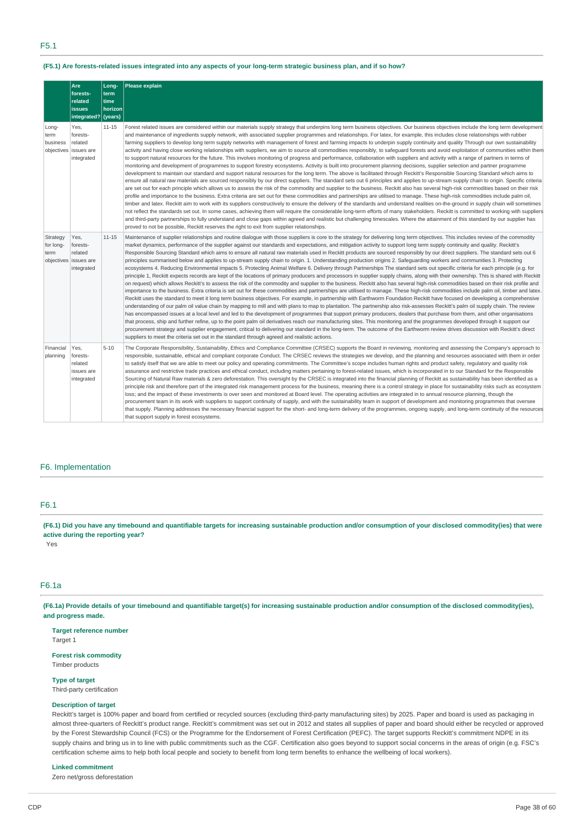# F5.1

## (F5.1) Are forests-related issues integrated into any aspects of your long-term strategic business plan, and if so how?

|                               | Are<br>forests-<br>related<br><b>issues</b><br>integrated?         | Long-<br>term<br>time<br>horizon<br>(years) | Please explain                                                                                                                                                                                                                                                                                                                                                                                                                                                                                                                                                                                                                                                                                                                                                                                                                                                                                                                                                                                                                                                                                                                                                                                                                                                                                                                                                                                                                                                                                                                                                                                                                                                                                                                                                                                                                                                                                                                                                                                                                                                                                                                                                                                                                                                                                                                                                                                                                                                                                                                       |
|-------------------------------|--------------------------------------------------------------------|---------------------------------------------|--------------------------------------------------------------------------------------------------------------------------------------------------------------------------------------------------------------------------------------------------------------------------------------------------------------------------------------------------------------------------------------------------------------------------------------------------------------------------------------------------------------------------------------------------------------------------------------------------------------------------------------------------------------------------------------------------------------------------------------------------------------------------------------------------------------------------------------------------------------------------------------------------------------------------------------------------------------------------------------------------------------------------------------------------------------------------------------------------------------------------------------------------------------------------------------------------------------------------------------------------------------------------------------------------------------------------------------------------------------------------------------------------------------------------------------------------------------------------------------------------------------------------------------------------------------------------------------------------------------------------------------------------------------------------------------------------------------------------------------------------------------------------------------------------------------------------------------------------------------------------------------------------------------------------------------------------------------------------------------------------------------------------------------------------------------------------------------------------------------------------------------------------------------------------------------------------------------------------------------------------------------------------------------------------------------------------------------------------------------------------------------------------------------------------------------------------------------------------------------------------------------------------------------|
| Long-<br>term<br>business     | Yes,<br>forests-<br>related<br>objectives issues are<br>integrated | $11 - 15$                                   | Forest related issues are considered within our materials supply strategy that underpins long term business objectives. Our business objectives include the long term development<br>and maintenance of ingredients supply network, with associated supplier programmes and relationships. For latex, for example, this includes close relationships with rubber<br>farming suppliers to develop long term supply networks with management of forest and farming impacts to underpin supply continuity and quality Through our own sustainability<br>activity and having close working relationships with suppliers, we aim to source all commodities responsibly, to safequard forests and avoid exploitation of communities within them<br>to support natural resources for the future. This involves monitoring of progress and performance, collaboration with suppliers and activity with a range of partners in terms of<br>monitoring and development of programmes to support forestry ecosystems. Activity is built into procurement planning decisions, supplier selection and partner programme<br>development to maintain our standard and support natural resources for the long term. The above is facilitated through Reckitt's Responsible Sourcing Standard which aims to<br>ensure all natural raw materials are sourced responsibly by our direct suppliers. The standard sets out 6 principles and applies to up-stream supply chain to origin. Specific criteria<br>are set out for each principle which allows us to assess the risk of the commodity and supplier to the business. Reckitt also has several high-risk commodities based on their risk<br>profile and importance to the business. Extra criteria are set out for these commodities and partnerships are utilised to manage. These high-risk commodities include palm oil,<br>timber and latex. Reckitt aim to work with its suppliers constructively to ensure the delivery of the standards and understand realities on-the-ground in supply chain will sometimes<br>not reflect the standards set out. In some cases, achieving them will require the considerable long-term efforts of many stakeholders. Reckitt is committed to working with suppliers<br>and third-party partnerships to fully understand and close gaps within agreed and realistic but challenging timescales. Where the attainment of this standard by our supplier has<br>proved to not be possible, Reckitt reserves the right to exit from supplier relationships. |
| Strategy<br>for long-<br>term | Yes,<br>forests-<br>related<br>objectives issues are<br>integrated | $11 - 15$                                   | Maintenance of supplier relationships and routine dialoque with those suppliers is core to the strategy for delivering long term objectives. This includes review of the commodity<br>market dynamics, performance of the supplier against our standards and expectations, and mitigation activity to support long term supply continuity and quality. Reckitt's<br>Responsible Sourcing Standard which aims to ensure all natural raw materials used in Reckitt products are sourced responsibly by our direct suppliers. The standard sets out 6<br>principles summarised below and applies to up-stream supply chain to origin. 1. Understanding production origins 2. Safeguarding workers and communities 3. Protecting<br>ecosystems 4. Reducing Environmental impacts 5. Protecting Animal Welfare 6. Delivery through Partnerships The standard sets out specific criteria for each principle (e.g. for<br>principle 1, Reckitt expects records are kept of the locations of primary producers and processors in supplier supply chains, along with their ownership. This is shared with Reckitt<br>on request) which allows Reckitt's to assess the risk of the commodity and supplier to the business. Reckitt also has several high-risk commodities based on their risk profile and<br>importance to the business. Extra criteria is set out for these commodities and partnerships are utilised to manage. These high-risk commodities include palm oil, timber and latex.<br>Reckitt uses the standard to meet it long term business objectives. For example, in partnership with Earthworm Foundation Reckitt have focused on developing a comprehensive<br>understanding of our palm oil value chain by mapping to mill and with plans to map to plantation. The partnership also risk-assesses Reckitt's palm oil supply chain. The review<br>has encompassed issues at a local level and led to the development of programmes that support primary producers, dealers that purchase from them, and other organisations<br>that process, ship and further refine, up to the point palm oil derivatives reach our manufacturing sites. This monitoring and the programmes developed through it support our<br>procurement strategy and supplier engagement, critical to delivering our standard in the long-term. The outcome of the Earthworm review drives discussion with Reckitt's direct<br>suppliers to meet the criteria set out in the standard through agreed and realistic actions.                        |
| Financial<br>planning         | Yes,<br>forests-<br>related<br>issues are<br>integrated            | $5 - 10$                                    | The Corporate Responsibility, Sustainability, Ethics and Compliance Committee (CRSEC) supports the Board in reviewing, monitoring and assessing the Company's approach to<br>responsible, sustainable, ethical and compliant corporate Conduct. The CRSEC reviews the strategies we develop, and the planning and resources associated with them in order<br>to satisfy itself that we are able to meet our policy and operating commitments. The Committee's scope includes human rights and product safety, regulatory and quality risk<br>assurance and restrictive trade practices and ethical conduct, including matters pertaining to forest-related issues, which is incorporated in to our Standard for the Responsible<br>Sourcing of Natural Raw materials & zero deforestation. This oversight by the CRSEC is integrated into the financial planning of Reckitt as sustainability has been identified as a<br>principle risk and therefore part of the integrated risk management process for the business, meaning there is a control strategy in place for sustainability risks such as ecosystem<br>loss; and the impact of these investments is over seen and monitored at Board level. The operating activities are integrated in to annual resource planning, though the<br>procurement team in its work with suppliers to support continuity of supply, and with the sustainability team in support of development and monitoring programmes that oversee<br>that supply. Planning addresses the necessary financial support for the short- and long-term delivery of the programmes, ongoing supply, and long-term continuity of the resources<br>that support supply in forest ecosystems.                                                                                                                                                                                                                                                                                                                                                                                                                                                                                                                                                                                                                                                                                                                                                                                                                      |

# F6. Implementation

## F6.1

(F6.1) Did you have any timebound and quantifiable targets for increasing sustainable production and/or consumption of your disclosed commodity(ies) that were **active during the reporting year?**

Yes

# F6.1a

(F6.1a) Provide details of your timebound and quantifiable target(s) for increasing sustainable production and/or consumption of the disclosed commodity(ies), **and progress made.**

**Target reference number** Target 1

**Forest risk commodity** Timber products

**Type of target**

Third-party certification

# **Description of target**

Reckitt's target is 100% paper and board from certified or recycled sources (excluding third-party manufacturing sites) by 2025. Paper and board is used as packaging in almost three-quarters of Reckitt's product range. Reckitt's commitment was set out in 2012 and states all supplies of paper and board should either be recycled or approved by the Forest Stewardship Council (FCS) or the Programme for the Endorsement of Forest Certification (PEFC). The target supports Reckitt's commitment NDPE in its supply chains and bring us in to line with public commitments such as the CGF. Certification also goes beyond to support social concerns in the areas of origin (e.g. FSC's certification scheme aims to help both local people and society to benefit from long term benefits to enhance the wellbeing of local workers).

# **Linked commitment**

Zero net/gross deforestation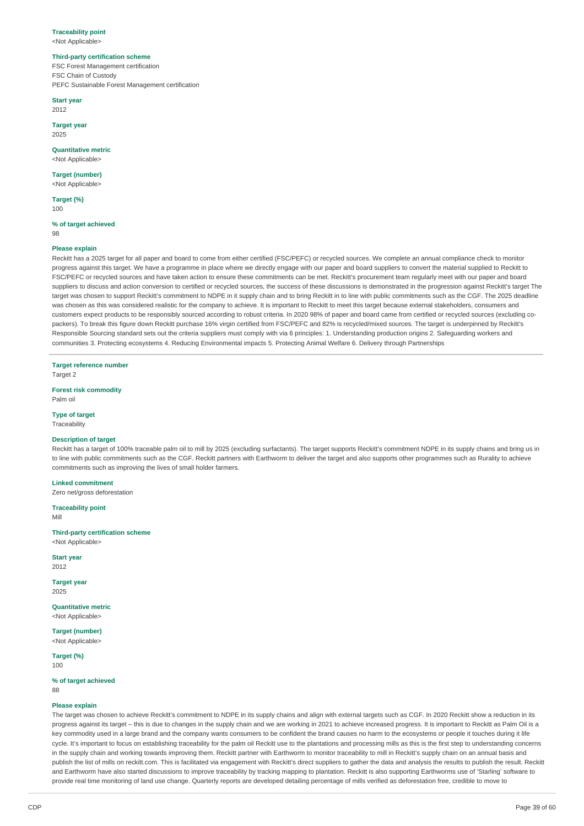#### **Traceability point** <Not Applicable>

# **Third-party certification scheme**

FSC Forest Management certification FSC Chain of Custody PEFC Sustainable Forest Management certification

## **Start year**

2012

**Target year** 2025

# **Quantitative metric**

<Not Applicable>

#### **Target (number)** <Not Applicable>

**Target (%)**

100

# **% of target achieved**

98

# **Please explain**

Reckitt has a 2025 target for all paper and board to come from either certified (FSC/PEFC) or recycled sources. We complete an annual compliance check to monitor progress against this target. We have a programme in place where we directly engage with our paper and board suppliers to convert the material supplied to Reckitt to FSC/PEFC or recycled sources and have taken action to ensure these commitments can be met. Reckitt's procurement team regularly meet with our paper and board suppliers to discuss and action conversion to certified or recycled sources, the success of these discussions is demonstrated in the progression against Reckitt's target The target was chosen to support Reckitt's commitment to NDPE in it supply chain and to bring Reckitt in to line with public commitments such as the CGF. The 2025 deadline was chosen as this was considered realistic for the company to achieve. It is important to Reckitt to meet this target because external stakeholders, consumers and customers expect products to be responsibly sourced according to robust criteria. In 2020 98% of paper and board came from certified or recycled sources (excluding copackers). To break this figure down Reckitt purchase 16% virgin certified from FSC/PEFC and 82% is recycled/mixed sources. The target is underpinned by Reckitt's Responsible Sourcing standard sets out the criteria suppliers must comply with via 6 principles: 1. Understanding production origins 2. Safeguarding workers and communities 3. Protecting ecosystems 4. Reducing Environmental impacts 5. Protecting Animal Welfare 6. Delivery through Partnerships

**Target reference number**

Target 2

# **Forest risk commodity**

Palm oil

# **Type of target**

Traceability

# **Description of target**

Reckitt has a target of 100% traceable palm oil to mill by 2025 (excluding surfactants). The target supports Reckitt's commitment NDPE in its supply chains and bring us in to line with public commitments such as the CGF. Reckitt partners with Earthworm to deliver the target and also supports other programmes such as Rurality to achieve commitments such as improving the lives of small holder farmers.

# **Linked commitment**

Zero net/gross deforestation

# **Traceability point**

Mill

# **Third-party certification scheme**

<Not Applicable>

**Start year** 2012

**Target year** 2025

**Quantitative metric** <Not Applicable>

**Target (number)** <Not Applicable>

**Target (%)** 100

## **% of target achieved**

88

#### **Please explain**

The target was chosen to achieve Reckitt's commitment to NDPE in its supply chains and align with external targets such as CGF. In 2020 Reckitt show a reduction in its progress against its target – this is due to changes in the supply chain and we are working in 2021 to achieve increased progress. It is important to Reckitt as Palm Oil is a key commodity used in a large brand and the company wants consumers to be confident the brand causes no harm to the ecosystems or people it touches during it life cycle. It's important to focus on establishing traceability for the palm oil Reckitt use to the plantations and processing mills as this is the first step to understanding concerns in the supply chain and working towards improving them. Reckitt partner with Earthworm to monitor traceability to mill in Reckitt's supply chain on an annual basis and publish the list of mills on reckitt.com. This is facilitated via engagement with Reckitt's direct suppliers to gather the data and analysis the results to publish the result. Reckitt and Earthworm have also started discussions to improve traceability by tracking mapping to plantation. Reckitt is also supporting Earthworms use of 'Starling' software to provide real time monitoring of land use change. Quarterly reports are developed detailing percentage of mills verified as deforestation free, credible to move to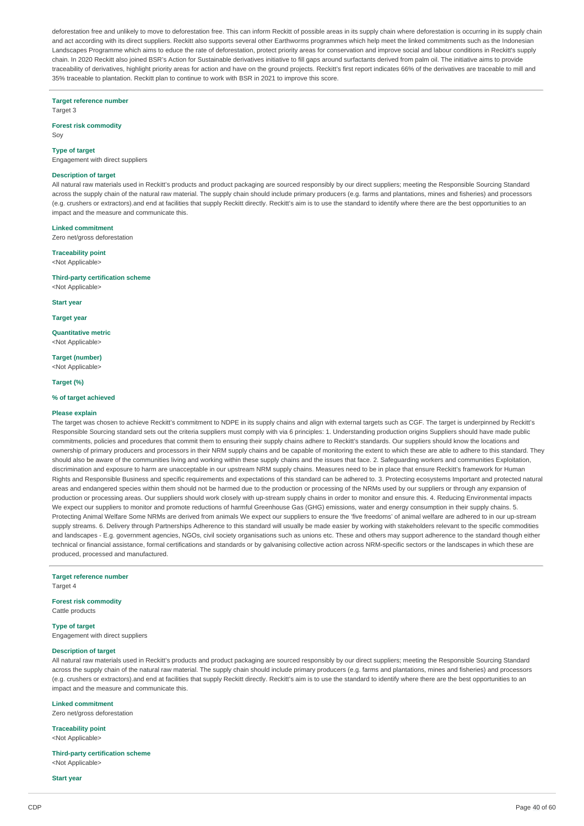deforestation free and unlikely to move to deforestation free. This can inform Reckitt of possible areas in its supply chain where deforestation is occurring in its supply chain and act according with its direct suppliers. Reckitt also supports several other Earthworms programmes which help meet the linked commitments such as the Indonesian Landscapes Programme which aims to educe the rate of deforestation, protect priority areas for conservation and improve social and labour conditions in Reckitt's supply chain. In 2020 Reckitt also joined BSR's Action for Sustainable derivatives initiative to fill gaps around surfactants derived from palm oil. The initiative aims to provide traceability of derivatives, highlight priority areas for action and have on the ground projects. Reckitt's first report indicates 66% of the derivatives are traceable to mill and 35% traceable to plantation. Reckitt plan to continue to work with BSR in 2021 to improve this score.

**Target reference number**

Target 3

**Forest risk commodity** Soy

# **Type of target**

Engagement with direct suppliers

#### **Description of target**

All natural raw materials used in Reckitt's products and product packaging are sourced responsibly by our direct suppliers; meeting the Responsible Sourcing Standard across the supply chain of the natural raw material. The supply chain should include primary producers (e.g. farms and plantations, mines and fisheries) and processors (e.g. crushers or extractors).and end at facilities that supply Reckitt directly. Reckitt's aim is to use the standard to identify where there are the best opportunities to an impact and the measure and communicate this.

#### **Linked commitment**

Zero net/gross deforestation

## **Traceability point**

<Not Applicable>

**Third-party certification scheme** <Not Applicable>

**Start year**

**Target year**

**Quantitative metric** <Not Applicable>

**Target (number)** <Not Applicable>

#### **Target (%)**

### **% of target achieved**

#### **Please explain**

The target was chosen to achieve Reckitt's commitment to NDPE in its supply chains and align with external targets such as CGF. The target is underpinned by Reckitt's Responsible Sourcing standard sets out the criteria suppliers must comply with via 6 principles: 1. Understanding production origins Suppliers should have made public commitments, policies and procedures that commit them to ensuring their supply chains adhere to Reckitt's standards. Our suppliers should know the locations and ownership of primary producers and processors in their NRM supply chains and be capable of monitoring the extent to which these are able to adhere to this standard. They should also be aware of the communities living and working within these supply chains and the issues that face. 2. Safeguarding workers and communities Exploitation, discrimination and exposure to harm are unacceptable in our upstream NRM supply chains. Measures need to be in place that ensure Reckitt's framework for Human Rights and Responsible Business and specific requirements and expectations of this standard can be adhered to. 3. Protecting ecosystems Important and protected natural areas and endangered species within them should not be harmed due to the production or processing of the NRMs used by our suppliers or through any expansion of production or processing areas. Our suppliers should work closely with up-stream supply chains in order to monitor and ensure this. 4. Reducing Environmental impacts We expect our suppliers to monitor and promote reductions of harmful Greenhouse Gas (GHG) emissions, water and energy consumption in their supply chains. 5. Protecting Animal Welfare Some NRMs are derived from animals We expect our suppliers to ensure the 'five freedoms' of animal welfare are adhered to in our up-stream supply streams. 6. Delivery through Partnerships Adherence to this standard will usually be made easier by working with stakeholders relevant to the specific commodities and landscapes - E.g. government agencies, NGOs, civil society organisations such as unions etc. These and others may support adherence to the standard though either technical or financial assistance, formal certifications and standards or by galvanising collective action across NRM-specific sectors or the landscapes in which these are produced, processed and manufactured.

## **Target reference number**

Target 4

#### **Forest risk commodity** Cattle products

**Type of target**

Engagement with direct suppliers

## **Description of target**

All natural raw materials used in Reckitt's products and product packaging are sourced responsibly by our direct suppliers; meeting the Responsible Sourcing Standard across the supply chain of the natural raw material. The supply chain should include primary producers (e.g. farms and plantations, mines and fisheries) and processors (e.g. crushers or extractors).and end at facilities that supply Reckitt directly. Reckitt's aim is to use the standard to identify where there are the best opportunities to an impact and the measure and communicate this.

#### **Linked commitment**

Zero net/gross deforestation

**Traceability point** <Not Applicable>

**Third-party certification scheme** <Not Applicable>

**Start year**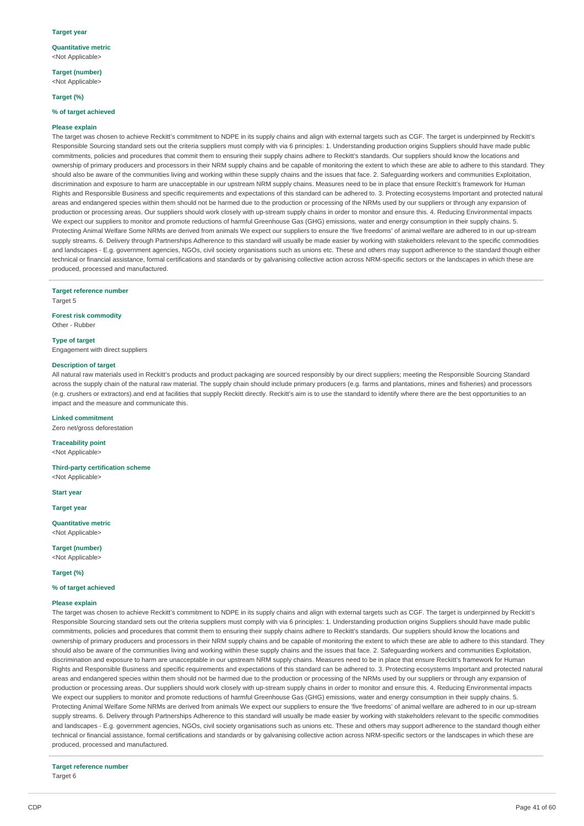#### **Target year**

**Quantitative metric** <Not Applicable>

**Target (number)** <Not Applicable>

**Target (%)**

### **% of target achieved**

#### **Please explain**

The target was chosen to achieve Reckitt's commitment to NDPE in its supply chains and align with external targets such as CGF. The target is underpinned by Reckitt's Responsible Sourcing standard sets out the criteria suppliers must comply with via 6 principles: 1. Understanding production origins Suppliers should have made public commitments, policies and procedures that commit them to ensuring their supply chains adhere to Reckitt's standards. Our suppliers should know the locations and ownership of primary producers and processors in their NRM supply chains and be capable of monitoring the extent to which these are able to adhere to this standard. They should also be aware of the communities living and working within these supply chains and the issues that face. 2. Safeguarding workers and communities Exploitation, discrimination and exposure to harm are unacceptable in our upstream NRM supply chains. Measures need to be in place that ensure Reckitt's framework for Human Rights and Responsible Business and specific requirements and expectations of this standard can be adhered to. 3. Protecting ecosystems Important and protected natural areas and endangered species within them should not be harmed due to the production or processing of the NRMs used by our suppliers or through any expansion of production or processing areas. Our suppliers should work closely with up-stream supply chains in order to monitor and ensure this. 4. Reducing Environmental impacts We expect our suppliers to monitor and promote reductions of harmful Greenhouse Gas (GHG) emissions, water and energy consumption in their supply chains. 5. Protecting Animal Welfare Some NRMs are derived from animals We expect our suppliers to ensure the 'five freedoms' of animal welfare are adhered to in our up-stream supply streams. 6. Delivery through Partnerships Adherence to this standard will usually be made easier by working with stakeholders relevant to the specific commodities and landscapes - E.g. government agencies, NGOs, civil society organisations such as unions etc. These and others may support adherence to the standard though either technical or financial assistance, formal certifications and standards or by galvanising collective action across NRM-specific sectors or the landscapes in which these are produced, processed and manufactured.

#### **Target reference number**

Target 5

**Forest risk commodity** Other - Rubber

#### **Type of target**

Engagement with direct suppliers

#### **Description of target**

All natural raw materials used in Reckitt's products and product packaging are sourced responsibly by our direct suppliers; meeting the Responsible Sourcing Standard across the supply chain of the natural raw material. The supply chain should include primary producers (e.g. farms and plantations, mines and fisheries) and processors (e.g. crushers or extractors).and end at facilities that supply Reckitt directly. Reckitt's aim is to use the standard to identify where there are the best opportunities to an impact and the measure and communicate this.

#### **Linked commitment**

Zero net/gross deforestation

**Traceability point** <Not Applicable>

**Third-party certification scheme**

<Not Applicable>

**Start year**

**Target year**

**Quantitative metric** <Not Applicable>

**Target (number)** <Not Applicable>

### **Target (%)**

#### **% of target achieved**

#### **Please explain**

The target was chosen to achieve Reckitt's commitment to NDPE in its supply chains and align with external targets such as CGF. The target is underpinned by Reckitt's Responsible Sourcing standard sets out the criteria suppliers must comply with via 6 principles: 1. Understanding production origins Suppliers should have made public commitments, policies and procedures that commit them to ensuring their supply chains adhere to Reckitt's standards. Our suppliers should know the locations and ownership of primary producers and processors in their NRM supply chains and be capable of monitoring the extent to which these are able to adhere to this standard. They should also be aware of the communities living and working within these supply chains and the issues that face. 2. Safeguarding workers and communities Exploitation, discrimination and exposure to harm are unacceptable in our upstream NRM supply chains. Measures need to be in place that ensure Reckitt's framework for Human Rights and Responsible Business and specific requirements and expectations of this standard can be adhered to. 3. Protecting ecosystems Important and protected natural areas and endangered species within them should not be harmed due to the production or processing of the NRMs used by our suppliers or through any expansion of production or processing areas. Our suppliers should work closely with up-stream supply chains in order to monitor and ensure this. 4. Reducing Environmental impacts We expect our suppliers to monitor and promote reductions of harmful Greenhouse Gas (GHG) emissions, water and energy consumption in their supply chains. 5. Protecting Animal Welfare Some NRMs are derived from animals We expect our suppliers to ensure the 'five freedoms' of animal welfare are adhered to in our up-stream supply streams. 6. Delivery through Partnerships Adherence to this standard will usually be made easier by working with stakeholders relevant to the specific commodities and landscapes - E.g. government agencies, NGOs, civil society organisations such as unions etc. These and others may support adherence to the standard though either technical or financial assistance, formal certifications and standards or by galvanising collective action across NRM-specific sectors or the landscapes in which these are produced, processed and manufactured.

**Target reference number** Target 6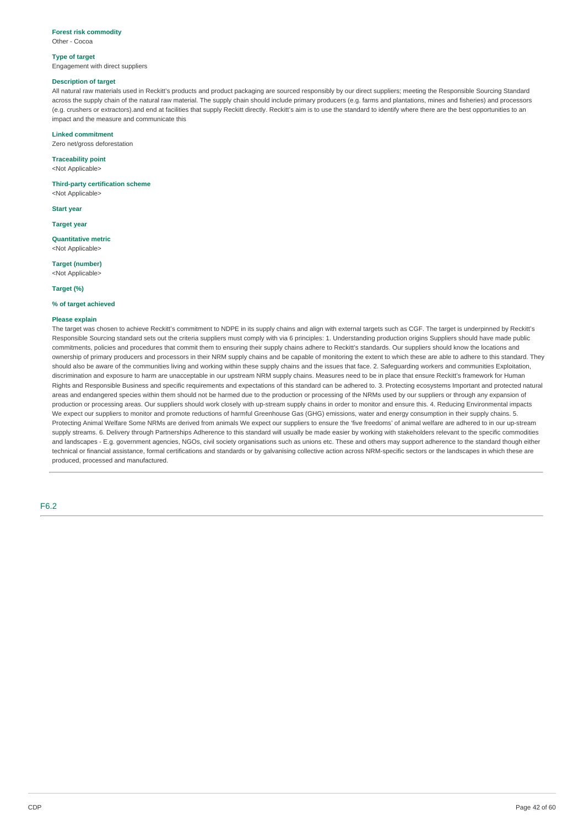## **Forest risk commodity**

Other - Cocoa

#### **Type of target**

Engagement with direct suppliers

## **Description of target**

All natural raw materials used in Reckitt's products and product packaging are sourced responsibly by our direct suppliers; meeting the Responsible Sourcing Standard across the supply chain of the natural raw material. The supply chain should include primary producers (e.g. farms and plantations, mines and fisheries) and processors (e.g. crushers or extractors).and end at facilities that supply Reckitt directly. Reckitt's aim is to use the standard to identify where there are the best opportunities to an impact and the measure and communicate this

### **Linked commitment**

Zero net/gross deforestation

# **Traceability point**

<Not Applicable>

#### **Third-party certification scheme**

<Not Applicable>

**Start year**

#### **Target year**

**Quantitative metric** <Not Applicable>

**Target (number)** <Not Applicable>

#### **Target (%)**

### **% of target achieved**

# **Please explain**

The target was chosen to achieve Reckitt's commitment to NDPE in its supply chains and align with external targets such as CGF. The target is underpinned by Reckitt's Responsible Sourcing standard sets out the criteria suppliers must comply with via 6 principles: 1. Understanding production origins Suppliers should have made public commitments, policies and procedures that commit them to ensuring their supply chains adhere to Reckitt's standards. Our suppliers should know the locations and ownership of primary producers and processors in their NRM supply chains and be capable of monitoring the extent to which these are able to adhere to this standard. They should also be aware of the communities living and working within these supply chains and the issues that face. 2. Safeguarding workers and communities Exploitation, discrimination and exposure to harm are unacceptable in our upstream NRM supply chains. Measures need to be in place that ensure Reckitt's framework for Human Rights and Responsible Business and specific requirements and expectations of this standard can be adhered to. 3. Protecting ecosystems Important and protected natural areas and endangered species within them should not be harmed due to the production or processing of the NRMs used by our suppliers or through any expansion of production or processing areas. Our suppliers should work closely with up-stream supply chains in order to monitor and ensure this. 4. Reducing Environmental impacts We expect our suppliers to monitor and promote reductions of harmful Greenhouse Gas (GHG) emissions, water and energy consumption in their supply chains. 5. Protecting Animal Welfare Some NRMs are derived from animals We expect our suppliers to ensure the 'five freedoms' of animal welfare are adhered to in our up-stream supply streams. 6. Delivery through Partnerships Adherence to this standard will usually be made easier by working with stakeholders relevant to the specific commodities and landscapes - E.g. government agencies, NGOs, civil society organisations such as unions etc. These and others may support adherence to the standard though either technical or financial assistance, formal certifications and standards or by galvanising collective action across NRM-specific sectors or the landscapes in which these are produced, processed and manufactured.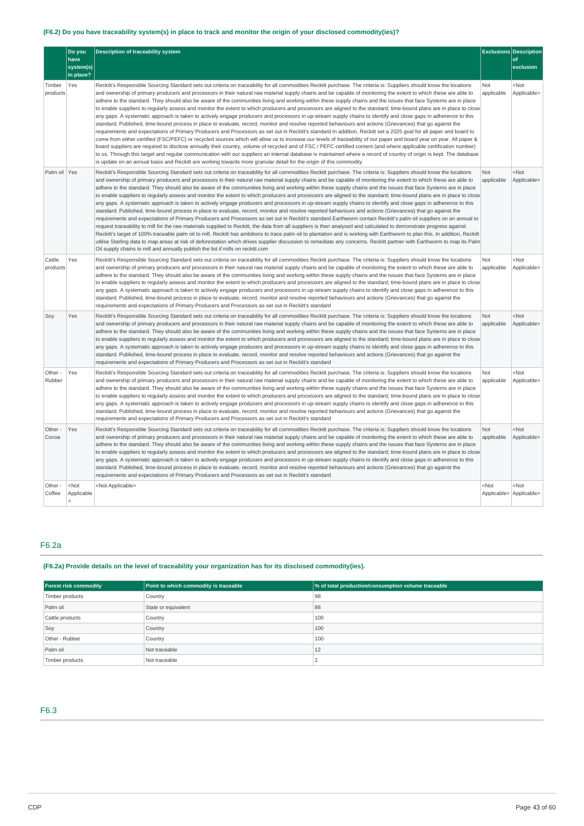# (F6.2) Do you have traceability system(s) in place to track and monitor the origin of your disclosed commodity(ies)?

|                    | Do you<br>have<br>system(s)<br>in place? | <b>Description of traceability system</b>                                                                                                                                                                                                                                                                                                                                                                                                                                                                                                                                                                                                                                                                                                                                                                                                                                                                                                                                                                                                                                                                                                                                                                                                                                                                                                                                                                                                                                                                                                                                                                                                                                                                                                                                                                                                  |                   | <b>Exclusions Description</b><br>of<br>exclusion |
|--------------------|------------------------------------------|--------------------------------------------------------------------------------------------------------------------------------------------------------------------------------------------------------------------------------------------------------------------------------------------------------------------------------------------------------------------------------------------------------------------------------------------------------------------------------------------------------------------------------------------------------------------------------------------------------------------------------------------------------------------------------------------------------------------------------------------------------------------------------------------------------------------------------------------------------------------------------------------------------------------------------------------------------------------------------------------------------------------------------------------------------------------------------------------------------------------------------------------------------------------------------------------------------------------------------------------------------------------------------------------------------------------------------------------------------------------------------------------------------------------------------------------------------------------------------------------------------------------------------------------------------------------------------------------------------------------------------------------------------------------------------------------------------------------------------------------------------------------------------------------------------------------------------------------|-------------------|--------------------------------------------------|
| Timber<br>products | Yes                                      | Reckitt's Responsible Sourcing Standard sets out criteria on traceability for all commodities Reckitt purchase. The criteria is: Suppliers should know the locations<br>and ownership of primary producers and processors in their natural raw material supply chains and be capable of monitoring the extent to which these are able to<br>adhere to the standard. They should also be aware of the communities living and working within these supply chains and the issues that face Systems are in place<br>to enable suppliers to regularly assess and monitor the extent to which producers and processors are aligned to the standard; time-bound plans are in place to close<br>any gaps. A systematic approach is taken to actively engage producers and processors in up-stream supply chains to identify and close gaps in adherence to this<br>standard. Published, time-bound process in place to evaluate, record, monitor and resolve reported behaviours and actions (Grievances) that go against the<br>requirements and expectations of Primary Producers and Processors as set out in Reckitt's standard In addition, Reckitt set a 2025 goal for all paper and board to<br>come from either certified (FSC/PEFC) or recycled sources which will allow us to increase our levels of traceability of our paper and board year on year. All paper &<br>board suppliers are required to disclose annually their country, volume of recycled and of FSC / PEFC certified content (and where applicable certification number)<br>to us. Through this target and regular communication with our suppliers an internal database is maintained where a record of country of origin is kept. The database<br>is update on an annual basis and Reckitt are working towards more granular detail for the origin of this commodity. | Not<br>applicable | <not<br>Applicable&gt;</not<br>                  |
| Palm oil Yes       |                                          | Reckitt's Responsible Sourcing Standard sets out criteria on traceability for all commodities Reckitt purchase. The criteria is: Suppliers should know the locations<br>and ownership of primary producers and processors in their natural raw material supply chains and be capable of monitoring the extent to which these are able to<br>adhere to the standard. They should also be aware of the communities living and working within these supply chains and the issues that face Systems are in place<br>to enable suppliers to regularly assess and monitor the extent to which producers and processors are aligned to the standard; time-bound plans are in place to close<br>any gaps. A systematic approach is taken to actively engage producers and processors in up-stream supply chains to identify and close gaps in adherence to this<br>standard. Published, time-bound process in place to evaluate, record, monitor and resolve reported behaviours and actions (Grievances) that go against the<br>requirements and expectations of Primary Producers and Processors as set out in Reckitt's standard Earthworm contact Reckitt's palm oil suppliers on an annual to<br>request traceability to mill for the raw materials supplied to Reckitt, the data from all suppliers is then analysed and calculated to demonstrate progress against<br>Reckitt's target of 100% traceable palm oil to mill. Reckitt has ambitions to trace palm oil to plantation and is working with Earthworm to plan this. In addition, Reckitt<br>utilise Starling data to map areas at risk of deforestation which drives supplier discussion to remediate any concerns. Reckitt partner with Earthworm to map its Palm<br>Oil supply chains to mill and annually publish the list if mills on reckitt.com                              | Not<br>applicable | $<$ Not<br>Applicable>                           |
| Cattle<br>products | Yes                                      | Reckitt's Responsible Sourcing Standard sets out criteria on traceability for all commodities Reckitt purchase. The criteria is: Suppliers should know the locations<br>and ownership of primary producers and processors in their natural raw material supply chains and be capable of monitoring the extent to which these are able to<br>adhere to the standard. They should also be aware of the communities living and working within these supply chains and the issues that face Systems are in place<br>to enable suppliers to regularly assess and monitor the extent to which producers and processors are aligned to the standard; time-bound plans are in place to close<br>any gaps. A systematic approach is taken to actively engage producers and processors in up-stream supply chains to identify and close gaps in adherence to this<br>standard. Published, time-bound process in place to evaluate, record, monitor and resolve reported behaviours and actions (Grievances) that go against the<br>requirements and expectations of Primary Producers and Processors as set out in Reckitt's standard                                                                                                                                                                                                                                                                                                                                                                                                                                                                                                                                                                                                                                                                                                                | Not<br>applicable | <not<br>Applicable&gt;</not<br>                  |
| Soy                | Yes                                      | Reckitt's Responsible Sourcing Standard sets out criteria on traceability for all commodities Reckitt purchase. The criteria is: Suppliers should know the locations<br>and ownership of primary producers and processors in their natural raw material supply chains and be capable of monitoring the extent to which these are able to<br>adhere to the standard. They should also be aware of the communities living and working within these supply chains and the issues that face Systems are in place<br>to enable suppliers to regularly assess and monitor the extent to which producers and processors are aligned to the standard; time-bound plans are in place to close<br>any gaps. A systematic approach is taken to actively engage producers and processors in up-stream supply chains to identify and close gaps in adherence to this<br>standard. Published, time-bound process in place to evaluate, record, monitor and resolve reported behaviours and actions (Grievances) that go against the<br>requirements and expectations of Primary Producers and Processors as set out in Reckitt's standard                                                                                                                                                                                                                                                                                                                                                                                                                                                                                                                                                                                                                                                                                                                | Not<br>applicable | $<$ Not<br>Applicable>                           |
| Other -<br>Rubber  | Yes                                      | Reckitt's Responsible Sourcing Standard sets out criteria on traceability for all commodities Reckitt purchase. The criteria is: Suppliers should know the locations<br>and ownership of primary producers and processors in their natural raw material supply chains and be capable of monitoring the extent to which these are able to<br>adhere to the standard. They should also be aware of the communities living and working within these supply chains and the issues that face Systems are in place<br>to enable suppliers to reqularly assess and monitor the extent to which producers and processors are aligned to the standard; time-bound plans are in place to close<br>any gaps. A systematic approach is taken to actively engage producers and processors in up-stream supply chains to identify and close gaps in adherence to this<br>standard. Published, time-bound process in place to evaluate, record, monitor and resolve reported behaviours and actions (Grievances) that go against the<br>requirements and expectations of Primary Producers and Processors as set out in Reckitt's standard                                                                                                                                                                                                                                                                                                                                                                                                                                                                                                                                                                                                                                                                                                                | Not<br>applicable | <not<br>Applicable&gt;</not<br>                  |
| Other -<br>Cocoa   | Yes                                      | Reckitt's Responsible Sourcing Standard sets out criteria on traceability for all commodities Reckitt purchase. The criteria is: Suppliers should know the locations<br>and ownership of primary producers and processors in their natural raw material supply chains and be capable of monitoring the extent to which these are able to<br>adhere to the standard. They should also be aware of the communities living and working within these supply chains and the issues that face Systems are in place<br>to enable suppliers to reqularly assess and monitor the extent to which producers and processors are aligned to the standard; time-bound plans are in place to close<br>any gaps. A systematic approach is taken to actively engage producers and processors in up-stream supply chains to identify and close gaps in adherence to this<br>standard. Published, time-bound process in place to evaluate, record, monitor and resolve reported behaviours and actions (Grievances) that go against the<br>requirements and expectations of Primary Producers and Processors as set out in Reckitt's standard                                                                                                                                                                                                                                                                                                                                                                                                                                                                                                                                                                                                                                                                                                                | Not<br>applicable | $<$ Not<br>Applicable>                           |
| Other -<br>Coffee  | $<$ Not<br>Applicable                    | <not applicable=""></not>                                                                                                                                                                                                                                                                                                                                                                                                                                                                                                                                                                                                                                                                                                                                                                                                                                                                                                                                                                                                                                                                                                                                                                                                                                                                                                                                                                                                                                                                                                                                                                                                                                                                                                                                                                                                                  | $<$ Not           | <not<br>Applicable&gt; Applicable&gt;</not<br>   |

# F6.2a

# **(F6.2a) Provide details on the level of traceability your organization has for its disclosed commodity(ies).**

| <b>Forest risk commodity</b> | Point to which commodity is traceable | % of total production/consumption volume traceable |
|------------------------------|---------------------------------------|----------------------------------------------------|
| Timber products              | Country                               | 98                                                 |
| Palm oil                     | State or equivalent                   | 88                                                 |
| Cattle products              | Country                               | 100                                                |
| Soy                          | Country                               | 100                                                |
| Other - Rubber               | <b>Country</b>                        | 100                                                |
| Palm oil                     | Not traceable                         | 12                                                 |
| Timber products              | Not traceable                         |                                                    |

# F6.3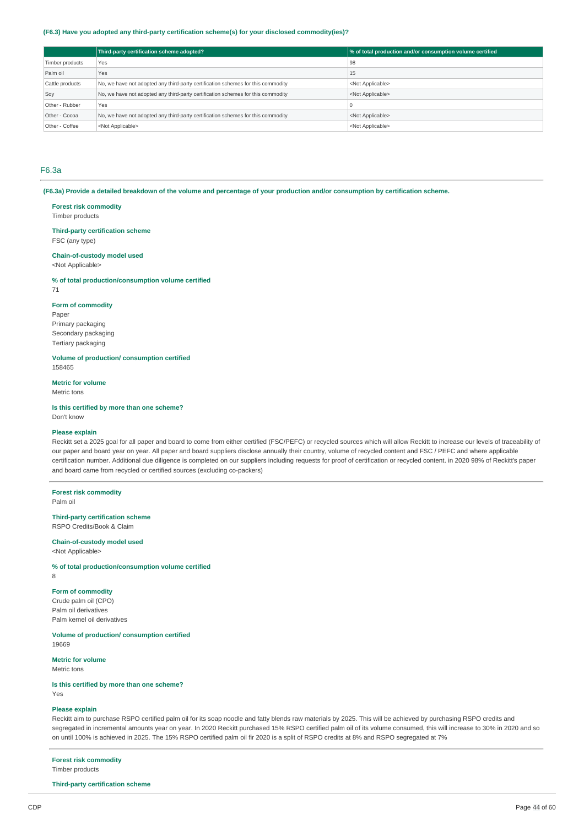#### **(F6.3) Have you adopted any third-party certification scheme(s) for your disclosed commodity(ies)?**

|                 | Third-party certification scheme adopted?                                        | % of total production and/or consumption volume certified |
|-----------------|----------------------------------------------------------------------------------|-----------------------------------------------------------|
| Timber products | Yes                                                                              | 98                                                        |
| Palm oil        | Yes                                                                              | 15                                                        |
| Cattle products | No, we have not adopted any third-party certification schemes for this commodity | <not applicable=""></not>                                 |
| Soy             | No, we have not adopted any third-party certification schemes for this commodity | <not applicable=""></not>                                 |
| Other - Rubber  | Yes                                                                              |                                                           |
| Other - Cocoa   | No, we have not adopted any third-party certification schemes for this commodity | <not applicable=""></not>                                 |
| Other - Coffee  | <not applicable=""></not>                                                        | <not applicable=""></not>                                 |

## F6.3a

(F6.3a) Provide a detailed breakdown of the volume and percentage of your production and/or consumption by certification scheme.

#### **Forest risk commodity**

Timber products

# **Third-party certification scheme**

FSC (any type)

## **Chain-of-custody model used**

<Not Applicable>

### **% of total production/consumption volume certified**

71

### **Form of commodity**

Paper Primary packaging Secondary packaging Tertiary packaging

# **Volume of production/ consumption certified**

158465

# **Metric for volume**

Metric tons

## **Is this certified by more than one scheme?**

Don't know

#### **Please explain**

Reckitt set a 2025 goal for all paper and board to come from either certified (FSC/PEFC) or recycled sources which will allow Reckitt to increase our levels of traceability of our paper and board year on year. All paper and board suppliers disclose annually their country, volume of recycled content and FSC / PEFC and where applicable certification number. Additional due diligence is completed on our suppliers including requests for proof of certification or recycled content. in 2020 98% of Reckitt's paper and board came from recycled or certified sources (excluding co-packers)

### **Forest risk commodity**

Palm oil

#### **Third-party certification scheme** RSPO Credits/Book & Claim

# **Chain-of-custody model used**

<Not Applicable>

## **% of total production/consumption volume certified**

8

# **Form of commodity**

Crude palm oil (CPO) Palm oil derivatives Palm kernel oil derivatives

## **Volume of production/ consumption certified**

19669

# **Metric for volume**

Metric tons

# **Is this certified by more than one scheme?**

Yes

# **Please explain**

Reckitt aim to purchase RSPO certified palm oil for its soap noodle and fatty blends raw materials by 2025. This will be achieved by purchasing RSPO credits and segregated in incremental amounts year on year. In 2020 Reckitt purchased 15% RSPO certified palm oil of its volume consumed, this will increase to 30% in 2020 and so on until 100% is achieved in 2025. The 15% RSPO certified palm oil fir 2020 is a split of RSPO credits at 8% and RSPO segregated at 7%

# **Forest risk commodity**

Timber products

# **Third-party certification scheme**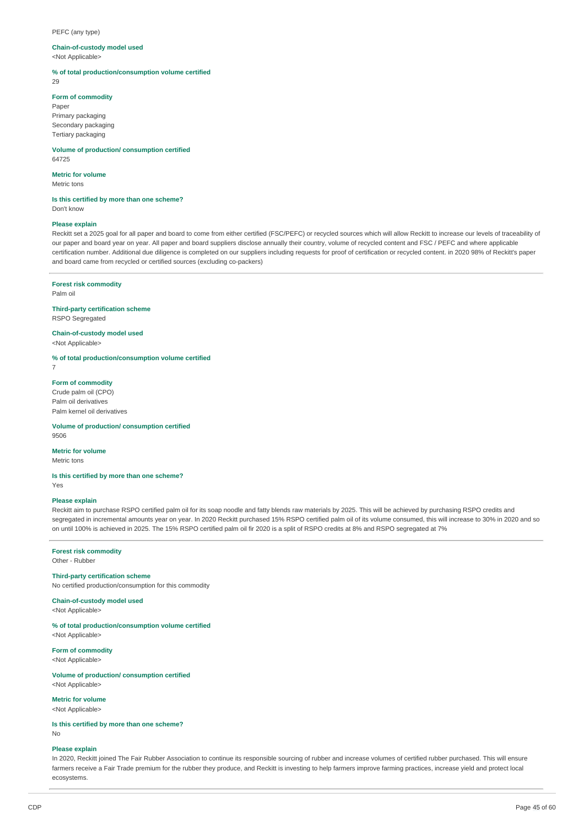#### PEFC (any type)

#### **Chain-of-custody model used**

<Not Applicable>

**% of total production/consumption volume certified**

29

#### **Form of commodity**

Paper Primary packaging Secondary packaging Tertiary packaging

**Volume of production/ consumption certified** 64725

# **Metric for volume**

Metric tons

# **Is this certified by more than one scheme?**

Don't know

## **Please explain**

Reckitt set a 2025 goal for all paper and board to come from either certified (FSC/PEFC) or recycled sources which will allow Reckitt to increase our levels of traceability of our paper and board year on year. All paper and board suppliers disclose annually their country, volume of recycled content and FSC / PEFC and where applicable certification number. Additional due diligence is completed on our suppliers including requests for proof of certification or recycled content. in 2020 98% of Reckitt's paper and board came from recycled or certified sources (excluding co-packers)

## **Forest risk commodity**

Palm oil

# **Third-party certification scheme**

RSPO Segregated

#### **Chain-of-custody model used** <Not Annlicable>

**% of total production/consumption volume certified**

7

# **Form of commodity**

Crude palm oil (CPO) Palm oil derivatives Palm kernel oil derivatives

#### **Volume of production/ consumption certified** 9506

#### **Metric for volume** Metric tons

#### **Is this certified by more than one scheme?** Yes

**Please explain**

Reckitt aim to purchase RSPO certified palm oil for its soap noodle and fatty blends raw materials by 2025. This will be achieved by purchasing RSPO credits and segregated in incremental amounts year on year. In 2020 Reckitt purchased 15% RSPO certified palm oil of its volume consumed, this will increase to 30% in 2020 and so on until 100% is achieved in 2025. The 15% RSPO certified palm oil fir 2020 is a split of RSPO credits at 8% and RSPO segregated at 7%

# **Forest risk commodity**

Other - Rubber

# **Third-party certification scheme**

No certified production/consumption for this commodity

# **Chain-of-custody model used**

<Not Applicable>

**% of total production/consumption volume certified** <Not Applicable>

## **Form of commodity**

<Not Applicable>

**Volume of production/ consumption certified** <Not Applicable>

#### **Metric for volume**

<Not Applicable>

**Is this certified by more than one scheme?**

No

# **Please explain**

In 2020, Reckitt joined The Fair Rubber Association to continue its responsible sourcing of rubber and increase volumes of certified rubber purchased. This will ensure farmers receive a Fair Trade premium for the rubber they produce, and Reckitt is investing to help farmers improve farming practices, increase yield and protect local ecosystems.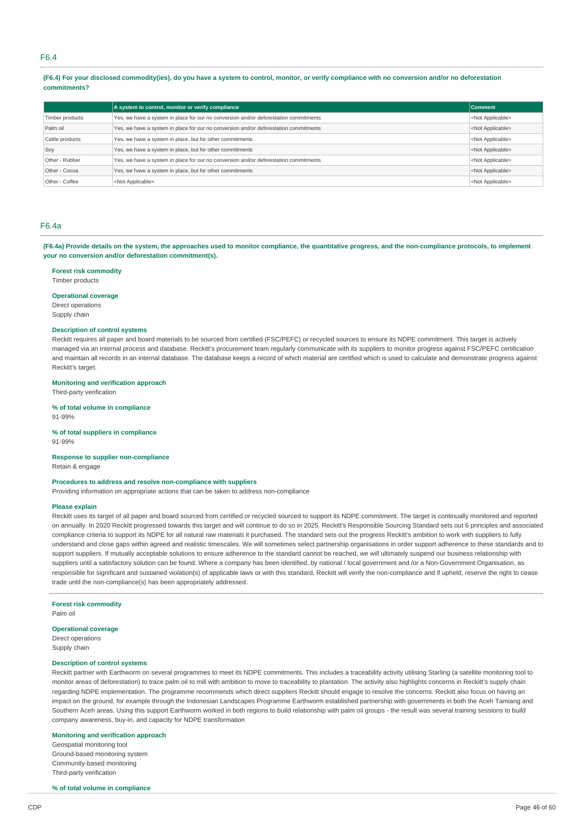## F6.4

(F6.4) For your disclosed commodity lies), do you have a system to control, monitor, or verify compliance with no conversion and/or no deforestation **commitments?**

|                 | A system to control, monitor or verify compliance                                                                  | <b>Comment</b>            |  |  |
|-----------------|--------------------------------------------------------------------------------------------------------------------|---------------------------|--|--|
| Timber products | Yes, we have a system in place for our no conversion and/or deforestation commitments                              |                           |  |  |
| Palm oil        | Yes, we have a system in place for our no conversion and/or deforestation commitments<br><not applicable=""></not> |                           |  |  |
| Cattle products | Yes, we have a system in place, but for other commitments                                                          | <not applicable=""></not> |  |  |
| Soy             | Yes, we have a system in place, but for other commitments                                                          | <not applicable=""></not> |  |  |
| Other - Rubber  | Yes, we have a system in place for our no conversion and/or deforestation commitments                              | <not applicable=""></not> |  |  |
| Other - Cocoa   | Yes, we have a system in place, but for other commitments                                                          | <not applicable=""></not> |  |  |
| Other - Coffee  | <not applicable=""></not>                                                                                          | <not applicable=""></not> |  |  |

# F6.4a

(F6.4a) Provide details on the system, the approaches used to monitor compliance, the quantitative progress, and the non-compliance protocols, to implement **your no conversion and/or deforestation commitment(s).**

#### **Forest risk commodity**

Timber products

#### **Operational coverage**

Direct operations Supply chain

#### **Description of control systems**

Reckitt requires all paper and board materials to be sourced from certified (FSC/PEFC) or recycled sources to ensure its NDPE commitment. This target is actively managed via an internal process and database. Reckitt's procurement team regularly communicate with its suppliers to monitor progress against FSC/PEFC certification and maintain all records in an internal database. The database keeps a record of which material are certified which is used to calculate and demonstrate progress against Reckitt's target.

#### **Monitoring and verification approach**

Third-party verification

**% of total volume in compliance** 91-99%

## **% of total suppliers in compliance**

91-99%

### **Response to supplier non-compliance**

Retain & engage

# **Procedures to address and resolve non-compliance with suppliers**

Providing information on appropriate actions that can be taken to address non-compliance

#### **Please explain**

Reckitt uses its target of all paper and board sourced from certified or recycled sourced to support its NDPE commitment. The target is continually monitored and reported on annually. In 2020 Reckitt progressed towards this target and will continue to do so in 2025. Reckitt's Responsible Sourcing Standard sets out 6 principles and associated compliance criteria to support its NDPE for all natural raw materials it purchased. The standard sets out the progress Reckitt's ambition to work with suppliers to fully understand and close gaps within agreed and realistic timescales. We will sometimes select partnership organisations in order support adherence to these standards and to support suppliers. If mutually acceptable solutions to ensure adherence to the standard cannot be reached, we will ultimately suspend our business relationship with suppliers until a satisfactory solution can be found. Where a company has been identified, by national / local government and /or a Non-Government Organisation, as responsible for significant and sustained violation(s) of applicable laws or with this standard, Reckitt will verify the non-compliance and if upheld, reserve the right to cease trade until the non-compliance(s) has been appropriately addressed.

**Forest risk commodity**

Palm oil

## **Operational coverage**

Direct operations Supply chain

## **Description of control systems**

Reckitt partner with Earthworm on several programmes to meet its NDPE commitments. This includes a traceability activity utilising Starling (a satellite monitoring tool to monitor areas of deforestation) to trace palm oil to mill with ambition to move to traceability to plantation. The activity also highlights concerns in Reckitt's supply chain regarding NDPE implementation. The programme recommends which direct suppliers Reckitt should engage to resolve the concerns. Reckitt also focus on having an impact on the ground, for example through the Indonesian Landscapes Programme Earthworm established partnership with governments in both the Aceh Tamiang and Southern Aceh areas. Using this support Earthworm worked in both regions to build relationship with palm oil groups - the result was several training sessions to build company awareness, buy-in, and capacity for NDPE transformation

## **Monitoring and verification approach**

Geospatial monitoring tool Ground-based monitoring system Community-based monitoring Third-party verification

### **% of total volume in compliance**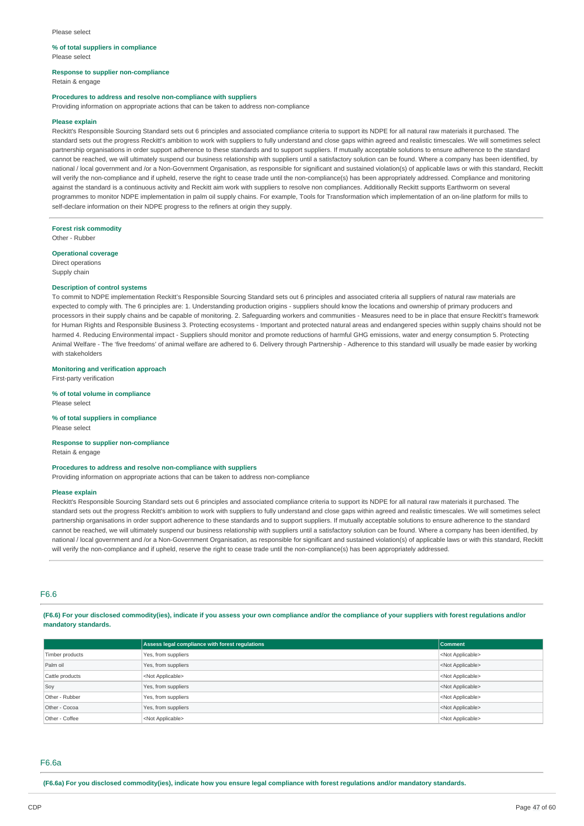#### **% of total suppliers in compliance** Please select

# **Response to supplier non-compliance**

Retain & engage

## **Procedures to address and resolve non-compliance with suppliers**

Providing information on appropriate actions that can be taken to address non-compliance

#### **Please explain**

Reckitt's Responsible Sourcing Standard sets out 6 principles and associated compliance criteria to support its NDPE for all natural raw materials it purchased. The standard sets out the progress Reckitt's ambition to work with suppliers to fully understand and close gaps within agreed and realistic timescales. We will sometimes select partnership organisations in order support adherence to these standards and to support suppliers. If mutually acceptable solutions to ensure adherence to the standard cannot be reached, we will ultimately suspend our business relationship with suppliers until a satisfactory solution can be found. Where a company has been identified, by national / local government and /or a Non-Government Organisation, as responsible for significant and sustained violation(s) of applicable laws or with this standard, Reckitt will verify the non-compliance and if upheld, reserve the right to cease trade until the non-compliance(s) has been appropriately addressed. Compliance and monitoring against the standard is a continuous activity and Reckitt aim work with suppliers to resolve non compliances. Additionally Reckitt supports Earthworm on several programmes to monitor NDPE implementation in palm oil supply chains. For example, Tools for Transformation which implementation of an on-line platform for mills to self-declare information on their NDPE progress to the refiners at origin they supply.

**Forest risk commodity** Other - Rubber

## **Operational coverage**

Direct operations Supply chain

#### **Description of control systems**

To commit to NDPE implementation Reckitt's Responsible Sourcing Standard sets out 6 principles and associated criteria all suppliers of natural raw materials are expected to comply with. The 6 principles are: 1. Understanding production origins - suppliers should know the locations and ownership of primary producers and processors in their supply chains and be capable of monitoring. 2. Safeguarding workers and communities - Measures need to be in place that ensure Reckitt's framework for Human Rights and Responsible Business 3. Protecting ecosystems - Important and protected natural areas and endangered species within supply chains should not be harmed 4. Reducing Environmental impact - Suppliers should monitor and promote reductions of harmful GHG emissions, water and energy consumption 5. Protecting Animal Welfare - The 'five freedoms' of animal welfare are adhered to 6. Delivery through Partnership - Adherence to this standard will usually be made easier by working with stakeholders

# **Monitoring and verification approach**

First-party verification

#### **% of total volume in compliance** Please select

**% of total suppliers in compliance** Please select

# **Response to supplier non-compliance**

Retain & engage

## **Procedures to address and resolve non-compliance with suppliers**

Providing information on appropriate actions that can be taken to address non-compliance

## **Please explain**

Reckitt's Responsible Sourcing Standard sets out 6 principles and associated compliance criteria to support its NDPE for all natural raw materials it purchased. The standard sets out the progress Reckitt's ambition to work with suppliers to fully understand and close gaps within agreed and realistic timescales. We will sometimes select partnership organisations in order support adherence to these standards and to support suppliers. If mutually acceptable solutions to ensure adherence to the standard cannot be reached, we will ultimately suspend our business relationship with suppliers until a satisfactory solution can be found. Where a company has been identified, by national / local government and /or a Non-Government Organisation, as responsible for significant and sustained violation(s) of applicable laws or with this standard, Reckitt will verify the non-compliance and if upheld, reserve the right to cease trade until the non-compliance(s) has been appropriately addressed.

## F6.6

(F6.6) For your disclosed commodity(ies), indicate if you assess your own compliance and/or the compliance of your suppliers with forest regulations and/or **mandatory standards.**

|                 | Assess legal compliance with forest regulations | <b>Comment</b>            |
|-----------------|-------------------------------------------------|---------------------------|
| Timber products | Yes, from suppliers                             | <not applicable=""></not> |
| Palm oil        | Yes, from suppliers                             | <not applicable=""></not> |
| Cattle products | <not applicable=""></not>                       | <not applicable=""></not> |
| Soy             | Yes, from suppliers                             | <not applicable=""></not> |
| Other - Rubber  | Yes, from suppliers                             | <not applicable=""></not> |
| Other - Cocoa   | Yes, from suppliers                             | <not applicable=""></not> |
| Other - Coffee  | <not applicable=""></not>                       | <not applicable=""></not> |

#### F6.6a

(F6.6a) For you disclosed commodity(ies), indicate how you ensure legal compliance with forest regulations and/or mandatory standards.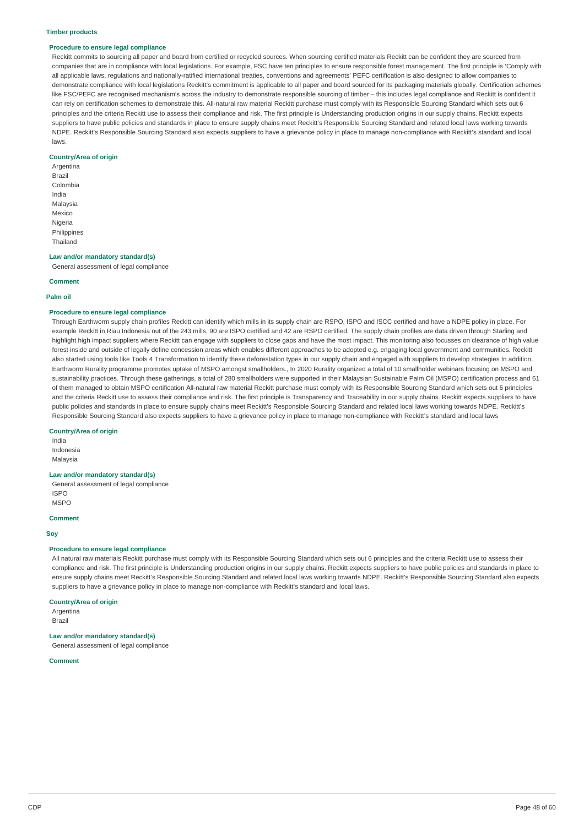#### **Timber products**

#### **Procedure to ensure legal compliance**

Reckitt commits to sourcing all paper and board from certified or recycled sources. When sourcing certified materials Reckitt can be confident they are sourced from companies that are in compliance with local legislations. For example, FSC have ten principles to ensure responsible forest management. The first principle is 'Comply with all applicable laws, regulations and nationally-ratified international treaties, conventions and agreements' PEFC certification is also designed to allow companies to demonstrate compliance with local legislations Reckitt's commitment is applicable to all paper and board sourced for its packaging materials globally. Certification schemes like FSC/PEFC are recognised mechanism's across the industry to demonstrate responsible sourcing of timber – this includes legal compliance and Reckitt is confident it can rely on certification schemes to demonstrate this. All-natural raw material Reckitt purchase must comply with its Responsible Sourcing Standard which sets out 6 principles and the criteria Reckitt use to assess their compliance and risk. The first principle is Understanding production origins in our supply chains. Reckitt expects suppliers to have public policies and standards in place to ensure supply chains meet Reckitt's Responsible Sourcing Standard and related local laws working towards NDPE. Reckitt's Responsible Sourcing Standard also expects suppliers to have a grievance policy in place to manage non-compliance with Reckitt's standard and local laws.

#### **Country/Area of origin**

Argentina Brazil Colombia India Malaysia Mexico Nigeria Philippines Thailand

#### **Law and/or mandatory standard(s)**

General assessment of legal compliance

#### **Comment**

#### **Palm oil**

#### **Procedure to ensure legal compliance**

Through Earthworm supply chain profiles Reckitt can identify which mills in its supply chain are RSPO, ISPO and ISCC certified and have a NDPE policy in place. For example Reckitt in Riau Indonesia out of the 243 mills. 90 are ISPO certified and 42 are RSPO certified. The supply chain profiles are data driven through Starling and highlight high impact suppliers where Reckitt can engage with suppliers to close gaps and have the most impact. This monitoring also focusses on clearance of high value forest inside and outside of legally define concession areas which enables different approaches to be adopted e.g. engaging local government and communities. Reckitt also started using tools like Tools 4 Transformation to identify these deforestation types in our supply chain and engaged with suppliers to develop strategies In addition, Earthworm Rurality programme promotes uptake of MSPO amongst smallholders., In 2020 Rurality organized a total of 10 smallholder webinars focusing on MSPO and sustainability practices. Through these gatherings, a total of 280 smallholders were supported in their Malaysian Sustainable Palm Oil (MSPO) certification process and 61 of them managed to obtain MSPO certification All-natural raw material Reckitt purchase must comply with its Responsible Sourcing Standard which sets out 6 principles and the criteria Reckitt use to assess their compliance and risk. The first principle is Transparency and Traceability in our supply chains. Reckitt expects suppliers to have public policies and standards in place to ensure supply chains meet Reckitt's Responsible Sourcing Standard and related local laws working towards NDPE. Reckitt's Responsible Sourcing Standard also expects suppliers to have a grievance policy in place to manage non-compliance with Reckitt's standard and local laws

#### **Country/Area of origin**

India

Indonesia Malaysia

# **Law and/or mandatory standard(s)**

General assessment of legal compliance ISPO MSPO

## **Comment**

## **Soy**

# **Procedure to ensure legal compliance**

All natural raw materials Reckitt purchase must comply with its Responsible Sourcing Standard which sets out 6 principles and the criteria Reckitt use to assess their compliance and risk. The first principle is Understanding production origins in our supply chains. Reckitt expects suppliers to have public policies and standards in place to ensure supply chains meet Reckitt's Responsible Sourcing Standard and related local laws working towards NDPE. Reckitt's Responsible Sourcing Standard also expects suppliers to have a grievance policy in place to manage non-compliance with Reckitt's standard and local laws.

## **Country/Area of origin**

Argentina Brazil

# **Law and/or mandatory standard(s)**

General assessment of legal compliance

# **Comment**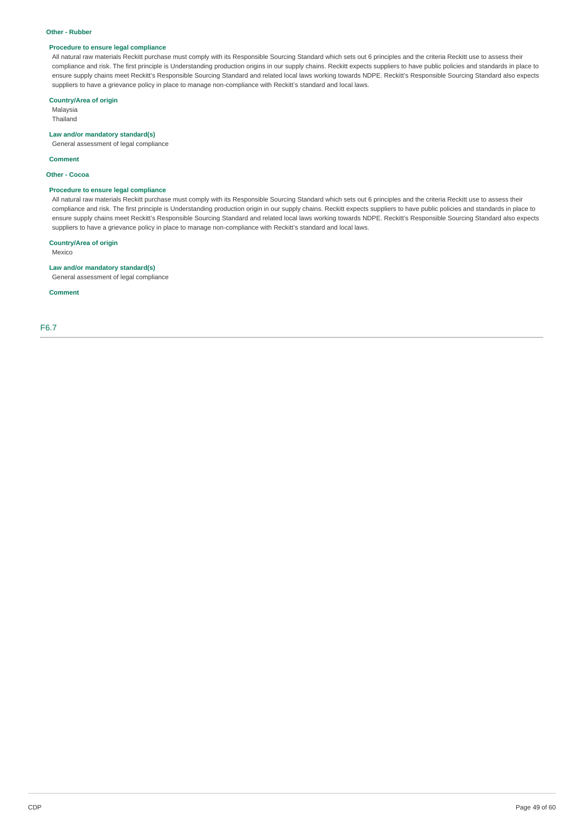#### **Other - Rubber**

# **Procedure to ensure legal compliance**

All natural raw materials Reckitt purchase must comply with its Responsible Sourcing Standard which sets out 6 principles and the criteria Reckitt use to assess their compliance and risk. The first principle is Understanding production origins in our supply chains. Reckitt expects suppliers to have public policies and standards in place to ensure supply chains meet Reckitt's Responsible Sourcing Standard and related local laws working towards NDPE. Reckitt's Responsible Sourcing Standard also expects suppliers to have a grievance policy in place to manage non-compliance with Reckitt's standard and local laws.

# **Country/Area of origin**

Malaysia Thailand

# **Law and/or mandatory standard(s)**

General assessment of legal compliance

#### **Comment**

**Other - Cocoa**

## **Procedure to ensure legal compliance**

All natural raw materials Reckitt purchase must comply with its Responsible Sourcing Standard which sets out 6 principles and the criteria Reckitt use to assess their compliance and risk. The first principle is Understanding production origin in our supply chains. Reckitt expects suppliers to have public policies and standards in place to ensure supply chains meet Reckitt's Responsible Sourcing Standard and related local laws working towards NDPE. Reckitt's Responsible Sourcing Standard also expects suppliers to have a grievance policy in place to manage non-compliance with Reckitt's standard and local laws.

# **Country/Area of origin**

Mexico

# **Law and/or mandatory standard(s)**

General assessment of legal compliance

### **Comment**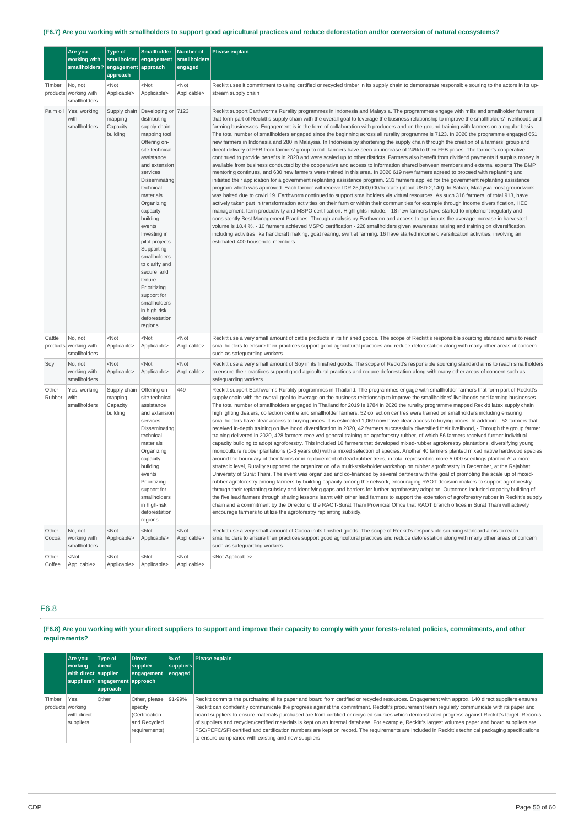# (F6.7) Are you working with smallholders to support good agricultural practices and reduce deforestation and/or conversion of natural ecosystems?

|                   | Are you<br>working with<br>smallholders?         | <b>Type of</b><br>smallholder<br>engagement<br>approach | <b>Smallholder</b><br>engagement<br>approach                                                                                                                                                                                                                                                                                                                                                                                                     | Number of<br>smallholders<br>engaged | Please explain                                                                                                                                                                                                                                                                                                                                                                                                                                                                                                                                                                                                                                                                                                                                                                                                                                                                                                                                                                                                                                                                                                                                                                                                                                                                                                                                                                                                                                                                                                                                                                                                                                                                                                                                                                                                                                                                                                                                                                                                                                                                                                                                                                                                                                                                                                                                                                                                                                                                 |
|-------------------|--------------------------------------------------|---------------------------------------------------------|--------------------------------------------------------------------------------------------------------------------------------------------------------------------------------------------------------------------------------------------------------------------------------------------------------------------------------------------------------------------------------------------------------------------------------------------------|--------------------------------------|--------------------------------------------------------------------------------------------------------------------------------------------------------------------------------------------------------------------------------------------------------------------------------------------------------------------------------------------------------------------------------------------------------------------------------------------------------------------------------------------------------------------------------------------------------------------------------------------------------------------------------------------------------------------------------------------------------------------------------------------------------------------------------------------------------------------------------------------------------------------------------------------------------------------------------------------------------------------------------------------------------------------------------------------------------------------------------------------------------------------------------------------------------------------------------------------------------------------------------------------------------------------------------------------------------------------------------------------------------------------------------------------------------------------------------------------------------------------------------------------------------------------------------------------------------------------------------------------------------------------------------------------------------------------------------------------------------------------------------------------------------------------------------------------------------------------------------------------------------------------------------------------------------------------------------------------------------------------------------------------------------------------------------------------------------------------------------------------------------------------------------------------------------------------------------------------------------------------------------------------------------------------------------------------------------------------------------------------------------------------------------------------------------------------------------------------------------------------------------|
| Timber            | No, not<br>products working with<br>smallholders | <not<br>Applicable&gt;</not<br>                         | $<$ Not<br>Applicable>                                                                                                                                                                                                                                                                                                                                                                                                                           | <not<br>Applicable&gt;</not<br>      | Reckitt uses it commitment to using certified or recycled timber in its supply chain to demonstrate responsible souring to the actors in its up-<br>stream supply chain                                                                                                                                                                                                                                                                                                                                                                                                                                                                                                                                                                                                                                                                                                                                                                                                                                                                                                                                                                                                                                                                                                                                                                                                                                                                                                                                                                                                                                                                                                                                                                                                                                                                                                                                                                                                                                                                                                                                                                                                                                                                                                                                                                                                                                                                                                        |
| Palm oil          | Yes, working<br>with<br>smallholders             | Supply chain<br>mapping<br>Capacity<br>building         | Developing or 7123<br>distributing<br>supply chain<br>mapping tool<br>Offering on-<br>site technical<br>assistance<br>and extension<br>services<br>Disseminating<br>technical<br>materials<br>Organizing<br>capacity<br>building<br>events<br>Investing in<br>pilot projects<br>Supporting<br>smallholders<br>to clarify and<br>secure land<br>tenure<br>Prioritizing<br>support for<br>smallholders<br>in high-risk<br>deforestation<br>regions |                                      | Reckitt support Earthworms Rurality programmes in Indonesia and Malaysia. The programmes engage with mills and smallholder farmers<br>that form part of Reckitt's supply chain with the overall goal to leverage the business relationship to improve the smallholders' livelihoods and<br>farming businesses. Engagement is in the form of collaboration with producers and on the ground training with farmers on a regular basis.<br>The total number of smallholders engaged since the beginning across all rurality programme is 7123. In 2020 the programme engaged 651<br>new farmers in Indonesia and 280 in Malaysia. In Indonesia by shortening the supply chain through the creation of a farmers' group and<br>direct delivery of FFB from farmers' group to mill, farmers have seen an increase of 24% to their FFB prices. The farmer's cooperative<br>continued to provide benefits in 2020 and were scaled up to other districts. Farmers also benefit from dividend payments if surplus money is<br>available from business conducted by the cooperative and access to information shared between members and external experts The BMP<br>mentoring continues, and 630 new farmers were trained in this area. In 2020 619 new farmers agreed to proceed with replanting and<br>initiated their application for a government replanting assistance program. 231 farmers applied for the government replanting assistance<br>program which was approved. Each farmer will receive IDR 25,000,000/hectare (about USD 2,140). In Sabah, Malaysia most groundwork<br>was halted due to covid 19. Earthworm continued to support smallholders via virtual resources. As such 316 farmers, of total 913, have<br>actively taken part in transformation activities on their farm or within their communities for example through income diversification, HEC<br>management, farm productivity and MSPO certification. Highlights include: - 18 new farmers have started to implement regularly and<br>consistently Best Management Practices. Through analysis by Earthworm and access to agri-inputs the average increase in harvested<br>volume is 18.4 %. - 10 farmers achieved MSPO certification - 228 smallholders given awareness raising and training on diversification,<br>including activities like handicraft making, goat rearing, swiftlet farming. 16 have started income diversification activities, involving an<br>estimated 400 household members. |
| Cattle            | No, not<br>products working with<br>smallholders | <not<br>Applicable&gt;</not<br>                         | $<$ Not<br>Applicable>                                                                                                                                                                                                                                                                                                                                                                                                                           | <not<br>Applicable&gt;</not<br>      | Reckitt use a very small amount of cattle products in its finished goods. The scope of Reckitt's responsible sourcing standard aims to reach<br>smallholders to ensure their practices support good agricultural practices and reduce deforestation along with many other areas of concern<br>such as safeguarding workers.                                                                                                                                                                                                                                                                                                                                                                                                                                                                                                                                                                                                                                                                                                                                                                                                                                                                                                                                                                                                                                                                                                                                                                                                                                                                                                                                                                                                                                                                                                                                                                                                                                                                                                                                                                                                                                                                                                                                                                                                                                                                                                                                                    |
| Soy               | No, not<br>working with<br>smallholders          | $<$ Not<br>Applicable>                                  | <not<br>Applicable&gt;</not<br>                                                                                                                                                                                                                                                                                                                                                                                                                  | $<$ Not<br>Applicable>               | Reckitt use a very small amount of Soy in its finished goods. The scope of Reckitt's responsible sourcing standard aims to reach smallholders<br>to ensure their practices support good agricultural practices and reduce deforestation along with many other areas of concern such as<br>safeguarding workers.                                                                                                                                                                                                                                                                                                                                                                                                                                                                                                                                                                                                                                                                                                                                                                                                                                                                                                                                                                                                                                                                                                                                                                                                                                                                                                                                                                                                                                                                                                                                                                                                                                                                                                                                                                                                                                                                                                                                                                                                                                                                                                                                                                |
| Other -<br>Rubber | Yes, working<br>with<br>smallholders             | Supply chain<br>mapping<br>Capacity<br>building         | Offering on-<br>site technical<br>assistance<br>and extension<br>services<br>Disseminating<br>technical<br>materials<br>Organizing<br>capacity<br>building<br>events<br>Prioritizing<br>support for<br>smallholders<br>in high-risk<br>deforestation<br>regions                                                                                                                                                                                  | 449                                  | Reckitt support Earthworms Rurality programmes in Thailand. The programmes engage with smallholder farmers that form part of Reckitt's<br>supply chain with the overall goal to leverage on the business relationship to improve the smallholders' livelihoods and farming businesses.<br>The total number of smallholders engaged in Thailand for 2019 is 1784 In 2020 the rurality programme mapped Reckitt latex supply chain<br>highlighting dealers, collection centre and smallholder farmers. 52 collection centres were trained on smallholders including ensuring<br>smallholders have clear access to buying prices. It is estimated 1,069 now have clear access to buying prices. In addition: - 52 farmers that<br>received in-depth training on livelihood diversification in 2020, 42 farmers successfully diversified their livelihood, - Through the group farmer<br>training delivered in 2020, 428 farmers received general training on agroforestry rubber, of which 56 farmers received further individual<br>capacity building to adopt agroforestry. This included 16 farmers that developed mixed-rubber agroforestry plantations, diversifying young<br>monoculture rubber plantations (1-3 years old) with a mixed selection of species. Another 40 farmers planted mixed native hardwood species<br>around the boundary of their farms or in replacement of dead rubber trees, in total representing more 5,000 seedlings planted At a more<br>strategic level, Rurality supported the organization of a multi-stakeholder workshop on rubber agroforestry in December, at the Rajabhat<br>University of Surat Thani. The event was organized and co-financed by several partners with the goal of promoting the scale up of mixed-<br>rubber agroforestry among farmers by building capacity among the network, encouraging RAOT decision-makers to support agroforestry<br>through their replanting subsidy and identifying gaps and barriers for further agroforestry adoption. Outcomes included capacity building of<br>the five lead farmers through sharing lessons learnt with other lead farmers to support the extension of agroforestry rubber in Reckitt's supply<br>chain and a commitment by the Director of the RAOT-Surat Thani Provincial Office that RAOT branch offices in Surat Thani will actively<br>encourage farmers to utilize the agroforestry replanting subsidy.                                                         |
| Other -<br>Cocoa  | No, not<br>working with<br>smallholders          | $<$ Not<br>Applicable>                                  | $<$ Not<br>Applicable>                                                                                                                                                                                                                                                                                                                                                                                                                           | $<$ Not<br>Applicable>               | Reckitt use a very small amount of Cocoa in its finished goods. The scope of Reckitt's responsible sourcing standard aims to reach<br>smallholders to ensure their practices support good agricultural practices and reduce deforestation along with many other areas of concern<br>such as safeguarding workers.                                                                                                                                                                                                                                                                                                                                                                                                                                                                                                                                                                                                                                                                                                                                                                                                                                                                                                                                                                                                                                                                                                                                                                                                                                                                                                                                                                                                                                                                                                                                                                                                                                                                                                                                                                                                                                                                                                                                                                                                                                                                                                                                                              |
| Other -<br>Coffee | $<$ Not<br>Applicable>                           | <not<br>Applicable&gt;</not<br>                         | $<$ Not<br>Applicable>                                                                                                                                                                                                                                                                                                                                                                                                                           | $<$ Not<br>Applicable>               | <not applicable=""></not>                                                                                                                                                                                                                                                                                                                                                                                                                                                                                                                                                                                                                                                                                                                                                                                                                                                                                                                                                                                                                                                                                                                                                                                                                                                                                                                                                                                                                                                                                                                                                                                                                                                                                                                                                                                                                                                                                                                                                                                                                                                                                                                                                                                                                                                                                                                                                                                                                                                      |

# F6.8

(F6.8) Are you working with your direct suppliers to support and improve their capacity to comply with your forests-related policies, commitments, and other **requirements?**

|                            | Are vou<br>working<br>with direct supplier | <b>Type of</b><br>direct<br>suppliers? engagement approach<br> approach | Direct<br>supplier<br>engagement                                                   | l% of<br>suppliers<br> engaged | Please explain                                                                                                                                                                                                                                                                                                                                                                                                                                                                                                                                                                                                                                                                                                                                                                                                               |
|----------------------------|--------------------------------------------|-------------------------------------------------------------------------|------------------------------------------------------------------------------------|--------------------------------|------------------------------------------------------------------------------------------------------------------------------------------------------------------------------------------------------------------------------------------------------------------------------------------------------------------------------------------------------------------------------------------------------------------------------------------------------------------------------------------------------------------------------------------------------------------------------------------------------------------------------------------------------------------------------------------------------------------------------------------------------------------------------------------------------------------------------|
| Timber<br>products working | Yes.<br>with direct<br>suppliers           | Other                                                                   | Other, please 91-99%<br>specify<br>(Certification<br>and Recycled<br>requirements) |                                | Reckitt commits the purchasing all its paper and board from certified or recycled resources. Engagement with approx. 140 direct suppliers ensures<br>Reckitt can confidently communicate the progress against the commitment. Reckitt's procurement team regularly communicate with its paper and<br>board suppliers to ensure materials purchased are from certified or recycled sources which demonstrated progress against Reckitt's target. Records<br>of suppliers and recycled/certified materials is kept on an internal database. For example, Reckitt's largest volumes paper and board suppliers are<br>FSC/PEFC/SFI certified and certification numbers are kept on record. The requirements are included in Reckitt's technical packaging specifications<br>to ensure compliance with existing and new suppliers |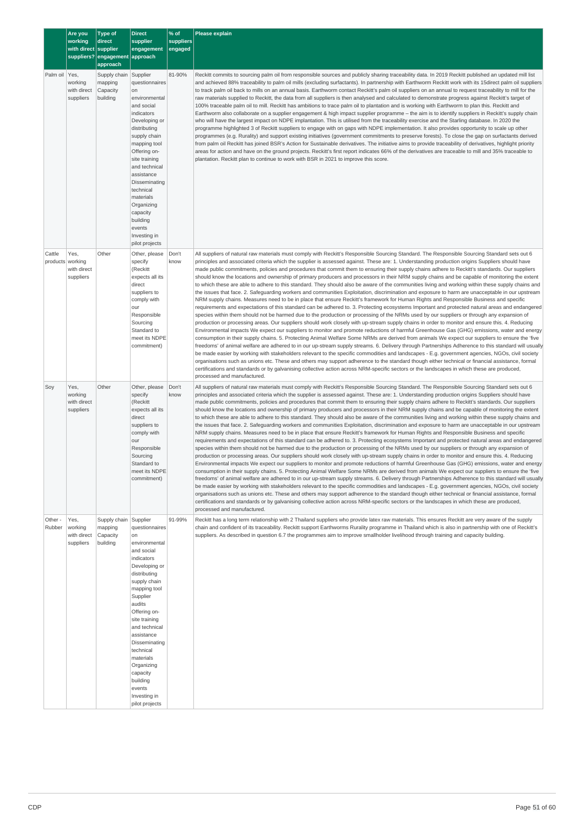|                            | Are you<br>working       | <b>Type of</b><br>direct          | <b>Direct</b><br>supplier      | % of<br><b>suppliers</b> | Please explain                                                                                                                                                                                                                                                                                                    |  |  |
|----------------------------|--------------------------|-----------------------------------|--------------------------------|--------------------------|-------------------------------------------------------------------------------------------------------------------------------------------------------------------------------------------------------------------------------------------------------------------------------------------------------------------|--|--|
|                            | with direct supplier     | suppliers? engagement approach    | engagement                     | engaged                  |                                                                                                                                                                                                                                                                                                                   |  |  |
| Palm oil Yes,              |                          | approach<br>Supply chain Supplier |                                | 81-90%                   | Reckitt commits to sourcing palm oil from responsible sources and publicly sharing traceability data. In 2019 Reckitt published an updated mill list                                                                                                                                                              |  |  |
|                            | working                  | mapping                           | questionnaires                 |                          | and achieved 88% traceability to palm oil mills (excluding surfactants). In partnership with Earthworm Reckitt work with its 15direct palm oil suppliers                                                                                                                                                          |  |  |
|                            | with direct<br>suppliers | Capacity<br>building              | on<br>environmental            |                          | to track palm oil back to mills on an annual basis. Earthworm contact Reckitt's palm oil suppliers on an annual to request traceability to mill for the<br>raw materials supplied to Reckitt, the data from all suppliers is then analysed and calculated to demonstrate progress against Reckitt's target of     |  |  |
|                            |                          |                                   | and social<br>indicators       |                          | 100% traceable palm oil to mill. Reckitt has ambitions to trace palm oil to plantation and is working with Earthworm to plan this. Reckitt and<br>Earthworm also collaborate on a supplier engagement & high impact supplier programme - the aim is to identify suppliers in Reckitt's supply chain               |  |  |
|                            |                          |                                   | Developing or                  |                          | who will have the largest impact on NDPE implantation. This is utilised from the traceability exercise and the Starling database. In 2020 the                                                                                                                                                                     |  |  |
|                            |                          |                                   | distributing<br>supply chain   |                          | programme highlighted 3 of Reckitt suppliers to engage with on gaps with NDPE implementation. It also provides opportunity to scale up other<br>programmes (e.g. Rurality) and support existing initiatives (government commitments to preserve forests). To close the gap on surfactants derived                 |  |  |
|                            |                          |                                   | mapping tool<br>Offering on-   |                          | from palm oil Reckitt has joined BSR's Action for Sustainable derivatives. The initiative aims to provide traceability of derivatives, highlight priority<br>areas for action and have on the ground projects. Reckitt's first report indicates 66% of the derivatives are traceable to mill and 35% traceable to |  |  |
|                            |                          |                                   | site training<br>and technical |                          | plantation. Reckitt plan to continue to work with BSR in 2021 to improve this score.                                                                                                                                                                                                                              |  |  |
|                            |                          |                                   | assistance                     |                          |                                                                                                                                                                                                                                                                                                                   |  |  |
|                            |                          |                                   | Disseminating<br>technical     |                          |                                                                                                                                                                                                                                                                                                                   |  |  |
|                            |                          |                                   | materials<br>Organizing        |                          |                                                                                                                                                                                                                                                                                                                   |  |  |
|                            |                          |                                   | capacity<br>building           |                          |                                                                                                                                                                                                                                                                                                                   |  |  |
|                            |                          |                                   | events                         |                          |                                                                                                                                                                                                                                                                                                                   |  |  |
|                            |                          |                                   | Investing in<br>pilot projects |                          |                                                                                                                                                                                                                                                                                                                   |  |  |
| Cattle<br>products working | Yes,                     | Other                             | Other, please<br>specify       | Don't<br>know            | All suppliers of natural raw materials must comply with Reckitt's Responsible Sourcing Standard. The Responsible Sourcing Standard sets out 6<br>principles and associated criteria which the supplier is assessed against. These are: 1. Understanding production origins Suppliers should have                  |  |  |
|                            | with direct              |                                   | (Reckitt                       |                          | made public commitments, policies and procedures that commit them to ensuring their supply chains adhere to Reckitt's standards. Our suppliers                                                                                                                                                                    |  |  |
|                            | suppliers                |                                   | expects all its<br>direct      |                          | should know the locations and ownership of primary producers and processors in their NRM supply chains and be capable of monitoring the extent<br>to which these are able to adhere to this standard. They should also be aware of the communities living and working within these supply chains and              |  |  |
|                            |                          |                                   | suppliers to<br>comply with    |                          | the issues that face. 2. Safeguarding workers and communities Exploitation, discrimination and exposure to harm are unacceptable in our upstream<br>NRM supply chains. Measures need to be in place that ensure Reckitt's framework for Human Rights and Responsible Business and specific                        |  |  |
|                            |                          |                                   | our<br>Responsible             |                          | requirements and expectations of this standard can be adhered to. 3. Protecting ecosystems Important and protected natural areas and endangered<br>species within them should not be harmed due to the production or processing of the NRMs used by our suppliers or through any expansion of                     |  |  |
|                            |                          |                                   | Sourcing                       |                          | production or processing areas. Our suppliers should work closely with up-stream supply chains in order to monitor and ensure this. 4. Reducing                                                                                                                                                                   |  |  |
|                            |                          |                                   | Standard to<br>meet its NDPE   |                          | Environmental impacts We expect our suppliers to monitor and promote reductions of harmful Greenhouse Gas (GHG) emissions, water and energy<br>consumption in their supply chains. 5. Protecting Animal Welfare Some NRMs are derived from animals We expect our suppliers to ensure the 'five                    |  |  |
|                            |                          |                                   | commitment)                    |                          | freedoms' of animal welfare are adhered to in our up-stream supply streams. 6. Delivery through Partnerships Adherence to this standard will usually<br>be made easier by working with stakeholders relevant to the specific commodities and landscapes - E.g. government agencies, NGOs, civil society           |  |  |
|                            |                          |                                   |                                |                          | organisations such as unions etc. These and others may support adherence to the standard though either technical or financial assistance, formal<br>certifications and standards or by galvanising collective action across NRM-specific sectors or the landscapes in which these are produced,                   |  |  |
|                            |                          |                                   |                                |                          | processed and manufactured.                                                                                                                                                                                                                                                                                       |  |  |
| Soy                        | Yes,<br>working          | Other                             | Other, please<br>specify       | Don't<br>know            | All suppliers of natural raw materials must comply with Reckitt's Responsible Sourcing Standard. The Responsible Sourcing Standard sets out 6<br>principles and associated criteria which the supplier is assessed against. These are: 1. Understanding production origins Suppliers should have                  |  |  |
|                            | with direct<br>suppliers |                                   | (Reckitt<br>expects all its    |                          | made public commitments, policies and procedures that commit them to ensuring their supply chains adhere to Reckitt's standards. Our suppliers<br>should know the locations and ownership of primary producers and processors in their NRM supply chains and be capable of monitoring the extent                  |  |  |
|                            |                          |                                   | direct<br>suppliers to         |                          | to which these are able to adhere to this standard. They should also be aware of the communities living and working within these supply chains and<br>the issues that face. 2. Safeguarding workers and communities Exploitation, discrimination and exposure to harm are unacceptable in our upstream            |  |  |
|                            |                          |                                   | comply with<br>our             |                          | NRM supply chains. Measures need to be in place that ensure Reckitt's framework for Human Rights and Responsible Business and specific                                                                                                                                                                            |  |  |
|                            |                          |                                   | Responsible                    |                          | requirements and expectations of this standard can be adhered to. 3. Protecting ecosystems Important and protected natural areas and endangered<br>species within them should not be harmed due to the production or processing of the NRMs used by our suppliers or through any expansion of                     |  |  |
|                            |                          |                                   | Sourcing<br>Standard to        |                          | production or processing areas. Our suppliers should work closely with up-stream supply chains in order to monitor and ensure this. 4. Reducing<br>Environmental impacts We expect our suppliers to monitor and promote reductions of harmful Greenhouse Gas (GHG) emissions, water and energy                    |  |  |
|                            |                          |                                   | meet its NDPE<br>commitment)   |                          | consumption in their supply chains. 5. Protecting Animal Welfare Some NRMs are derived from animals We expect our suppliers to ensure the 'five<br>freedoms' of animal welfare are adhered to in our up-stream supply streams. 6. Delivery through Partnerships Adherence to this standard will usually           |  |  |
|                            |                          |                                   |                                |                          | be made easier by working with stakeholders relevant to the specific commodities and landscapes - E.g. government agencies, NGOs, civil society<br>organisations such as unions etc. These and others may support adherence to the standard though either technical or financial assistance, formal               |  |  |
|                            |                          |                                   |                                |                          | certifications and standards or by galvanising collective action across NRM-specific sectors or the landscapes in which these are produced,                                                                                                                                                                       |  |  |
| Other -                    | Yes,                     | Supply chain Supplier             |                                | 91-99%                   | processed and manufactured.<br>Reckitt has a long term relationship with 2 Thailand suppliers who provide latex raw materials. This ensures Reckitt are very aware of the supply                                                                                                                                  |  |  |
| Rubber                     | working<br>with direct   | mapping<br>Capacity               | questionnaires<br>on           |                          | chain and confident of its traceability. Reckitt support Earthworms Rurality programme in Thailand which is also in partnership with one of Reckitt's<br>suppliers. As described in question 6.7 the programmes aim to improve smallholder livelihood through training and capacity building.                     |  |  |
|                            | suppliers                | building                          | environmental<br>and social    |                          |                                                                                                                                                                                                                                                                                                                   |  |  |
|                            |                          |                                   | indicators                     |                          |                                                                                                                                                                                                                                                                                                                   |  |  |
|                            |                          |                                   | Developing or<br>distributing  |                          |                                                                                                                                                                                                                                                                                                                   |  |  |
|                            |                          |                                   | supply chain<br>mapping tool   |                          |                                                                                                                                                                                                                                                                                                                   |  |  |
|                            |                          |                                   | Supplier                       |                          |                                                                                                                                                                                                                                                                                                                   |  |  |
|                            |                          |                                   | audits<br>Offering on-         |                          |                                                                                                                                                                                                                                                                                                                   |  |  |
|                            |                          |                                   | site training<br>and technical |                          |                                                                                                                                                                                                                                                                                                                   |  |  |
|                            |                          |                                   | assistance<br>Disseminating    |                          |                                                                                                                                                                                                                                                                                                                   |  |  |
|                            |                          |                                   | technical                      |                          |                                                                                                                                                                                                                                                                                                                   |  |  |
|                            |                          |                                   | materials<br>Organizing        |                          |                                                                                                                                                                                                                                                                                                                   |  |  |
|                            |                          |                                   | capacity<br>building           |                          |                                                                                                                                                                                                                                                                                                                   |  |  |
|                            |                          |                                   | events<br>Investing in         |                          |                                                                                                                                                                                                                                                                                                                   |  |  |
|                            |                          |                                   | pilot projects                 |                          |                                                                                                                                                                                                                                                                                                                   |  |  |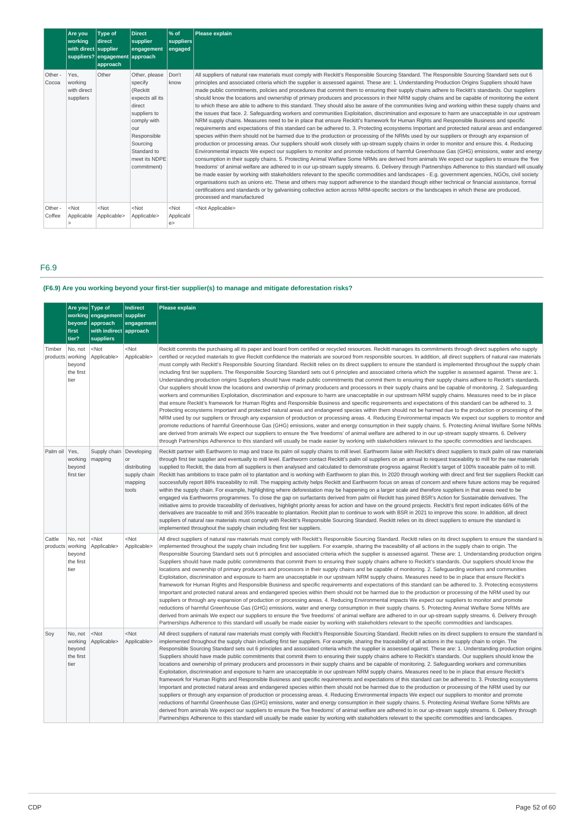|                   | Are you<br>working<br>with direct supplier  | Type of<br>direct<br>suppliers? engagement approach<br>approach | Direct<br>supplier<br>engagement                                                                                                                                                  | % of<br>suppliers<br>engaged | Please explain                                                                                                                                                                                                                                                                                                                                                                                                                                                                                                                                                                                                                                                                                                                                                                                                                                                                                                                                                                                                                                                                                                                                                                                                                                                                                                                                                                                                                                                                                                                                                                                                                                                                                                                                                                                                                                                                                                                                                                                                                                                                                                                                                                                                                                                                                                                                                                                                                                             |
|-------------------|---------------------------------------------|-----------------------------------------------------------------|-----------------------------------------------------------------------------------------------------------------------------------------------------------------------------------|------------------------------|------------------------------------------------------------------------------------------------------------------------------------------------------------------------------------------------------------------------------------------------------------------------------------------------------------------------------------------------------------------------------------------------------------------------------------------------------------------------------------------------------------------------------------------------------------------------------------------------------------------------------------------------------------------------------------------------------------------------------------------------------------------------------------------------------------------------------------------------------------------------------------------------------------------------------------------------------------------------------------------------------------------------------------------------------------------------------------------------------------------------------------------------------------------------------------------------------------------------------------------------------------------------------------------------------------------------------------------------------------------------------------------------------------------------------------------------------------------------------------------------------------------------------------------------------------------------------------------------------------------------------------------------------------------------------------------------------------------------------------------------------------------------------------------------------------------------------------------------------------------------------------------------------------------------------------------------------------------------------------------------------------------------------------------------------------------------------------------------------------------------------------------------------------------------------------------------------------------------------------------------------------------------------------------------------------------------------------------------------------------------------------------------------------------------------------------------------------|
| Other -<br>Cocoa  | Yes.<br>working<br>with direct<br>suppliers | Other                                                           | Other, please<br>specify<br>(Reckitt<br>expects all its<br>direct<br>suppliers to<br>comply with<br>our<br>Responsible<br>Sourcing<br>Standard to<br>meet its NDPE<br>commitment) | Don't<br>know                | All suppliers of natural raw materials must comply with Reckitt's Responsible Sourcing Standard. The Responsible Sourcing Standard sets out 6<br>principles and associated criteria which the supplier is assessed against. These are: 1. Understanding Production Origins Suppliers should have<br>made public commitments, policies and procedures that commit them to ensuring their supply chains adhere to Reckitt's standards. Our suppliers<br>should know the locations and ownership of primary producers and processors in their NRM supply chains and be capable of monitoring the extent<br>to which these are able to adhere to this standard. They should also be aware of the communities living and working within these supply chains and<br>the issues that face. 2. Safeguarding workers and communities Exploitation, discrimination and exposure to harm are unacceptable in our upstream<br>NRM supply chains. Measures need to be in place that ensure Reckitt's framework for Human Rights and Responsible Business and specific<br>requirements and expectations of this standard can be adhered to. 3. Protecting ecosystems Important and protected natural areas and endangered<br>species within them should not be harmed due to the production or processing of the NRMs used by our suppliers or through any expansion of<br>production or processing areas. Our suppliers should work closely with up-stream supply chains in order to monitor and ensure this. 4. Reducing<br>Environmental impacts We expect our suppliers to monitor and promote reductions of harmful Greenhouse Gas (GHG) emissions, water and energy<br>consumption in their supply chains. 5. Protecting Animal Welfare Some NRMs are derived from animals We expect our suppliers to ensure the 'five<br>freedoms' of animal welfare are adhered to in our up-stream supply streams. 6. Delivery through Partnerships Adherence to this standard will usually<br>be made easier by working with stakeholders relevant to the specific commodities and landscapes - E.g. government agencies, NGOs, civil society<br>organisations such as unions etc. These and others may support adherence to the standard though either technical or financial assistance, formal<br>certifications and standards or by galvanising collective action across NRM-specific sectors or the landscapes in which these are produced,<br>processed and manufactured |
| Other -<br>Coffee | $<$ Not<br>Applicable                       | $<$ Not<br>Applicable>                                          | $<$ Not<br>Applicable>                                                                                                                                                            | $<$ Not<br>Applicabl<br>e    | <not applicable=""></not>                                                                                                                                                                                                                                                                                                                                                                                                                                                                                                                                                                                                                                                                                                                                                                                                                                                                                                                                                                                                                                                                                                                                                                                                                                                                                                                                                                                                                                                                                                                                                                                                                                                                                                                                                                                                                                                                                                                                                                                                                                                                                                                                                                                                                                                                                                                                                                                                                                  |

# F6.9

# **(F6.9) Are you working beyond your first-tier supplier(s) to manage and mitigate deforestation risks?**

|                            | Are you Type of<br>first<br>tier?                 | working engagement supplier<br>beyond approach<br>with indirect approach<br>suppliers | <b>Indirect</b><br>engagement                          | <b>Please explain</b>                                                                                                                                                                                                                                                                                                                                                                                                                                                                                                                                                                                                                                                                                                                                                                                                                                                                                                                                                                                                                                                                                                                                                                                                                                                                                                                                                                                                                                                                                                                                                                                                                                                                                                                                                                                                                                                                                                                                                                                                                                                                                                                                                                           |
|----------------------------|---------------------------------------------------|---------------------------------------------------------------------------------------|--------------------------------------------------------|-------------------------------------------------------------------------------------------------------------------------------------------------------------------------------------------------------------------------------------------------------------------------------------------------------------------------------------------------------------------------------------------------------------------------------------------------------------------------------------------------------------------------------------------------------------------------------------------------------------------------------------------------------------------------------------------------------------------------------------------------------------------------------------------------------------------------------------------------------------------------------------------------------------------------------------------------------------------------------------------------------------------------------------------------------------------------------------------------------------------------------------------------------------------------------------------------------------------------------------------------------------------------------------------------------------------------------------------------------------------------------------------------------------------------------------------------------------------------------------------------------------------------------------------------------------------------------------------------------------------------------------------------------------------------------------------------------------------------------------------------------------------------------------------------------------------------------------------------------------------------------------------------------------------------------------------------------------------------------------------------------------------------------------------------------------------------------------------------------------------------------------------------------------------------------------------------|
| Timber<br>products working | No, not<br>beyond<br>the first<br>tier            | $<$ Not<br>Applicable>                                                                | <not<br>Applicable&gt;</not<br>                        | Reckitt commits the purchasing all its paper and board from certified or recycled resources. Reckitt manages its commitments through direct suppliers who supply<br>certified or recycled materials to give Reckitt confidence the materials are sourced from responsible sources. In addition, all direct suppliers of natural raw materials<br>must comply with Reckitt's Responsible Sourcing Standard. Reckitt relies on its direct suppliers to ensure the standard is implemented throughout the supply chain<br>including first tier suppliers. The Responsible Sourcing Standard sets out 6 principles and associated criteria which the supplier is assessed against. These are: 1.<br>Understanding production origins Suppliers should have made public commitments that commit them to ensuring their supply chains adhere to Reckitt's standards.<br>Our suppliers should know the locations and ownership of primary producers and processors in their supply chains and be capable of monitoring. 2. Safequarding<br>workers and communities Exploitation, discrimination and exposure to harm are unacceptable in our upstream NRM supply chains. Measures need to be in place<br>that ensure Reckitt's framework for Human Rights and Responsible Business and specific requirements and expectations of this standard can be adhered to. 3.<br>Protecting ecosystems Important and protected natural areas and endangered species within them should not be harmed due to the production or processing of the<br>NRM used by our suppliers or through any expansion of production or processing areas. 4. Reducing Environmental impacts We expect our suppliers to monitor and<br>promote reductions of harmful Greenhouse Gas (GHG) emissions, water and energy consumption in their supply chains. 5. Protecting Animal Welfare Some NRMs<br>are derived from animals We expect our suppliers to ensure the 'five freedoms' of animal welfare are adhered to in our up-stream supply streams. 6. Delivery<br>through Partnerships Adherence to this standard will usually be made easier by working with stakeholders relevant to the specific commodities and landscapes. |
| Palm oil                   | Yes,<br>working<br>beyond<br>first tier           | Supply chain   Developing<br>mapping                                                  | or<br>distributing<br>supply chain<br>mapping<br>tools | Reckitt partner with Earthworm to map and trace its palm oil supply chains to mill level. Earthworm liaise with Reckitt's direct suppliers to track palm oil raw materials<br>through first tier supplier and eventually to mill level. Earthworm contact Reckitt's palm oil suppliers on an annual to request traceability to mill for the raw materials<br>supplied to Reckitt, the data from all suppliers is then analysed and calculated to demonstrate progress against Reckitt's target of 100% traceable palm oil to mill.<br>Reckitt has ambitions to trace palm oil to plantation and is working with Earthworm to plan this. In 2020 through working with direct and first tier suppliers Reckitt can<br>successfully report 88% traceability to mill. The mapping activity helps Reckitt and Earthworm focus on areas of concern and where future actions may be required<br>within the supply chain. For example, highlighting where deforestation may be happening on a larger scale and therefore suppliers in that areas need to be<br>engaged via Earthworms programmes. To close the gap on surfactants derived from palm oil Reckitt has joined BSR's Action for Sustainable derivatives. The<br>initiative aims to provide traceability of derivatives, highlight priority areas for action and have on the ground projects. Reckitt's first report indicates 66% of the<br>derivatives are traceable to mill and 35% traceable to plantation. Reckitt plan to continue to work with BSR in 2021 to improve this score. In addition, all direct<br>suppliers of natural raw materials must comply with Reckitt's Responsible Sourcing Standard. Reckitt relies on its direct suppliers to ensure the standard is<br>implemented throughout the supply chain including first tier suppliers.                                                                                                                                                                                                                                                                                                                                                                                 |
| Cattle<br>products working | No, not<br>beyond<br>the first<br>tier            | $<$ Not<br>Applicable>                                                                | $<$ Not<br>Applicable>                                 | All direct suppliers of natural raw materials must comply with Reckitt's Responsible Sourcing Standard. Reckitt relies on its direct suppliers to ensure the standard is<br>implemented throughout the supply chain including first tier suppliers. For example, sharing the traceability of all actions in the supply chain to origin. The<br>Responsible Sourcing Standard sets out 6 principles and associated criteria which the supplier is assessed against. These are: 1. Understanding production origins<br>Suppliers should have made public commitments that commit them to ensuring their supply chains adhere to Reckitt's standards. Our suppliers should know the<br>locations and ownership of primary producers and processors in their supply chains and be capable of monitoring. 2. Safequarding workers and communities<br>Exploitation, discrimination and exposure to harm are unacceptable in our upstream NRM supply chains. Measures need to be in place that ensure Reckitt's<br>framework for Human Rights and Responsible Business and specific requirements and expectations of this standard can be adhered to. 3. Protecting ecosystems<br>Important and protected natural areas and endangered species within them should not be harmed due to the production or processing of the NRM used by our<br>suppliers or through any expansion of production or processing areas. 4. Reducing Environmental impacts We expect our suppliers to monitor and promote<br>reductions of harmful Greenhouse Gas (GHG) emissions, water and energy consumption in their supply chains. 5. Protecting Animal Welfare Some NRMs are<br>derived from animals We expect our suppliers to ensure the 'five freedoms' of animal welfare are adhered to in our up-stream supply streams. 6. Delivery through<br>Partnerships Adherence to this standard will usually be made easier by working with stakeholders relevant to the specific commodities and landscapes.                                                                                                                                                                                                             |
| Soy                        | No, not<br>working<br>beyond<br>the first<br>tier | $<$ Not<br>Applicable>                                                                | $<$ Not<br>Applicable>                                 | All direct suppliers of natural raw materials must comply with Reckitt's Responsible Sourcing Standard. Reckitt relies on its direct suppliers to ensure the standard is<br>implemented throughout the supply chain including first tier suppliers. For example, sharing the traceability of all actions in the supply chain to origin. The<br>Responsible Sourcing Standard sets out 6 principles and associated criteria which the supplier is assessed against. These are: 1. Understanding production origins<br>Suppliers should have made public commitments that commit them to ensuring their supply chains adhere to Reckitt's standards. Our suppliers should know the<br>locations and ownership of primary producers and processors in their supply chains and be capable of monitoring. 2. Safeguarding workers and communities<br>Exploitation, discrimination and exposure to harm are unacceptable in our upstream NRM supply chains. Measures need to be in place that ensure Reckitt's<br>framework for Human Rights and Responsible Business and specific requirements and expectations of this standard can be adhered to. 3. Protecting ecosystems<br>Important and protected natural areas and endangered species within them should not be harmed due to the production or processing of the NRM used by our<br>suppliers or through any expansion of production or processing areas. 4. Reducing Environmental impacts We expect our suppliers to monitor and promote<br>reductions of harmful Greenhouse Gas (GHG) emissions, water and energy consumption in their supply chains. 5. Protecting Animal Welfare Some NRMs are<br>derived from animals We expect our suppliers to ensure the 'five freedoms' of animal welfare are adhered to in our up-stream supply streams. 6. Delivery through<br>Partnerships Adherence to this standard will usually be made easier by working with stakeholders relevant to the specific commodities and landscapes.                                                                                                                                                                                                             |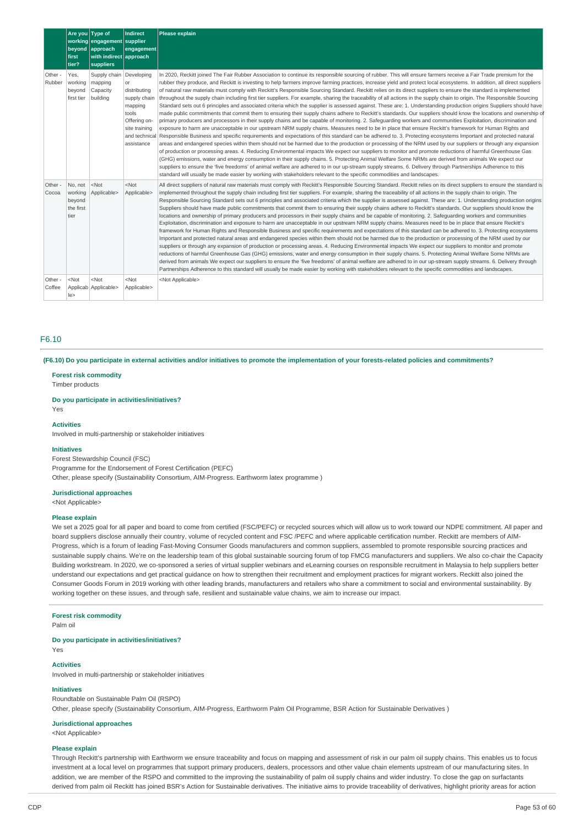|                   | Are you Type of<br>first<br>tier?                 | working engagement supplier<br>beyond approach<br>with indirect approach<br>suppliers | Indirect<br>engagement                                                                                | Please explain                                                                                                                                                                                                                                                                                                                                                                                                                                                                                                                                                                                                                                                                                                                                                                                                                                                                                                                                                                                                                                                                                                                                                                                                                                                                                                                                                                                                                                                                                                                                                                                                                                                                                                                                                                                                                                                                                                                                                                                                                                                                                                                                                                                                                                                                                                               |
|-------------------|---------------------------------------------------|---------------------------------------------------------------------------------------|-------------------------------------------------------------------------------------------------------|------------------------------------------------------------------------------------------------------------------------------------------------------------------------------------------------------------------------------------------------------------------------------------------------------------------------------------------------------------------------------------------------------------------------------------------------------------------------------------------------------------------------------------------------------------------------------------------------------------------------------------------------------------------------------------------------------------------------------------------------------------------------------------------------------------------------------------------------------------------------------------------------------------------------------------------------------------------------------------------------------------------------------------------------------------------------------------------------------------------------------------------------------------------------------------------------------------------------------------------------------------------------------------------------------------------------------------------------------------------------------------------------------------------------------------------------------------------------------------------------------------------------------------------------------------------------------------------------------------------------------------------------------------------------------------------------------------------------------------------------------------------------------------------------------------------------------------------------------------------------------------------------------------------------------------------------------------------------------------------------------------------------------------------------------------------------------------------------------------------------------------------------------------------------------------------------------------------------------------------------------------------------------------------------------------------------------|
| Other -<br>Rubber | Yes.<br>working<br>beyond<br>first tier           | Supply chain Developing<br>mapping<br>Capacity<br>building                            | or<br>distributing<br>supply chain<br>mapping<br>tools<br>Offering on-<br>site training<br>assistance | In 2020, Reckitt joined The Fair Rubber Association to continue its responsible sourcing of rubber. This will ensure farmers receive a Fair Trade premium for the<br>rubber they produce, and Reckitt is investing to help farmers improve farming practices, increase yield and protect local ecosystems. In addition, all direct suppliers<br>of natural raw materials must comply with Reckitt's Responsible Sourcing Standard. Reckitt relies on its direct suppliers to ensure the standard is implemented<br>throughout the supply chain including first tier suppliers. For example, sharing the traceability of all actions in the supply chain to origin. The Responsible Sourcing<br>Standard sets out 6 principles and associated criteria which the supplier is assessed against. These are: 1. Understanding production origins Suppliers should have<br>made public commitments that commit them to ensuring their supply chains adhere to Reckitt's standards. Our suppliers should know the locations and ownership of<br>primary producers and processors in their supply chains and be capable of monitoring. 2. Safeguarding workers and communities Exploitation, discrimination and<br>exposure to harm are unacceptable in our upstream NRM supply chains. Measures need to be in place that ensure Reckitt's framework for Human Rights and<br>and technical Responsible Business and specific requirements and expectations of this standard can be adhered to. 3. Protecting ecosystems Important and protected natural<br>areas and endangered species within them should not be harmed due to the production or processing of the NRM used by our suppliers or through any expansion<br>of production or processing areas. 4. Reducing Environmental impacts We expect our suppliers to monitor and promote reductions of harmful Greenhouse Gas<br>(GHG) emissions, water and energy consumption in their supply chains. 5. Protecting Animal Welfare Some NRMs are derived from animals We expect our<br>suppliers to ensure the 'five freedoms' of animal welfare are adhered to in our up-stream supply streams. 6. Delivery through Partnerships Adherence to this<br>standard will usually be made easier by working with stakeholders relevant to the specific commodities and landscapes. |
| Other -<br>Cocoa  | No, not<br>working<br>beyond<br>the first<br>tier | $<$ Not<br>Applicable>                                                                | $<$ Not<br>Applicable>                                                                                | All direct suppliers of natural raw materials must comply with Reckitt's Responsible Sourcing Standard. Reckitt relies on its direct suppliers to ensure the standard is<br>implemented throughout the supply chain including first tier suppliers. For example, sharing the traceability of all actions in the supply chain to origin. The<br>Responsible Sourcing Standard sets out 6 principles and associated criteria which the supplier is assessed against. These are: 1. Understanding production origins<br>Suppliers should have made public commitments that commit them to ensuring their supply chains adhere to Reckitt's standards. Our suppliers should know the<br>locations and ownership of primary producers and processors in their supply chains and be capable of monitoring. 2. Safequarding workers and communities<br>Exploitation, discrimination and exposure to harm are unacceptable in our upstream NRM supply chains. Measures need to be in place that ensure Reckitt's<br>framework for Human Rights and Responsible Business and specific requirements and expectations of this standard can be adhered to. 3. Protecting ecosystems<br>Important and protected natural areas and endangered species within them should not be harmed due to the production or processing of the NRM used by our<br>suppliers or through any expansion of production or processing areas. 4. Reducing Environmental impacts We expect our suppliers to monitor and promote<br>reductions of harmful Greenhouse Gas (GHG) emissions, water and energy consumption in their supply chains. 5. Protecting Animal Welfare Some NRMs are<br>derived from animals We expect our suppliers to ensure the 'five freedoms' of animal welfare are adhered to in our up-stream supply streams. 6. Delivery through<br>Partnerships Adherence to this standard will usually be made easier by working with stakeholders relevant to the specific commodities and landscapes.                                                                                                                                                                                                                                                                                                                                          |
| Other -<br>Coffee | $<$ Not<br>le                                     | $<$ Not<br>Applicab Applicable>                                                       | $<$ Not<br>Applicable>                                                                                | <not applicable=""></not>                                                                                                                                                                                                                                                                                                                                                                                                                                                                                                                                                                                                                                                                                                                                                                                                                                                                                                                                                                                                                                                                                                                                                                                                                                                                                                                                                                                                                                                                                                                                                                                                                                                                                                                                                                                                                                                                                                                                                                                                                                                                                                                                                                                                                                                                                                    |

# F6.10

(F6.10) Do you participate in external activities and/or initiatives to promote the implementation of your forests-related policies and commitments?

#### **Forest risk commodity**

Timber products

#### **Do you participate in activities/initiatives?**

Yes

#### **Activities**

Involved in multi-partnership or stakeholder initiatives

## **Initiatives**

Forest Stewardship Council (FSC) Programme for the Endorsement of Forest Certification (PEFC) Other, please specify (Sustainability Consortium, AIM-Progress. Earthworm latex programme )

#### **Jurisdictional approaches**

<Not Applicable>

#### **Please explain**

We set a 2025 goal for all paper and board to come from certified (FSC/PEFC) or recycled sources which will allow us to work toward our NDPE commitment. All paper and board suppliers disclose annually their country, volume of recycled content and FSC /PEFC and where applicable certification number. Reckitt are members of AIM-Progress, which is a forum of leading Fast-Moving Consumer Goods manufacturers and common suppliers, assembled to promote responsible sourcing practices and sustainable supply chains. We're on the leadership team of this global sustainable sourcing forum of top FMCG manufacturers and suppliers. We also co-chair the Capacity Building workstream. In 2020, we co-sponsored a series of virtual supplier webinars and eLearning courses on responsible recruitment in Malaysia to help suppliers better understand our expectations and get practical guidance on how to strengthen their recruitment and employment practices for migrant workers. Reckitt also joined the Consumer Goods Forum in 2019 working with other leading brands, manufacturers and retailers who share a commitment to social and environmental sustainability. By working together on these issues, and through safe, resilient and sustainable value chains, we aim to increase our impact.

### **Forest risk commodity**

Palm oil

#### **Do you participate in activities/initiatives?**

Yes

# **Activities**

Involved in multi-partnership or stakeholder initiatives

## **Initiatives**

Roundtable on Sustainable Palm Oil (RSPO) Other, please specify (Sustainability Consortium, AIM-Progress, Earthworm Palm Oil Programme, BSR Action for Sustainable Derivatives )

## **Jurisdictional approaches**

<Not Applicable>

#### **Please explain**

Through Reckitt's partnership with Earthworm we ensure traceability and focus on mapping and assessment of risk in our palm oil supply chains. This enables us to focus investment at a local level on programmes that support primary producers, dealers, processors and other value chain elements upstream of our manufacturing sites. In addition, we are member of the RSPO and committed to the improving the sustainability of palm oil supply chains and wider industry. To close the gap on surfactants derived from palm oil Reckitt has joined BSR's Action for Sustainable derivatives. The initiative aims to provide traceability of derivatives, highlight priority areas for action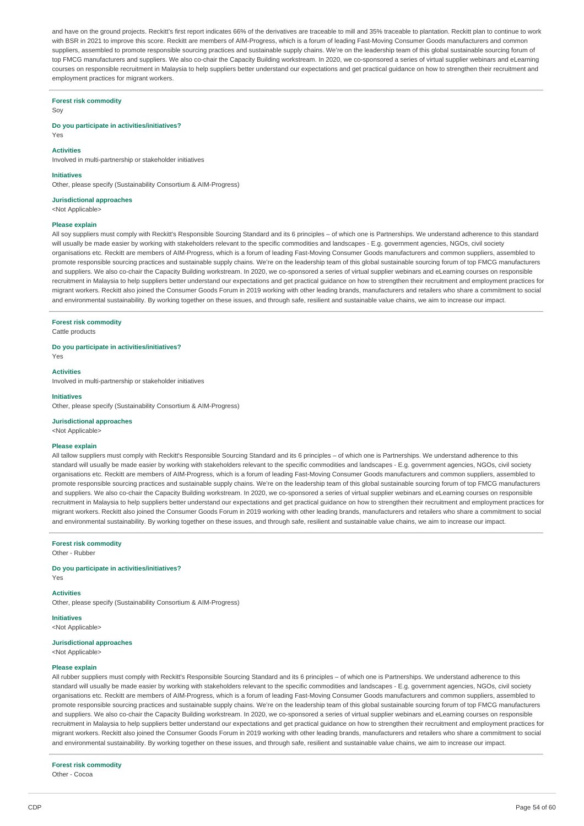and have on the ground projects. Reckitt's first report indicates 66% of the derivatives are traceable to mill and 35% traceable to plantation. Reckitt plan to continue to work with BSR in 2021 to improve this score. Reckitt are members of AIM-Progress, which is a forum of leading Fast-Moving Consumer Goods manufacturers and common suppliers, assembled to promote responsible sourcing practices and sustainable supply chains. We're on the leadership team of this global sustainable sourcing forum of top FMCG manufacturers and suppliers. We also co-chair the Capacity Building workstream. In 2020, we co-sponsored a series of virtual supplier webinars and eLearning courses on responsible recruitment in Malaysia to help suppliers better understand our expectations and get practical guidance on how to strengthen their recruitment and employment practices for migrant workers.

#### **Forest risk commodity**

Soy

**Do you participate in activities/initiatives?** Yes

#### **Activities**

Involved in multi-partnership or stakeholder initiatives

#### **Initiatives**

Other, please specify (Sustainability Consortium & AIM-Progress)

#### **Jurisdictional approaches**

<Not Applicable>

#### **Please explain**

All soy suppliers must comply with Reckitt's Responsible Sourcing Standard and its 6 principles – of which one is Partnerships. We understand adherence to this standard will usually be made easier by working with stakeholders relevant to the specific commodities and landscapes - E.g. government agencies, NGOs, civil society organisations etc. Reckitt are members of AIM-Progress, which is a forum of leading Fast-Moving Consumer Goods manufacturers and common suppliers, assembled to promote responsible sourcing practices and sustainable supply chains. We're on the leadership team of this global sustainable sourcing forum of top FMCG manufacturers and suppliers. We also co-chair the Capacity Building workstream. In 2020, we co-sponsored a series of virtual supplier webinars and eLearning courses on responsible recruitment in Malaysia to help suppliers better understand our expectations and get practical guidance on how to strengthen their recruitment and employment practices for migrant workers. Reckitt also joined the Consumer Goods Forum in 2019 working with other leading brands, manufacturers and retailers who share a commitment to social and environmental sustainability. By working together on these issues, and through safe, resilient and sustainable value chains, we aim to increase our impact.

#### **Forest risk commodity**

Cattle products

## **Do you participate in activities/initiatives?**

Yes **Activities**

Involved in multi-partnership or stakeholder initiatives

#### **Initiatives**

Other, please specify (Sustainability Consortium & AIM-Progress)

#### **Jurisdictional approaches**

<Not Applicable>

## **Please explain**

All tallow suppliers must comply with Reckitt's Responsible Sourcing Standard and its 6 principles – of which one is Partnerships. We understand adherence to this standard will usually be made easier by working with stakeholders relevant to the specific commodities and landscapes - E.g. government agencies, NGOs, civil society organisations etc. Reckitt are members of AIM-Progress, which is a forum of leading Fast-Moving Consumer Goods manufacturers and common suppliers, assembled to promote responsible sourcing practices and sustainable supply chains. We're on the leadership team of this global sustainable sourcing forum of top FMCG manufacturers and suppliers. We also co-chair the Capacity Building workstream. In 2020, we co-sponsored a series of virtual supplier webinars and eLearning courses on responsible recruitment in Malaysia to help suppliers better understand our expectations and get practical quidance on how to strengthen their recruitment and employment practices for migrant workers. Reckitt also joined the Consumer Goods Forum in 2019 working with other leading brands, manufacturers and retailers who share a commitment to social and environmental sustainability. By working together on these issues, and through safe, resilient and sustainable value chains, we aim to increase our impact.

## **Forest risk commodity**

Other - Rubber

#### **Do you participate in activities/initiatives?**

Yes

## **Activities**

Other, please specify (Sustainability Consortium & AIM-Progress)

## **Initiatives** <Not Applicable>

**Jurisdictional approaches**

# <Not Applicable>

## **Please explain**

All rubber suppliers must comply with Reckitt's Responsible Sourcing Standard and its 6 principles – of which one is Partnerships. We understand adherence to this standard will usually be made easier by working with stakeholders relevant to the specific commodities and landscapes - E.g. government agencies, NGOs, civil society organisations etc. Reckitt are members of AIM-Progress, which is a forum of leading Fast-Moving Consumer Goods manufacturers and common suppliers, assembled to promote responsible sourcing practices and sustainable supply chains. We're on the leadership team of this global sustainable sourcing forum of top FMCG manufacturers and suppliers. We also co-chair the Capacity Building workstream. In 2020, we co-sponsored a series of virtual supplier webinars and eLearning courses on responsible recruitment in Malaysia to help suppliers better understand our expectations and get practical guidance on how to strengthen their recruitment and employment practices for migrant workers. Reckitt also joined the Consumer Goods Forum in 2019 working with other leading brands, manufacturers and retailers who share a commitment to social and environmental sustainability. By working together on these issues, and through safe, resilient and sustainable value chains, we aim to increase our impact.

#### **Forest risk commodity**

Other - Cocoa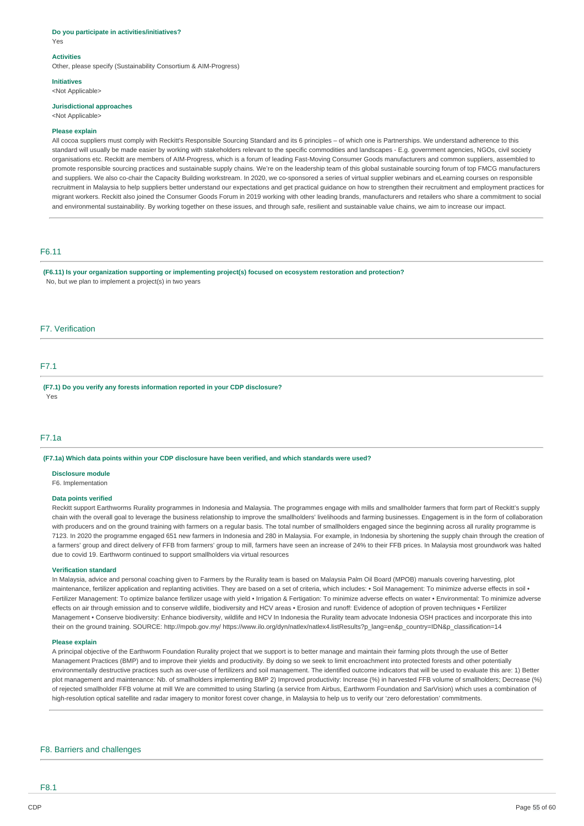#### **Do you participate in activities/initiatives?** Yes

# **Activities**

Other, please specify (Sustainability Consortium & AIM-Progress)

#### **Initiatives**

<Not Applicable>

# **Jurisdictional approaches**

<Not Applicable>

## **Please explain**

All cocoa suppliers must comply with Reckitt's Responsible Sourcing Standard and its 6 principles – of which one is Partnerships. We understand adherence to this standard will usually be made easier by working with stakeholders relevant to the specific commodities and landscapes - E.g. government agencies, NGOs, civil society organisations etc. Reckitt are members of AIM-Progress, which is a forum of leading Fast-Moving Consumer Goods manufacturers and common suppliers, assembled to promote responsible sourcing practices and sustainable supply chains. We're on the leadership team of this global sustainable sourcing forum of top FMCG manufacturers and suppliers. We also co-chair the Capacity Building workstream. In 2020, we co-sponsored a series of virtual supplier webinars and eLearning courses on responsible recruitment in Malaysia to help suppliers better understand our expectations and get practical guidance on how to strengthen their recruitment and employment practices for migrant workers. Reckitt also joined the Consumer Goods Forum in 2019 working with other leading brands, manufacturers and retailers who share a commitment to social and environmental sustainability. By working together on these issues, and through safe, resilient and sustainable value chains, we aim to increase our impact.

# F6.11

**(F6.11) Is your organization supporting or implementing project(s) focused on ecosystem restoration and protection?** No, but we plan to implement a project(s) in two years

# F7. Verification

## F7.1

**(F7.1) Do you verify any forests information reported in your CDP disclosure?** Yes

# F7.1a

**(F7.1a) Which data points within your CDP disclosure have been verified, and which standards were used?**

#### **Disclosure module**

F6. Implementation

## **Data points verified**

Reckitt support Earthworms Rurality programmes in Indonesia and Malaysia. The programmes engage with mills and smallholder farmers that form part of Reckitt's supply chain with the overall goal to leverage the business relationship to improve the smallholders' livelihoods and farming businesses. Engagement is in the form of collaboration with producers and on the ground training with farmers on a regular basis. The total number of smallholders engaged since the beginning across all rurality programme is 7123. In 2020 the programme engaged 651 new farmers in Indonesia and 280 in Malaysia. For example, in Indonesia by shortening the supply chain through the creation of a farmers' group and direct delivery of FFB from farmers' group to mill, farmers have seen an increase of 24% to their FFB prices. In Malaysia most groundwork was halted due to covid 19. Earthworm continued to support smallholders via virtual resources

#### **Verification standard**

In Malaysia, advice and personal coaching given to Farmers by the Rurality team is based on Malaysia Palm Oil Board (MPOB) manuals covering harvesting, plot maintenance, fertilizer application and replanting activities. They are based on a set of criteria, which includes: • Soil Management: To minimize adverse effects in soil • Fertilizer Management: To optimize balance fertilizer usage with yield • Irrigation & Fertigation: To minimize adverse effects on water • Environmental: To minimize adverse effects on air through emission and to conserve wildlife, biodiversity and HCV areas • Erosion and runoff: Evidence of adoption of proven techniques • Fertilizer Management • Conserve biodiversity: Enhance biodiversity, wildlife and HCV In Indonesia the Rurality team advocate Indonesia OSH practices and incorporate this into their on the ground training. SOURCE: http://mpob.gov.my/ https://www.ilo.org/dyn/natlex/natlex4.listResults?p\_lang=en&p\_country=IDN&p\_classification=14

# **Please explain**

A principal objective of the Earthworm Foundation Rurality project that we support is to better manage and maintain their farming plots through the use of Better Management Practices (BMP) and to improve their yields and productivity. By doing so we seek to limit encroachment into protected forests and other potentially environmentally destructive practices such as over-use of fertilizers and soil management. The identified outcome indicators that will be used to evaluate this are: 1) Better plot management and maintenance: Nb. of smallholders implementing BMP 2) Improved productivity: Increase (%) in harvested FFB volume of smallholders; Decrease (%) of rejected smallholder FFB volume at mill We are committed to using Starling (a service from Airbus, Earthworm Foundation and SarVision) which uses a combination of high-resolution optical satellite and radar imagery to monitor forest cover change, in Malaysia to help us to verify our 'zero deforestation' commitments.

# F8. Barriers and challenges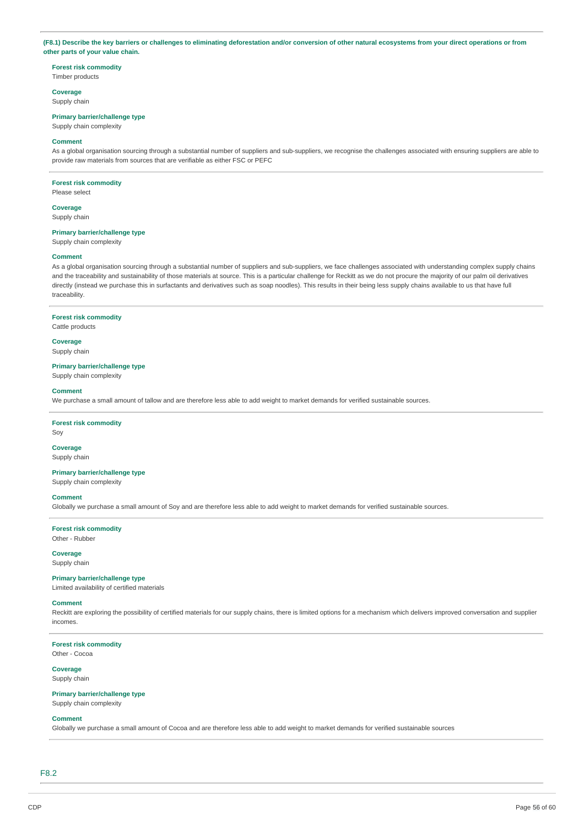## (F8.1) Describe the key barriers or challenges to eliminating deforestation and/or conversion of other natural ecosystems from your direct operations or from **other parts of your value chain.**

**Forest risk commodity** Timber products

**Coverage**

Supply chain

## **Primary barrier/challenge type**

Supply chain complexity

#### **Comment**

As a global organisation sourcing through a substantial number of suppliers and sub-suppliers, we recognise the challenges associated with ensuring suppliers are able to provide raw materials from sources that are verifiable as either FSC or PEFC

#### **Forest risk commodity**

Please select

**Coverage** Supply chain

# **Primary barrier/challenge type**

Supply chain complexity

#### **Comment**

As a global organisation sourcing through a substantial number of suppliers and sub-suppliers, we face challenges associated with understanding complex supply chains and the traceability and sustainability of those materials at source. This is a particular challenge for Reckitt as we do not procure the majority of our palm oil derivatives directly (instead we purchase this in surfactants and derivatives such as soap noodles). This results in their being less supply chains available to us that have full traceability.

# **Forest risk commodity**

Cattle products

**Coverage** Supply chain

## **Primary barrier/challenge type**

Supply chain complexity

# **Comment**

We purchase a small amount of tallow and are therefore less able to add weight to market demands for verified sustainable sources.

# **Forest risk commodity**

Soy

## **Coverage** Supply chain

**Primary barrier/challenge type**

Supply chain complexity

## **Comment**

Globally we purchase a small amount of Soy and are therefore less able to add weight to market demands for verified sustainable sources.

**Forest risk commodity** Other - Rubber

**Coverage**

# Supply chain

**Primary barrier/challenge type** Limited availability of certified materials

#### **Comment**

Reckitt are exploring the possibility of certified materials for our supply chains, there is limited options for a mechanism which delivers improved conversation and supplier incomes.

**Forest risk commodity** Other - Cocoa

# **Coverage**

Supply chain

## **Primary barrier/challenge type** Supply chain complexity

## **Comment**

Globally we purchase a small amount of Cocoa and are therefore less able to add weight to market demands for verified sustainable sources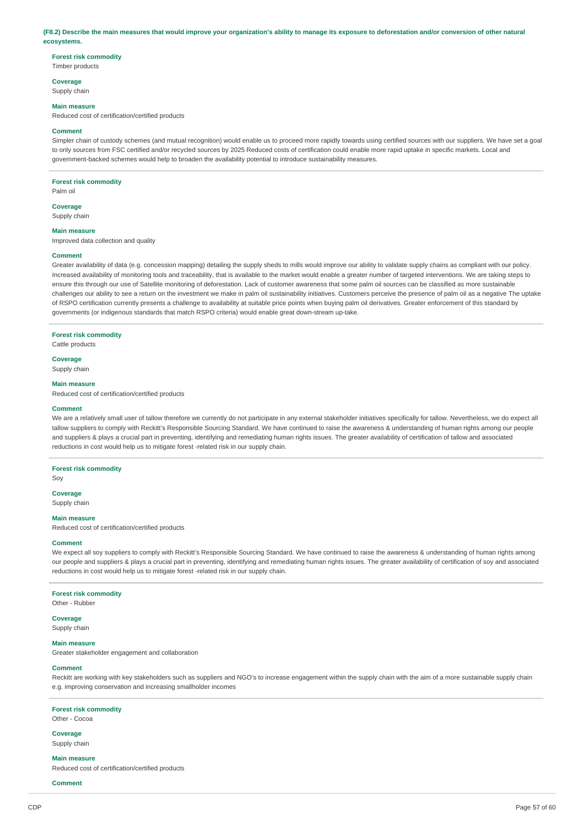#### (F8.2) Describe the main measures that would improve your organization's ability to manage its exposure to deforestation and/or conversion of other natural **ecosystems.**

# **Forest risk commodity**

Timber products

# **Coverage**

Supply chain

# **Main measure**

Reduced cost of certification/certified products

#### **Comment**

Simpler chain of custody schemes (and mutual recognition) would enable us to proceed more rapidly towards using certified sources with our suppliers. We have set a goal to only sources from FSC certified and/or recycled sources by 2025 Reduced costs of certification could enable more rapid uptake in specific markets. Local and government-backed schemes would help to broaden the availability potential to introduce sustainability measures.

#### **Forest risk commodity**

Palm oil

# **Coverage**

Supply chain

#### **Main measure**

Improved data collection and quality

### **Comment**

Greater availability of data (e.g. concession mapping) detailing the supply sheds to mills would improve our ability to validate supply chains as compliant with our policy. Increased availability of monitoring tools and traceability, that is available to the market would enable a greater number of targeted interventions. We are taking steps to ensure this through our use of Satellite monitoring of deforestation. Lack of customer awareness that some palm oil sources can be classified as more sustainable challenges our ability to see a return on the investment we make in palm oil sustainability initiatives. Customers perceive the presence of palm oil as a negative The uptake of RSPO certification currently presents a challenge to availability at suitable price points when buying palm oil derivatives. Greater enforcement of this standard by governments (or indigenous standards that match RSPO criteria) would enable great down-stream up-take.

#### **Forest risk commodity**

Cattle products

# **Coverage**

Supply chain

# **Main measure**

Reduced cost of certification/certified products

#### **Comment**

We are a relatively small user of tallow therefore we currently do not participate in any external stakeholder initiatives specifically for tallow. Nevertheless, we do expect all tallow suppliers to comply with Reckitt's Responsible Sourcing Standard. We have continued to raise the awareness & understanding of human rights among our people and suppliers & plays a crucial part in preventing, identifying and remediating human rights issues. The greater availability of certification of tallow and associated reductions in cost would help us to mitigate forest -related risk in our supply chain.

# **Forest risk commodity**

Soy

#### **Coverage**

Supply chain

#### **Main measure**

Reduced cost of certification/certified products

#### **Comment**

We expect all soy suppliers to comply with Reckitt's Responsible Sourcing Standard. We have continued to raise the awareness & understanding of human rights among our people and suppliers & plays a crucial part in preventing, identifying and remediating human rights issues. The greater availability of certification of soy and associated reductions in cost would help us to mitigate forest -related risk in our supply chain.

#### **Forest risk commodity**

Other - Rubber

**Coverage**

Supply chain

#### **Main measure**

Greater stakeholder engagement and collaboration

#### **Comment**

Reckitt are working with key stakeholders such as suppliers and NGO's to increase engagement within the supply chain with the aim of a more sustainable supply chain e.g. improving conservation and increasing smallholder incomes

## **Forest risk commodity**

Other - Cocoa

### **Coverage**

Supply chain

#### **Main measure** Reduced cost of certification/certified products

**Comment**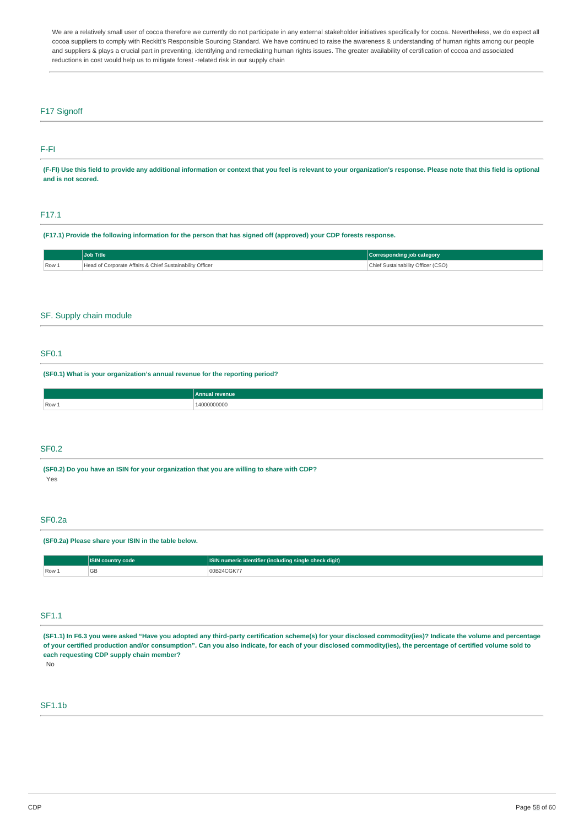We are a relatively small user of cocoa therefore we currently do not participate in any external stakeholder initiatives specifically for cocoa. Nevertheless, we do expect all cocoa suppliers to comply with Reckitt's Responsible Sourcing Standard. We have continued to raise the awareness & understanding of human rights among our people and suppliers & plays a crucial part in preventing, identifying and remediating human rights issues. The greater availability of certification of cocoa and associated reductions in cost would help us to mitigate forest -related risk in our supply chain

# F17 Signoff

# F-FI

(F-FI) Use this field to provide any additional information or context that you feel is relevant to your organization's response. Please note that this field is optional **and is not scored.**

# F17.1

(F17.1) Provide the following information for the person that has signed off (approved) your CDP forests response.

|       | <b>Job Title</b>                                         | Corresponding job category         |
|-------|----------------------------------------------------------|------------------------------------|
| Row 1 | Head of Corporate Affairs & Chief Sustainability Officer | Chief Sustainability Officer (CSO) |

# SF. Supply chain module

# SF0.1

**(SF0.1) What is your organization's annual revenue for the reporting period?**

|       | Annual<br><b>evenue</b> |
|-------|-------------------------|
| Row 1 | 00000000<br>l 41<br>.   |
|       |                         |

## SF0.2

**(SF0.2) Do you have an ISIN for your organization that you are willing to share with CDP?** Yes

# SF0.2a

### **(SF0.2a) Please share your ISIN in the table below.**

|      | ____<br><b>ISIN country</b><br>∶code | <b><i>FALL</i></b><br>  numeric identifier (including single check digit) |
|------|--------------------------------------|---------------------------------------------------------------------------|
| Row. | $\sim$ $\sim$<br>◡                   | ,,,,,,,,                                                                  |

## SF1.1

(SF1.1) In F6.3 you were asked "Have you adopted any third-party certification scheme(s) for your disclosed commodity(ies)? Indicate the volume and percentage of your certified production and/or consumption". Can you also indicate, for each of your disclosed commodity(ies), the percentage of certified volume sold to **each requesting CDP supply chain member?**

No

# SF1.1b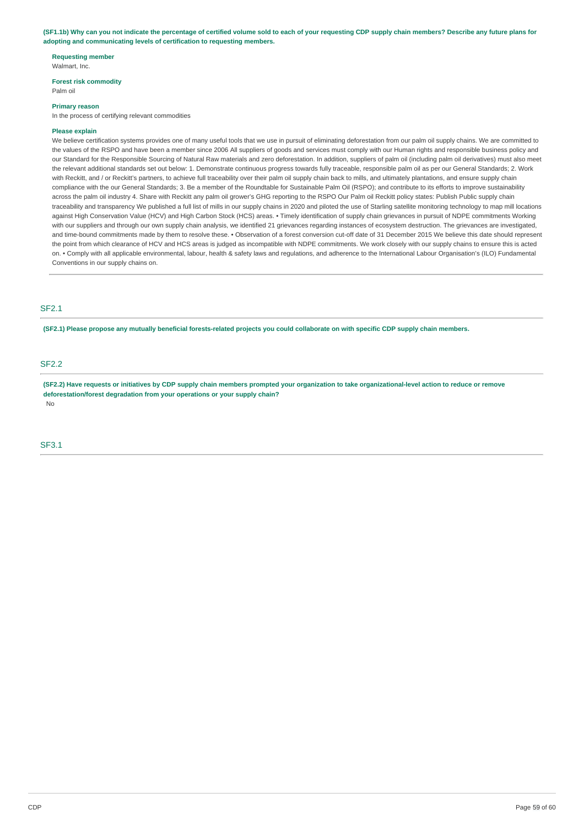(SF1.1b) Why can you not indicate the percentage of certified volume sold to each of your requesting CDP supply chain members? Describe any future plans for **adopting and communicating levels of certification to requesting members.**

# **Requesting member**

Walmart, Inc.

# **Forest risk commodity**

Palm oil

#### **Primary reason**

In the process of certifying relevant commodities

#### **Please explain**

We believe certification systems provides one of many useful tools that we use in pursuit of eliminating deforestation from our palm oil supply chains. We are committed to the values of the RSPO and have been a member since 2006 All suppliers of goods and services must comply with our Human rights and responsible business policy and our Standard for the Responsible Sourcing of Natural Raw materials and zero deforestation. In addition, suppliers of palm oil (including palm oil derivatives) must also meet the relevant additional standards set out below: 1. Demonstrate continuous progress towards fully traceable, responsible palm oil as per our General Standards; 2. Work with Reckitt, and / or Reckitt's partners, to achieve full traceability over their palm oil supply chain back to mills, and ultimately plantations, and ensure supply chain compliance with the our General Standards; 3. Be a member of the Roundtable for Sustainable Palm Oil (RSPO); and contribute to its efforts to improve sustainability across the palm oil industry 4. Share with Reckitt any palm oil grower's GHG reporting to the RSPO Our Palm oil Reckitt policy states: Publish Public supply chain traceability and transparency We published a full list of mills in our supply chains in 2020 and piloted the use of Starling satellite monitoring technology to map mill locations against High Conservation Value (HCV) and High Carbon Stock (HCS) areas. • Timely identification of supply chain grievances in pursuit of NDPE commitments Working with our suppliers and through our own supply chain analysis, we identified 21 grievances regarding instances of ecosystem destruction. The grievances are investigated, and time-bound commitments made by them to resolve these. • Observation of a forest conversion cut-off date of 31 December 2015 We believe this date should represent the point from which clearance of HCV and HCS areas is judged as incompatible with NDPE commitments. We work closely with our supply chains to ensure this is acted on. • Comply with all applicable environmental, labour, health & safety laws and regulations, and adherence to the International Labour Organisation's (ILO) Fundamental Conventions in our supply chains on.

# SF2.1

(SF2.1) Please propose any mutually beneficial forests-related projects you could collaborate on with specific CDP supply chain members.

# SF2.2

(SF2.2) Have requests or initiatives by CDP supply chain members prompted your organization to take organizational-level action to reduce or remove **deforestation/forest degradation from your operations or your supply chain?** No

# SF3.1